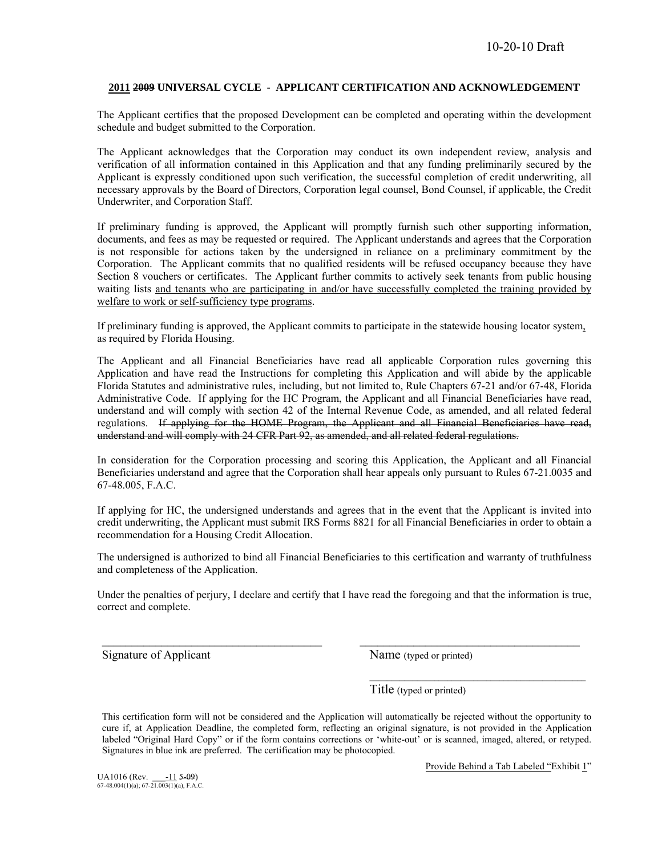#### **2011 2009 UNIVERSAL CYCLE - APPLICANT CERTIFICATION AND ACKNOWLEDGEMENT**

The Applicant certifies that the proposed Development can be completed and operating within the development schedule and budget submitted to the Corporation.

The Applicant acknowledges that the Corporation may conduct its own independent review, analysis and verification of all information contained in this Application and that any funding preliminarily secured by the Applicant is expressly conditioned upon such verification, the successful completion of credit underwriting, all necessary approvals by the Board of Directors, Corporation legal counsel, Bond Counsel, if applicable, the Credit Underwriter, and Corporation Staff.

If preliminary funding is approved, the Applicant will promptly furnish such other supporting information, documents, and fees as may be requested or required. The Applicant understands and agrees that the Corporation is not responsible for actions taken by the undersigned in reliance on a preliminary commitment by the Corporation. The Applicant commits that no qualified residents will be refused occupancy because they have Section 8 vouchers or certificates. The Applicant further commits to actively seek tenants from public housing waiting lists and tenants who are participating in and/or have successfully completed the training provided by welfare to work or self-sufficiency type programs.

If preliminary funding is approved, the Applicant commits to participate in the statewide housing locator system, as required by Florida Housing.

The Applicant and all Financial Beneficiaries have read all applicable Corporation rules governing this Application and have read the Instructions for completing this Application and will abide by the applicable Florida Statutes and administrative rules, including, but not limited to, Rule Chapters 67-21 and/or 67-48, Florida Administrative Code. If applying for the HC Program, the Applicant and all Financial Beneficiaries have read, understand and will comply with section 42 of the Internal Revenue Code, as amended, and all related federal regulations. If applying for the HOME Program, the Applicant and all Financial Beneficiaries have read, understand and will comply with 24 CFR Part 92, as amended, and all related federal regulations.

In consideration for the Corporation processing and scoring this Application, the Applicant and all Financial Beneficiaries understand and agree that the Corporation shall hear appeals only pursuant to Rules 67-21.0035 and 67-48.005, F.A.C.

If applying for HC, the undersigned understands and agrees that in the event that the Applicant is invited into credit underwriting, the Applicant must submit IRS Forms 8821 for all Financial Beneficiaries in order to obtain a recommendation for a Housing Credit Allocation.

The undersigned is authorized to bind all Financial Beneficiaries to this certification and warranty of truthfulness and completeness of the Application.

Under the penalties of perjury, I declare and certify that I have read the foregoing and that the information is true, correct and complete.

 $\mathcal{L}_\text{max} = \frac{1}{2} \sum_{i=1}^n \mathcal{L}_\text{max}(\mathbf{z}_i - \mathbf{z}_i)$ 

 $\mathcal{L}_\text{max}$  and  $\mathcal{L}_\text{max}$  and  $\mathcal{L}_\text{max}$  and  $\mathcal{L}_\text{max}$  and  $\mathcal{L}_\text{max}$  and  $\mathcal{L}_\text{max}$ 

Signature of Applicant Name (typed or printed)

Title (typed or printed)

This certification form will not be considered and the Application will automatically be rejected without the opportunity to cure if, at Application Deadline, the completed form, reflecting an original signature, is not provided in the Application labeled "Original Hard Copy" or if the form contains corrections or 'white-out' or is scanned, imaged, altered, or retyped. Signatures in blue ink are preferred. The certification may be photocopied.

UA1016 (Rev.  $\frac{-11}{67.48.004(1)(a)}$ ; 67-21.003(1)(a), F.A.C.

Provide Behind a Tab Labeled "Exhibit 1"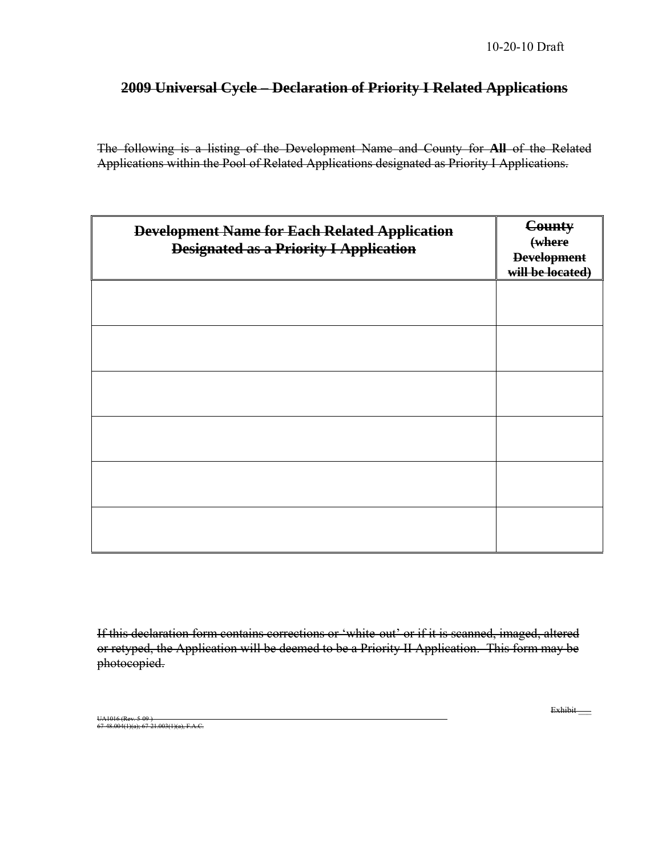### **2009 Universal Cycle – Declaration of Priority I Related Applications**

The following is a listing of the Development Name and County for **All** of the Related Applications within the Pool of Related Applications designated as Priority I Applications.

| <b>Development Name for Each Related Application</b><br><b>Designated as a Priority I Application</b> | County<br>(where<br><b>Development</b><br>will be located) |
|-------------------------------------------------------------------------------------------------------|------------------------------------------------------------|
|                                                                                                       |                                                            |
|                                                                                                       |                                                            |
|                                                                                                       |                                                            |
|                                                                                                       |                                                            |
|                                                                                                       |                                                            |
|                                                                                                       |                                                            |

If this declaration form contains corrections or 'white-out' or if it is scanned, imaged, altered or retyped, the Application will be deemed to be a Priority II Application. This form may be photocopied.

UA1016 (Rev. 5-09 ) 67-48.004(1)(a); 67-21.003(1)(a), F.A.C. Exhibit\_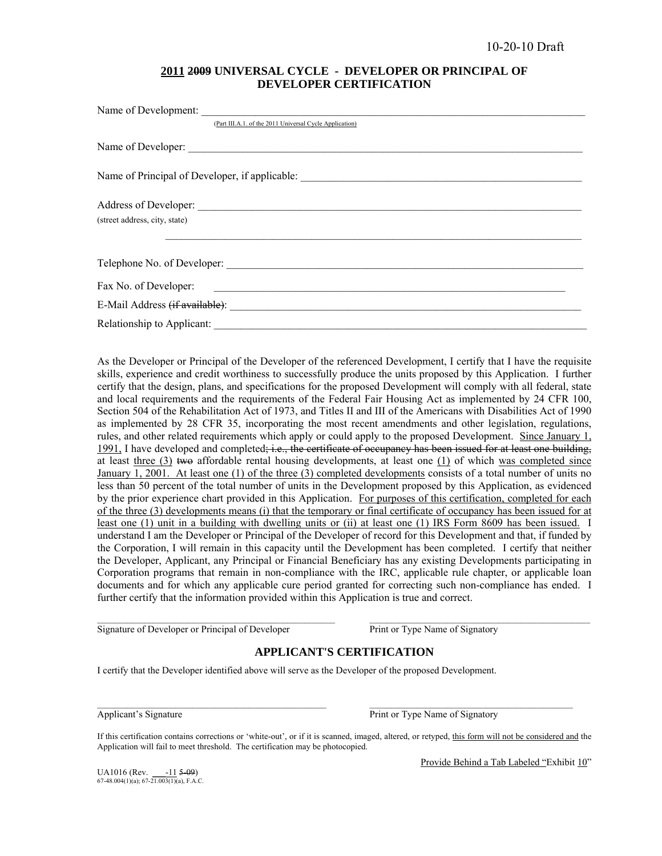### **2011 2009 UNIVERSAL CYCLE - DEVELOPER OR PRINCIPAL OF DEVELOPER CERTIFICATION**

| Name of Development:                                                                                                                           |
|------------------------------------------------------------------------------------------------------------------------------------------------|
| (Part III.A.1. of the 2011 Universal Cycle Application)                                                                                        |
|                                                                                                                                                |
|                                                                                                                                                |
| Address of Developer:                                                                                                                          |
| (street address, city, state)                                                                                                                  |
|                                                                                                                                                |
| Fax No. of Developer:<br><u> 1989 - Andrea Barbara, martin a shekara tshekara tshekara tshekara tshekara tshekara tshekara tshekara tsheka</u> |
| E-Mail Address <del>(if available)</del> :                                                                                                     |
| Relationship to Applicant:                                                                                                                     |

As the Developer or Principal of the Developer of the referenced Development, I certify that I have the requisite skills, experience and credit worthiness to successfully produce the units proposed by this Application. I further certify that the design, plans, and specifications for the proposed Development will comply with all federal, state and local requirements and the requirements of the Federal Fair Housing Act as implemented by 24 CFR 100, Section 504 of the Rehabilitation Act of 1973, and Titles II and III of the Americans with Disabilities Act of 1990 as implemented by 28 CFR 35, incorporating the most recent amendments and other legislation, regulations, rules, and other related requirements which apply or could apply to the proposed Development. Since January 1, 1991. I have developed and completed; i.e., the certificate of occupancy has been issued for at least one building, at least three  $(3)$  two affordable rental housing developments, at least one  $(1)$  of which was completed since January 1, 2001. At least one (1) of the three (3) completed developments consists of a total number of units no less than 50 percent of the total number of units in the Development proposed by this Application, as evidenced by the prior experience chart provided in this Application. For purposes of this certification, completed for each of the three (3) developments means (i) that the temporary or final certificate of occupancy has been issued for at least one (1) unit in a building with dwelling units or (ii) at least one (1) IRS Form 8609 has been issued. I understand I am the Developer or Principal of the Developer of record for this Development and that, if funded by the Corporation, I will remain in this capacity until the Development has been completed. I certify that neither the Developer, Applicant, any Principal or Financial Beneficiary has any existing Developments participating in Corporation programs that remain in non-compliance with the IRC, applicable rule chapter, or applicable loan documents and for which any applicable cure period granted for correcting such non-compliance has ended. I further certify that the information provided within this Application is true and correct.

Signature of Developer or Principal of Developer Print or Type Name of Signatory

### **APPLICANT'S CERTIFICATION**

 $\mathcal{L}_\text{max} = \frac{1}{2} \sum_{i=1}^{n} \mathcal{L}_\text{max} = \frac{1}{2} \sum_{i=1}^{n} \mathcal{L}_\text{max} = \frac{1}{2} \sum_{i=1}^{n} \mathcal{L}_\text{max} = \frac{1}{2} \sum_{i=1}^{n} \mathcal{L}_\text{max} = \frac{1}{2} \sum_{i=1}^{n} \mathcal{L}_\text{max} = \frac{1}{2} \sum_{i=1}^{n} \mathcal{L}_\text{max} = \frac{1}{2} \sum_{i=1}^{n} \mathcal{L}_\text{max} = \frac{1}{$ 

I certify that the Developer identified above will serve as the Developer of the proposed Development.

Applicant's Signature **Print of Type Name of Signatory** Print or Type Name of Signatory

If this certification contains corrections or 'white-out', or if it is scanned, imaged, altered, or retyped, this form will not be considered and the Application will fail to meet threshold. The certification may be photocopied.

 $\Box$  . The contribution of the contribution of the contribution of the contribution of the contribution of the contribution of the contribution of the contribution of the contribution of the contribution of the contributi

Provide Behind a Tab Labeled "Exhibit 10"

UA1016 (Rev.  $\frac{-11}{5-09}$ )<br>67-48.004(1)(a); 67-21.003(1)(a), F.A.C.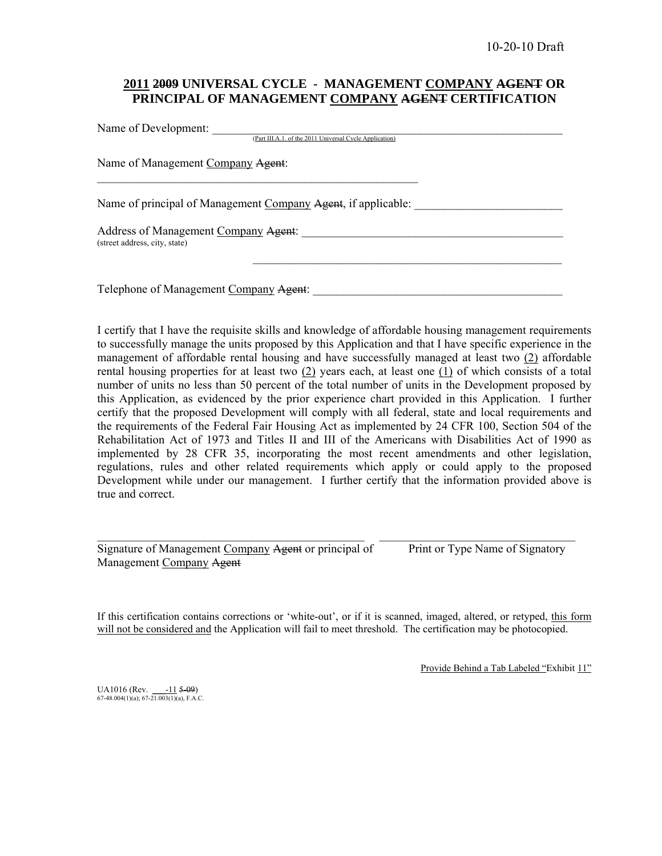### **2011 2009 UNIVERSAL CYCLE - MANAGEMENT COMPANY AGENT OR PRINCIPAL OF MANAGEMENT COMPANY AGENT CERTIFICATION**

Name of Development: (Part III.A.1. of the 2011 Universal Cycle Application) Name of Management Company Agent:  $\mathcal{L}_\text{max}$  and the contract of the contract of the contract of the contract of the contract of the contract of the contract of the contract of the contract of the contract of the contract of the contract of the contrac Name of principal of Management Company Agent, if applicable: Address of Management Company Agent: \_\_\_\_\_\_\_\_\_\_\_\_\_\_\_\_\_\_\_\_\_\_\_\_\_\_\_\_\_\_\_\_\_\_\_\_\_\_\_\_\_\_\_\_ (street address, city, state)  $\mathcal{L}_\text{max}$  and the contract of the contract of the contract of the contract of the contract of the contract of the contract of the contract of the contract of the contract of the contract of the contract of the contrac

Telephone of Management Company Agent:

I certify that I have the requisite skills and knowledge of affordable housing management requirements to successfully manage the units proposed by this Application and that I have specific experience in the management of affordable rental housing and have successfully managed at least two (2) affordable rental housing properties for at least two (2) years each, at least one (1) of which consists of a total number of units no less than 50 percent of the total number of units in the Development proposed by this Application, as evidenced by the prior experience chart provided in this Application. I further certify that the proposed Development will comply with all federal, state and local requirements and the requirements of the Federal Fair Housing Act as implemented by 24 CFR 100, Section 504 of the Rehabilitation Act of 1973 and Titles II and III of the Americans with Disabilities Act of 1990 as implemented by 28 CFR 35, incorporating the most recent amendments and other legislation, regulations, rules and other related requirements which apply or could apply to the proposed Development while under our management. I further certify that the information provided above is true and correct.

Signature of Management Company Agent or principal of Print or Type Name of Signatory Management Company Agent

If this certification contains corrections or 'white-out', or if it is scanned, imaged, altered, or retyped, this form will not be considered and the Application will fail to meet threshold. The certification may be photocopied.

 $\mathcal{L}_\mathcal{L} = \{ \mathcal{L}_\mathcal{L} = \{ \mathcal{L}_\mathcal{L} = \{ \mathcal{L}_\mathcal{L} = \{ \mathcal{L}_\mathcal{L} = \{ \mathcal{L}_\mathcal{L} = \{ \mathcal{L}_\mathcal{L} = \{ \mathcal{L}_\mathcal{L} = \{ \mathcal{L}_\mathcal{L} = \{ \mathcal{L}_\mathcal{L} = \{ \mathcal{L}_\mathcal{L} = \{ \mathcal{L}_\mathcal{L} = \{ \mathcal{L}_\mathcal{L} = \{ \mathcal{L}_\mathcal{L} = \{ \mathcal{L}_\mathcal{$ 

Provide Behind a Tab Labeled "Exhibit 11"

UA1016 (Rev.  $\underline{\phantom{0000}}$  = 11  $\overline{\phantom{000}}$  = 09) 67-48.004(1)(a); 67-21.003(1)(a), F.A.C.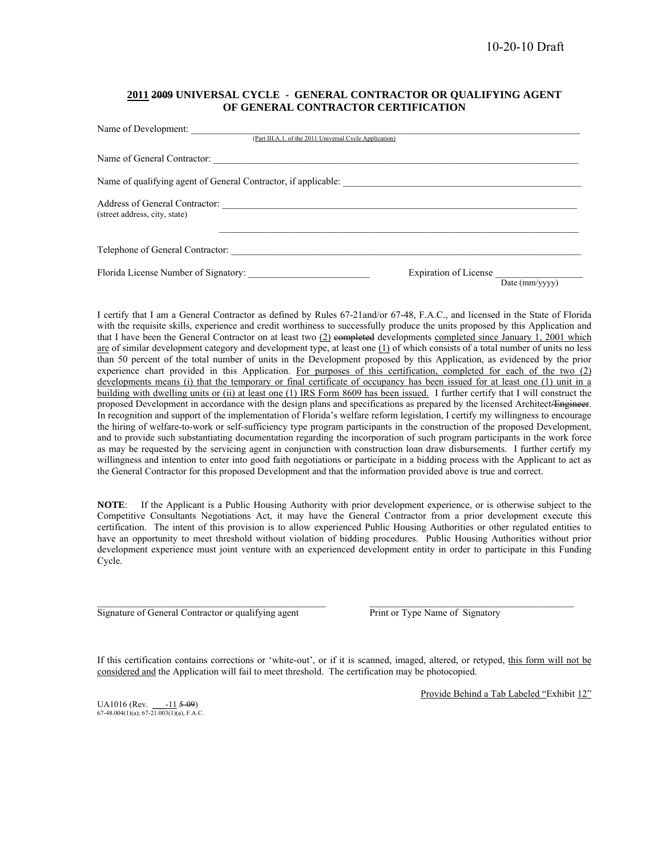#### **2011 2009 UNIVERSAL CYCLE - GENERAL CONTRACTOR OR QUALIFYING AGENT OF GENERAL CONTRACTOR CERTIFICATION**

| Name of Development:<br>(Part III.A.1. of the 2011 Universal Cycle Application) |                                                |
|---------------------------------------------------------------------------------|------------------------------------------------|
|                                                                                 |                                                |
|                                                                                 |                                                |
| (street address, city, state)                                                   |                                                |
| Telephone of General Contractor:                                                |                                                |
|                                                                                 | <b>Expiration of License</b><br>Date (mm/yyyy) |

I certify that I am a General Contractor as defined by Rules 67-21and/or 67-48, F.A.C., and licensed in the State of Florida with the requisite skills, experience and credit worthiness to successfully produce the units proposed by this Application and that I have been the General Contractor on at least two  $(2)$  completed developments completed since January 1, 2001 which are of similar development category and development type, at least one  $(1)$  of which consists of a total number of units no less than 50 percent of the total number of units in the Development proposed by this Application, as evidenced by the prior experience chart provided in this Application. For purposes of this certification, completed for each of the two (2) developments means (i) that the temporary or final certificate of occupancy has been issued for at least one (1) unit in a building with dwelling units or (ii) at least one (1) IRS Form 8609 has been issued. I further certify that I will construct the proposed Development in accordance with the design plans and specifications as prepared by the licensed Architect/Engineer. In recognition and support of the implementation of Florida's welfare reform legislation, I certify my willingness to encourage the hiring of welfare-to-work or self-sufficiency type program participants in the construction of the proposed Development, and to provide such substantiating documentation regarding the incorporation of such program participants in the work force as may be requested by the servicing agent in conjunction with construction loan draw disbursements. I further certify my willingness and intention to enter into good faith negotiations or participate in a bidding process with the Applicant to act as the General Contractor for this proposed Development and that the information provided above is true and correct.

**NOTE**: If the Applicant is a Public Housing Authority with prior development experience, or is otherwise subject to the Competitive Consultants Negotiations Act, it may have the General Contractor from a prior development execute this certification. The intent of this provision is to allow experienced Public Housing Authorities or other regulated entities to have an opportunity to meet threshold without violation of bidding procedures. Public Housing Authorities without prior development experience must joint venture with an experienced development entity in order to participate in this Funding Cycle.

Signature of General Contractor or qualifying agent Print or Type Name of Signatory

If this certification contains corrections or 'white-out', or if it is scanned, imaged, altered, or retyped, this form will not be considered and the Application will fail to meet threshold. The certification may be photocopied.

 $\mathcal{L}_\text{max}$ 

Provide Behind a Tab Labeled "Exhibit 12"

UA1016 (Rev.  $\frac{-11}{509}$ )<br>67-48.004(1)(a); 67-21.003(1)(a), F.A.C.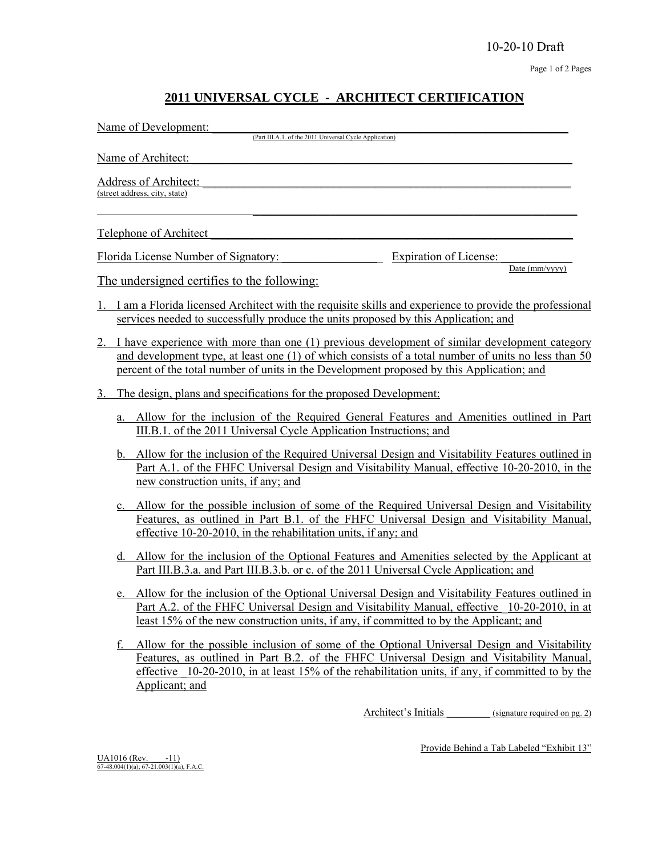### **2011 UNIVERSAL CYCLE - ARCHITECT CERTIFICATION**

| Name of Development:<br>(Part III.A.1. of the 2011 Universal Cycle Application)                                                                                                                                                                                                                               |
|---------------------------------------------------------------------------------------------------------------------------------------------------------------------------------------------------------------------------------------------------------------------------------------------------------------|
| Name of Architect:                                                                                                                                                                                                                                                                                            |
| Address of Architect:<br>(street address, city, state)                                                                                                                                                                                                                                                        |
| <b>Telephone of Architect</b>                                                                                                                                                                                                                                                                                 |
| Florida License Number of Signatory:<br>Expiration of License:<br>Date (mm/yyyy)                                                                                                                                                                                                                              |
| <u>The undersigned certifies to the following:</u>                                                                                                                                                                                                                                                            |
| I am a Florida licensed Architect with the requisite skills and experience to provide the professional<br>services needed to successfully produce the units proposed by this Application; and                                                                                                                 |
| I have experience with more than one (1) previous development of similar development category<br>2.<br>and development type, at least one (1) of which consists of a total number of units no less than 50<br>percent of the total number of units in the Development proposed by this Application; and       |
| The design, plans and specifications for the proposed Development:<br>3.                                                                                                                                                                                                                                      |
| Allow for the inclusion of the Required General Features and Amenities outlined in Part<br>a.<br>III.B.1. of the 2011 Universal Cycle Application Instructions; and                                                                                                                                           |
| Allow for the inclusion of the Required Universal Design and Visitability Features outlined in<br>b.<br>Part A.1. of the FHFC Universal Design and Visitability Manual, effective 10-20-2010, in the<br>new construction units, if any; and                                                                   |
| c. Allow for the possible inclusion of some of the Required Universal Design and Visitability<br>Features, as outlined in Part B.1. of the FHFC Universal Design and Visitability Manual,<br>effective 10-20-2010, in the rehabilitation units, if any; and                                                   |
| d. Allow for the inclusion of the Optional Features and Amenities selected by the Applicant at<br>Part III.B.3.a. and Part III.B.3.b. or c. of the 2011 Universal Cycle Application; and                                                                                                                      |
| Allow for the inclusion of the Optional Universal Design and Visitability Features outlined in<br>e.<br>Part A.2. of the FHFC Universal Design and Visitability Manual, effective 10-20-2010, in at<br>least 15% of the new construction units, if any, if committed to by the Applicant; and                 |
| Allow for the possible inclusion of some of the Optional Universal Design and Visitability<br>Features, as outlined in Part B.2. of the FHFC Universal Design and Visitability Manual,<br>effective 10-20-2010, in at least 15% of the rehabilitation units, if any, if committed to by the<br>Applicant; and |
| Architect's Initials<br>(signature required on pg. 2)                                                                                                                                                                                                                                                         |

Provide Behind a Tab Labeled "Exhibit 13"

 $\underline{UA1016}$  (Rev.  $\underline{-11}$ )<br>
67-48.004(1)(a); 67-21.003(1)(a), F.A.C.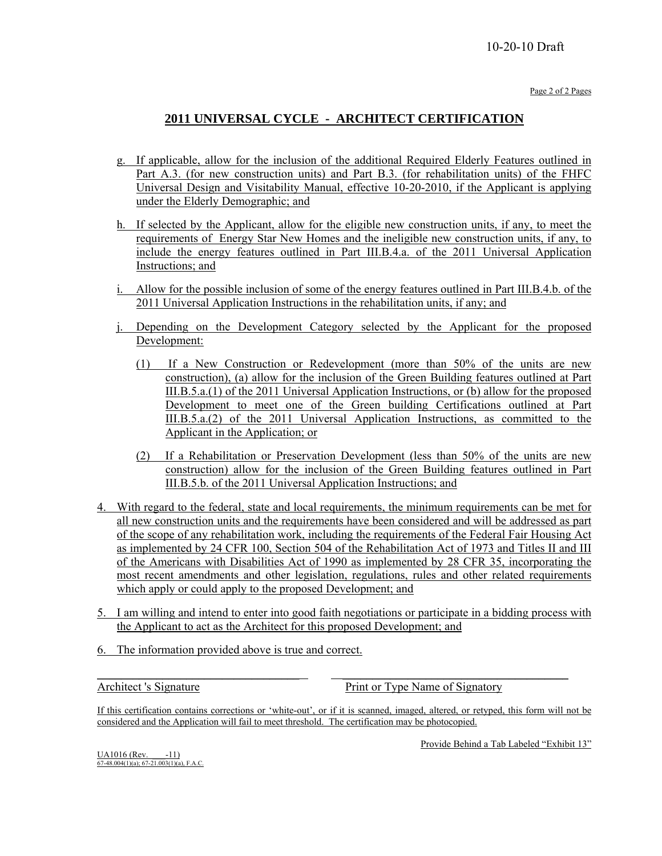### 10-20-10 Draft

Page 2 of 2 Pages

### **2011 UNIVERSAL CYCLE - ARCHITECT CERTIFICATION**

- g. If applicable, allow for the inclusion of the additional Required Elderly Features outlined in Part A.3. (for new construction units) and Part B.3. (for rehabilitation units) of the FHFC Universal Design and Visitability Manual, effective 10-20-2010, if the Applicant is applying under the Elderly Demographic; and
- h. If selected by the Applicant, allow for the eligible new construction units, if any, to meet the requirements of Energy Star New Homes and the ineligible new construction units, if any, to include the energy features outlined in Part III.B.4.a. of the 2011 Universal Application Instructions; and
- i. Allow for the possible inclusion of some of the energy features outlined in Part III.B.4.b. of the 2011 Universal Application Instructions in the rehabilitation units, if any; and
- j. Depending on the Development Category selected by the Applicant for the proposed Development:
	- (1) If a New Construction or Redevelopment (more than 50% of the units are new construction), (a) allow for the inclusion of the Green Building features outlined at Part III.B.5.a.(1) of the 2011 Universal Application Instructions, or (b) allow for the proposed Development to meet one of the Green building Certifications outlined at Part III.B.5.a.(2) of the 2011 Universal Application Instructions, as committed to the Applicant in the Application; or
	- (2) If a Rehabilitation or Preservation Development (less than 50% of the units are new construction) allow for the inclusion of the Green Building features outlined in Part III.B.5.b. of the 2011 Universal Application Instructions; and
- 4. With regard to the federal, state and local requirements, the minimum requirements can be met for all new construction units and the requirements have been considered and will be addressed as part of the scope of any rehabilitation work, including the requirements of the Federal Fair Housing Act as implemented by 24 CFR 100, Section 504 of the Rehabilitation Act of 1973 and Titles II and III of the Americans with Disabilities Act of 1990 as implemented by 28 CFR 35, incorporating the most recent amendments and other legislation, regulations, rules and other related requirements which apply or could apply to the proposed Development; and
- 5. I am willing and intend to enter into good faith negotiations or participate in a bidding process with the Applicant to act as the Architect for this proposed Development; and
- 6. The information provided above is true and correct.

Architect 's Signature **Print or Type Name of Signatory** Print or Type Name of Signatory

If this certification contains corrections or 'white-out', or if it is scanned, imaged, altered, or retyped, this form will not be considered and the Application will fail to meet threshold. The certification may be photocopied.

\_\_\_\_\_\_\_\_\_\_\_\_\_\_\_\_\_\_\_\_\_\_\_\_\_\_\_\_\_\_\_\_\_\_ \_\_\_\_\_\_\_\_\_\_\_\_\_\_\_\_\_\_\_\_\_\_\_\_\_\_\_\_\_\_\_\_\_\_\_\_\_\_

Provide Behind a Tab Labeled "Exhibit 13"

 $\underline{UA1016}$  (Rev.  $-11$ )<br>67-48.004(1)(a); 67-21.003(1)(a), F.A.C.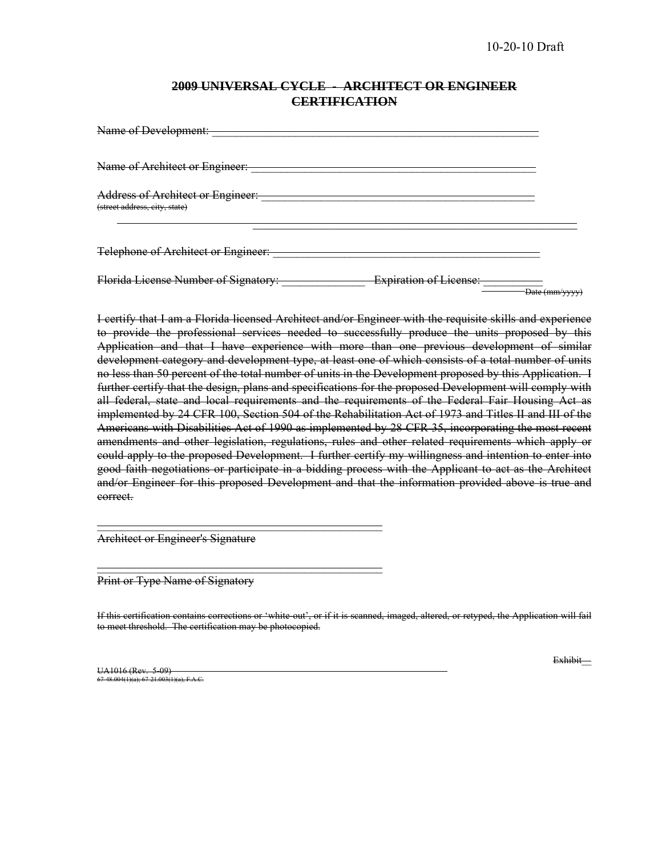### **2009 UNIVERSAL CYCLE - ARCHITECT OR ENGINEER CERTIFICATION**

| Name of Development:                                                      |                               |                |
|---------------------------------------------------------------------------|-------------------------------|----------------|
| Name of Architect or Engineer:                                            |                               |                |
| <b>Address of Architect or Engineer:</b><br>(street address, eity, state) |                               |                |
| Telephone of Architect or Engineer:                                       |                               |                |
| Florida License Number of Signatory:                                      | <b>Expiration of License:</b> | Date (mm/yyyy) |

I certify that I am a Florida licensed Architect and/or Engineer with the requisite skills and experience to provide the professional services needed to successfully produce the units proposed by this Application and that I have experience with more than one previous development of similar development category and development type, at least one of which consists of a total number of units no less than 50 percent of the total number of units in the Development proposed by this Application. I further certify that the design, plans and specifications for the proposed Development will comply with all federal, state and local requirements and the requirements of the Federal Fair Housing Act as implemented by 24 CFR 100, Section 504 of the Rehabilitation Act of 1973 and Titles II and III of the Americans with Disabilities Act of 1990 as implemented by 28 CFR 35, incorporating the most recent amendments and other legislation, regulations, rules and other related requirements which apply or could apply to the proposed Development. I further certify my willingness and intention to enter into good faith negotiations or participate in a bidding process with the Applicant to act as the Architect and/or Engineer for this proposed Development and that the information provided above is true and correct.

Architect or Engineer's Signature

 $\frac{1}{2}$  ,  $\frac{1}{2}$  ,  $\frac{1}{2}$  ,  $\frac{1}{2}$  ,  $\frac{1}{2}$  ,  $\frac{1}{2}$  ,  $\frac{1}{2}$  ,  $\frac{1}{2}$  ,  $\frac{1}{2}$  ,  $\frac{1}{2}$  ,  $\frac{1}{2}$  ,  $\frac{1}{2}$  ,  $\frac{1}{2}$  ,  $\frac{1}{2}$  ,  $\frac{1}{2}$  ,  $\frac{1}{2}$  ,  $\frac{1}{2}$  ,  $\frac{1}{2}$  ,  $\frac{1$ 

 $\overline{\phantom{a}}$  , and the contract of the contract of  $\overline{\phantom{a}}$ 

Print or Type Name of Signatory

If this certification contains corrections or 'white-out', or if it is scanned, imaged, altered, or retyped, the Application will fail to meet threshold. The certification may be photocopied.

UA1016 (Rev. 5-09)  $67-48.004(1)(a); 67-21.003(1)(a), F.A.C.$  Exhibit-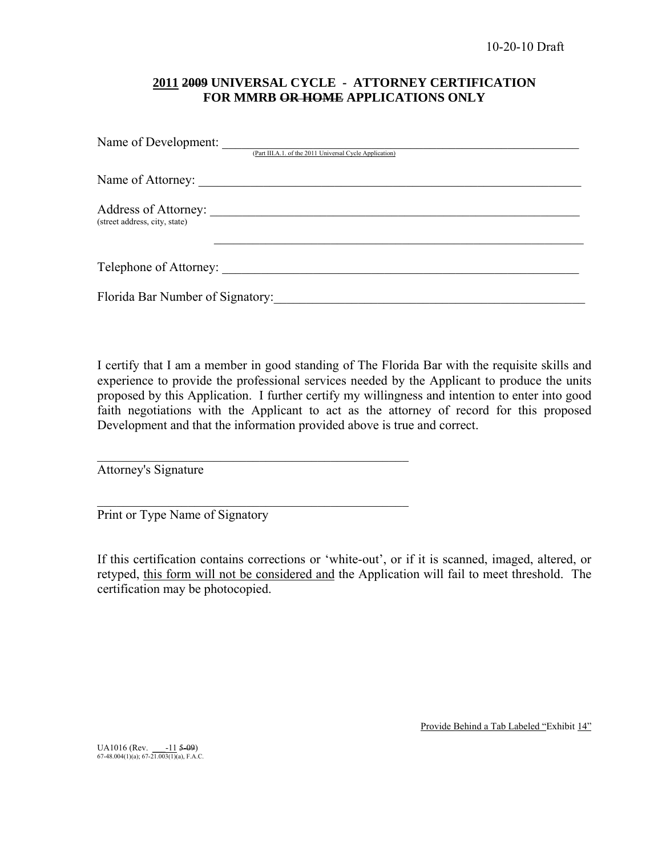### **2011 2009 UNIVERSAL CYCLE - ATTORNEY CERTIFICATION FOR MMRB OR HOME APPLICATIONS ONLY**

| Name of Development:             | (Part III.A.1. of the 2011 Universal Cycle Application) |
|----------------------------------|---------------------------------------------------------|
|                                  |                                                         |
| (street address, city, state)    |                                                         |
|                                  | Telephone of Attorney:                                  |
| Florida Bar Number of Signatory: |                                                         |

I certify that I am a member in good standing of The Florida Bar with the requisite skills and experience to provide the professional services needed by the Applicant to produce the units proposed by this Application. I further certify my willingness and intention to enter into good faith negotiations with the Applicant to act as the attorney of record for this proposed Development and that the information provided above is true and correct.

Attorney's Signature

Print or Type Name of Signatory

 $\mathcal{L}_\text{max}$  , and the set of the set of the set of the set of the set of the set of the set of the set of the set of the set of the set of the set of the set of the set of the set of the set of the set of the set of the

 $\mathcal{L}_\text{max}$  and the contract of the contract of the contract of the contract of the contract of the contract of the contract of the contract of the contract of the contract of the contract of the contract of the contrac

If this certification contains corrections or 'white-out', or if it is scanned, imaged, altered, or retyped, this form will not be considered and the Application will fail to meet threshold. The certification may be photocopied.

Provide Behind a Tab Labeled "Exhibit 14"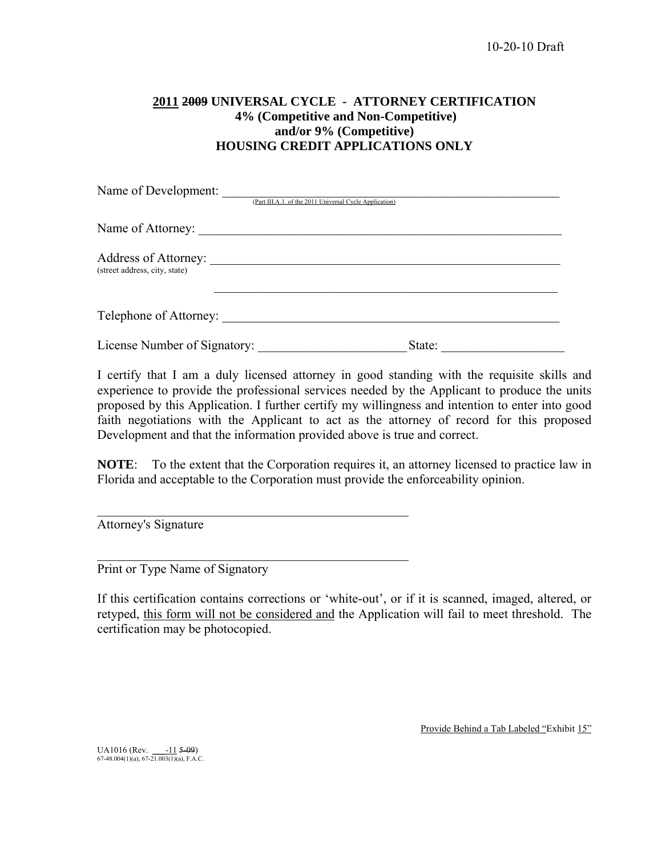### **2011 2009 UNIVERSAL CYCLE - ATTORNEY CERTIFICATION 4% (Competitive and Non-Competitive) and/or 9% (Competitive) HOUSING CREDIT APPLICATIONS ONLY**

| Name of Development:                                         |                                                         |        |  |
|--------------------------------------------------------------|---------------------------------------------------------|--------|--|
|                                                              | (Part III.A.1. of the 2011 Universal Cycle Application) |        |  |
| Name of Attorney:                                            |                                                         |        |  |
| Address of Attorney: ______<br>(street address, city, state) |                                                         |        |  |
| Telephone of Attorney:                                       |                                                         |        |  |
| License Number of Signatory:                                 |                                                         | State: |  |

I certify that I am a duly licensed attorney in good standing with the requisite skills and experience to provide the professional services needed by the Applicant to produce the units proposed by this Application. I further certify my willingness and intention to enter into good faith negotiations with the Applicant to act as the attorney of record for this proposed Development and that the information provided above is true and correct.

**NOTE**: To the extent that the Corporation requires it, an attorney licensed to practice law in Florida and acceptable to the Corporation must provide the enforceability opinion.

Attorney's Signature

Print or Type Name of Signatory

 $\mathcal{L}_\text{max}$  , and the set of the set of the set of the set of the set of the set of the set of the set of the set of the set of the set of the set of the set of the set of the set of the set of the set of the set of the

 $\mathcal{L}_\text{max}$  , and the set of the set of the set of the set of the set of the set of the set of the set of the set of the set of the set of the set of the set of the set of the set of the set of the set of the set of the

If this certification contains corrections or 'white-out', or if it is scanned, imaged, altered, or retyped, this form will not be considered and the Application will fail to meet threshold. The certification may be photocopied.

Provide Behind a Tab Labeled "Exhibit 15"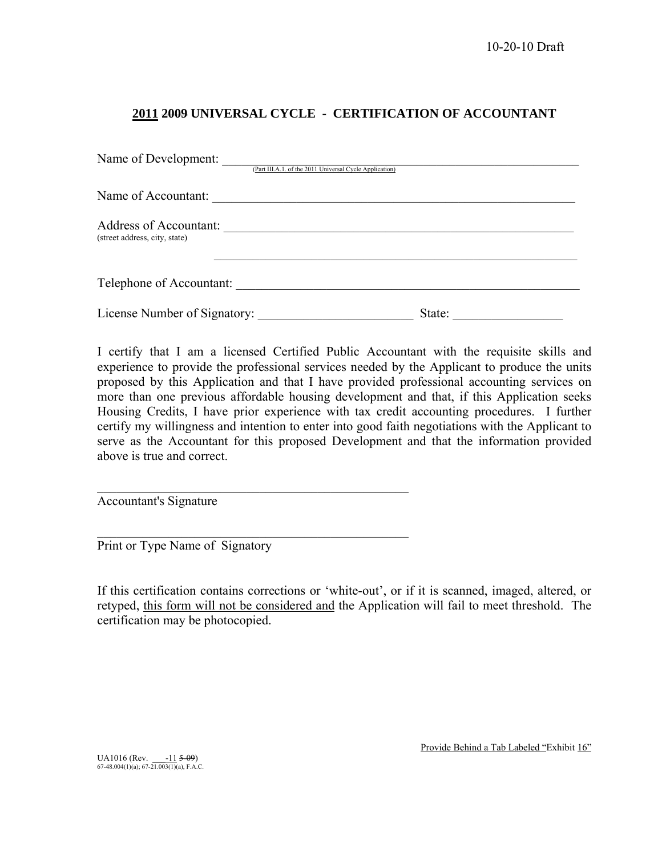### **2011 2009 UNIVERSAL CYCLE - CERTIFICATION OF ACCOUNTANT**

| Name of Development:                                           |                                                         |        |
|----------------------------------------------------------------|---------------------------------------------------------|--------|
|                                                                | (Part III.A.1. of the 2011 Universal Cycle Application) |        |
| Name of Accountant:                                            |                                                         |        |
| <b>Address of Accountant:</b><br>(street address, city, state) |                                                         |        |
| Telephone of Accountant:                                       |                                                         |        |
| License Number of Signatory:                                   |                                                         | State: |

I certify that I am a licensed Certified Public Accountant with the requisite skills and experience to provide the professional services needed by the Applicant to produce the units proposed by this Application and that I have provided professional accounting services on more than one previous affordable housing development and that, if this Application seeks Housing Credits, I have prior experience with tax credit accounting procedures. I further certify my willingness and intention to enter into good faith negotiations with the Applicant to serve as the Accountant for this proposed Development and that the information provided above is true and correct.

Accountant's Signature

Print or Type Name of Signatory

 $\mathcal{L}_\text{max}$  , and the set of the set of the set of the set of the set of the set of the set of the set of the set of the set of the set of the set of the set of the set of the set of the set of the set of the set of the

 $\mathcal{L}_\text{max}$  , and the set of the set of the set of the set of the set of the set of the set of the set of the set of the set of the set of the set of the set of the set of the set of the set of the set of the set of the

If this certification contains corrections or 'white-out', or if it is scanned, imaged, altered, or retyped, this form will not be considered and the Application will fail to meet threshold. The certification may be photocopied.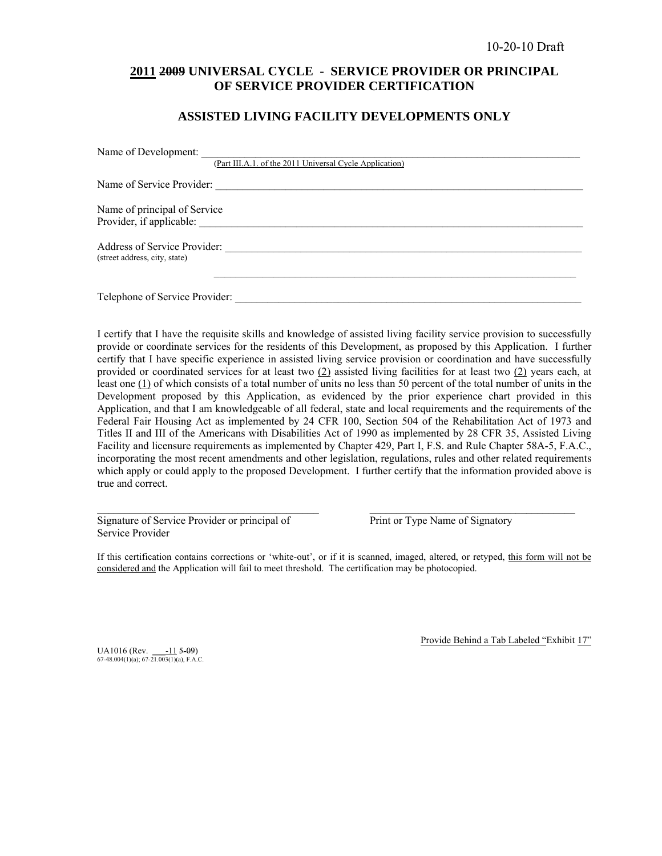### **2011 2009 UNIVERSAL CYCLE - SERVICE PROVIDER OR PRINCIPAL OF SERVICE PROVIDER CERTIFICATION**

### **ASSISTED LIVING FACILITY DEVELOPMENTS ONLY**

| Name of Development:           |                                                         |
|--------------------------------|---------------------------------------------------------|
|                                | (Part III.A.1. of the 2011 Universal Cycle Application) |
|                                | Name of Service Provider:                               |
| Name of principal of Service   |                                                         |
| Provider, if applicable:       |                                                         |
| Address of Service Provider:   |                                                         |
| (street address, city, state)  |                                                         |
|                                |                                                         |
| Telephone of Service Provider: |                                                         |

I certify that I have the requisite skills and knowledge of assisted living facility service provision to successfully provide or coordinate services for the residents of this Development, as proposed by this Application. I further certify that I have specific experience in assisted living service provision or coordination and have successfully provided or coordinated services for at least two  $(2)$  assisted living facilities for at least two  $(2)$  years each, at least one  $(1)$  of which consists of a total number of units no less than 50 percent of the total number of units in the Development proposed by this Application, as evidenced by the prior experience chart provided in this Application, and that I am knowledgeable of all federal, state and local requirements and the requirements of the Federal Fair Housing Act as implemented by 24 CFR 100, Section 504 of the Rehabilitation Act of 1973 and Titles II and III of the Americans with Disabilities Act of 1990 as implemented by 28 CFR 35, Assisted Living Facility and licensure requirements as implemented by Chapter 429, Part I, F.S. and Rule Chapter 58A-5, F.A.C., incorporating the most recent amendments and other legislation, regulations, rules and other related requirements which apply or could apply to the proposed Development. I further certify that the information provided above is true and correct.

Signature of Service Provider or principal of Print or Type Name of Signatory Service Provider

If this certification contains corrections or 'white-out', or if it is scanned, imaged, altered, or retyped, this form will not be considered and the Application will fail to meet threshold. The certification may be photocopied.

 $\_$  , and the state of the state of the state of the state of the state of the state of the state of the state of the state of the state of the state of the state of the state of the state of the state of the state of the

UA1016 (Rev.  $\frac{-11}{67-48.004(1)(a)}$ ; 67-21.003(1)(a), F.A.C.

Provide Behind a Tab Labeled "Exhibit 17"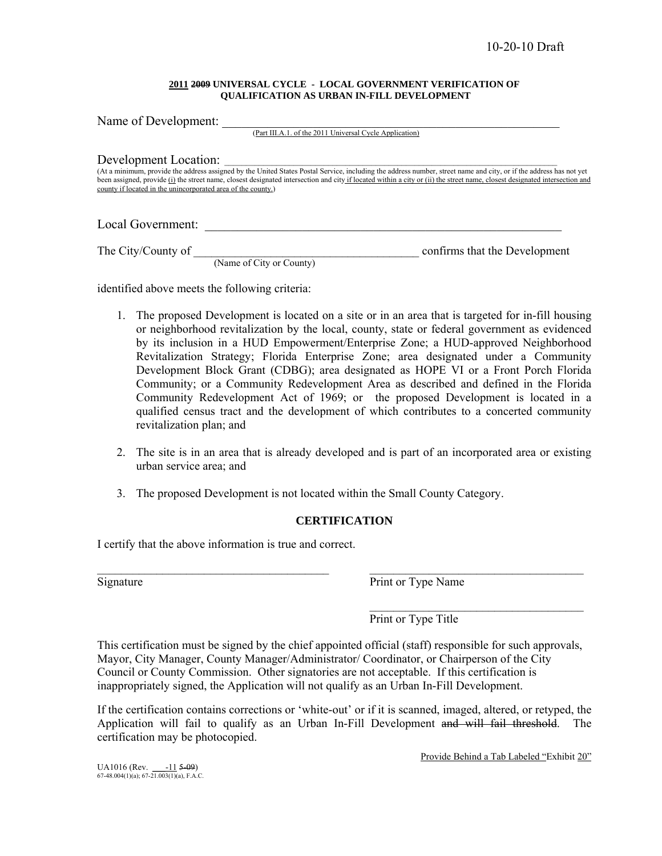#### **2011 2009 UNIVERSAL CYCLE - LOCAL GOVERNMENT VERIFICATION OF QUALIFICATION AS URBAN IN-FILL DEVELOPMENT**

| Name of Development:                                         |                                                         |                                                                                                                                                                                                                                                                                                                                                  |
|--------------------------------------------------------------|---------------------------------------------------------|--------------------------------------------------------------------------------------------------------------------------------------------------------------------------------------------------------------------------------------------------------------------------------------------------------------------------------------------------|
|                                                              | (Part III.A.1. of the 2011 Universal Cycle Application) |                                                                                                                                                                                                                                                                                                                                                  |
|                                                              |                                                         |                                                                                                                                                                                                                                                                                                                                                  |
| Development Location:                                        |                                                         |                                                                                                                                                                                                                                                                                                                                                  |
| county if located in the unincorporated area of the county.) |                                                         | (At a minimum, provide the address assigned by the United States Postal Service, including the address number, street name and city, or if the address has not yet<br>been assigned, provide (i) the street name, closest designated intersection and city if located within a city or (ii) the street name, closest designated intersection and |
| Local Government:                                            |                                                         |                                                                                                                                                                                                                                                                                                                                                  |
| The City/County of                                           | (Name of City or County)                                | confirms that the Development                                                                                                                                                                                                                                                                                                                    |

identified above meets the following criteria:

- 1. The proposed Development is located on a site or in an area that is targeted for in-fill housing or neighborhood revitalization by the local, county, state or federal government as evidenced by its inclusion in a HUD Empowerment/Enterprise Zone; a HUD-approved Neighborhood Revitalization Strategy; Florida Enterprise Zone; area designated under a Community Development Block Grant (CDBG); area designated as HOPE VI or a Front Porch Florida Community; or a Community Redevelopment Area as described and defined in the Florida Community Redevelopment Act of 1969; or the proposed Development is located in a qualified census tract and the development of which contributes to a concerted community revitalization plan; and
- 2. The site is in an area that is already developed and is part of an incorporated area or existing urban service area; and
- 3. The proposed Development is not located within the Small County Category.

### **CERTIFICATION**

 $\mathcal{L}_\mathcal{L} = \{ \mathcal{L}_\mathcal{L} = \{ \mathcal{L}_\mathcal{L} = \{ \mathcal{L}_\mathcal{L} = \{ \mathcal{L}_\mathcal{L} = \{ \mathcal{L}_\mathcal{L} = \{ \mathcal{L}_\mathcal{L} = \{ \mathcal{L}_\mathcal{L} = \{ \mathcal{L}_\mathcal{L} = \{ \mathcal{L}_\mathcal{L} = \{ \mathcal{L}_\mathcal{L} = \{ \mathcal{L}_\mathcal{L} = \{ \mathcal{L}_\mathcal{L} = \{ \mathcal{L}_\mathcal{L} = \{ \mathcal{L}_\mathcal{$ 

I certify that the above information is true and correct.

Signature Print or Type Name

 $\mathcal{L}_\text{max}$  and  $\mathcal{L}_\text{max}$  and  $\mathcal{L}_\text{max}$  and  $\mathcal{L}_\text{max}$  and  $\mathcal{L}_\text{max}$ Print or Type Title

This certification must be signed by the chief appointed official (staff) responsible for such approvals, Mayor, City Manager, County Manager/Administrator/ Coordinator, or Chairperson of the City Council or County Commission. Other signatories are not acceptable. If this certification is inappropriately signed, the Application will not qualify as an Urban In-Fill Development.

If the certification contains corrections or 'white-out' or if it is scanned, imaged, altered, or retyped, the Application will fail to qualify as an Urban In-Fill Development and will fail threshold. The certification may be photocopied.

Provide Behind a Tab Labeled "Exhibit 20"

UA1016 (Rev.  $\frac{-11}{67-48.004(1)(a)}$ ; 67-21.003(1)(a), F.A.C.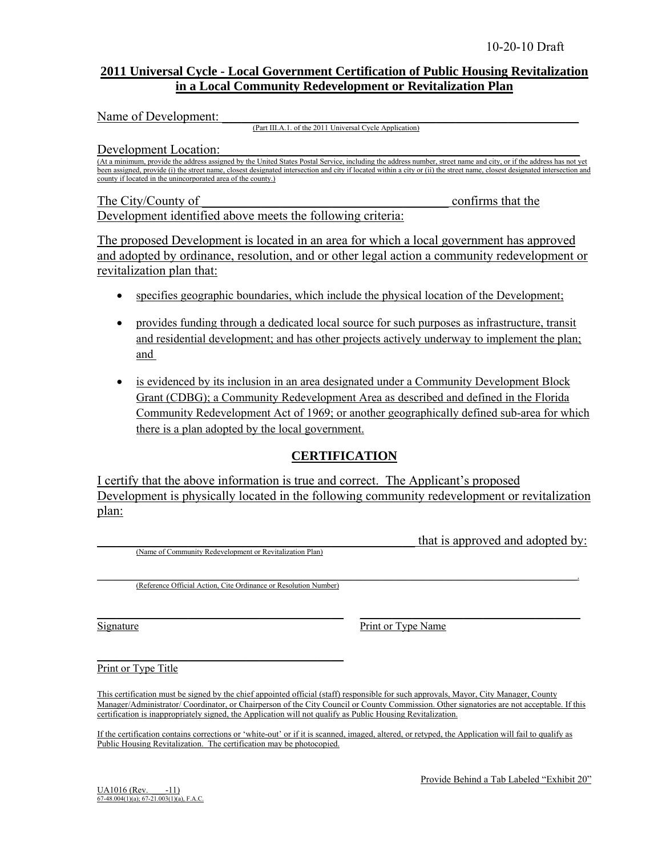### **2011 Universal Cycle - Local Government Certification of Public Housing Revitalization in a Local Community Redevelopment or Revitalization Plan**

Name of Development:

(Part III.A.1. of the 2011 Universal Cycle Application)

Development Location:

(At a minimum, provide the address assigned by the United States Postal Service, including the address number, street name and city, or if the address has not yet been assigned, provide (i) the street name, closest designated intersection and city if located within a city or (ii) the street name, closest designated intersection and county if located in the unincorporated area of the county.)

The City/County of The City/County of  $\sim$ Development identified above meets the following criteria:

The proposed Development is located in an area for which a local government has approved and adopted by ordinance, resolution, and or other legal action a community redevelopment or revitalization plan that:

- specifies geographic boundaries, which include the physical location of the Development;
- provides funding through a dedicated local source for such purposes as infrastructure, transit and residential development; and has other projects actively underway to implement the plan; and
- is evidenced by its inclusion in an area designated under a Community Development Block Grant (CDBG); a Community Redevelopment Area as described and defined in the Florida Community Redevelopment Act of 1969; or another geographically defined sub-area for which there is a plan adopted by the local government.

### **CERTIFICATION**

I certify that the above information is true and correct. The Applicant's proposed Development is physically located in the following community redevelopment or revitalization plan:

(Name of Community Redevelopment or Revitalization Plan)

that is approved and adopted by:

 $\mathcal{L}_\mathcal{L} = \mathcal{L}_\mathcal{L} = \mathcal{L}_\mathcal{L} = \mathcal{L}_\mathcal{L} = \mathcal{L}_\mathcal{L} = \mathcal{L}_\mathcal{L} = \mathcal{L}_\mathcal{L} = \mathcal{L}_\mathcal{L} = \mathcal{L}_\mathcal{L} = \mathcal{L}_\mathcal{L} = \mathcal{L}_\mathcal{L} = \mathcal{L}_\mathcal{L} = \mathcal{L}_\mathcal{L} = \mathcal{L}_\mathcal{L} = \mathcal{L}_\mathcal{L} = \mathcal{L}_\mathcal{L} = \mathcal{L}_\mathcal{L}$ (Reference Official Action, Cite Ordinance or Resolution Number)

 $\overline{\phantom{a}}$  , where  $\overline{\phantom{a}}$  , where  $\overline{\phantom{a}}$  ,  $\overline{\phantom{a}}$  ,  $\overline{\phantom{a}}$  ,  $\overline{\phantom{a}}$  ,  $\overline{\phantom{a}}$  ,  $\overline{\phantom{a}}$  ,  $\overline{\phantom{a}}$  ,  $\overline{\phantom{a}}$  ,  $\overline{\phantom{a}}$  ,  $\overline{\phantom{a}}$  ,  $\overline{\phantom{a}}$  ,  $\overline{\phantom{a}}$  ,  $\overline{\phantom{a}}$  ,

Signature Print or Type Name

Print or Type Title

This certification must be signed by the chief appointed official (staff) responsible for such approvals, Mayor, City Manager, County Manager/Administrator/ Coordinator, or Chairperson of the City Council or County Commission. Other signatories are not acceptable. If this certification is inappropriately signed, the Application will not qualify as Public Housing Revitalization.

\_\_\_\_\_\_\_\_\_\_\_\_\_\_\_\_\_\_\_\_\_\_\_\_\_\_\_\_\_\_\_\_\_\_\_\_\_\_ \_\_\_\_\_\_\_\_\_\_\_\_\_\_\_\_\_\_\_\_\_\_\_\_\_\_\_\_\_\_\_\_\_\_

If the certification contains corrections or 'white-out' or if it is scanned, imaged, altered, or retyped, the Application will fail to qualify as Public Housing Revitalization. The certification may be photocopied.

 $\underline{UA1016}$  (Rev.  $-11$ )<br>
67-48.004(1)(a); 67-21.003(1)(a), F.A.C.

Provide Behind a Tab Labeled "Exhibit 20"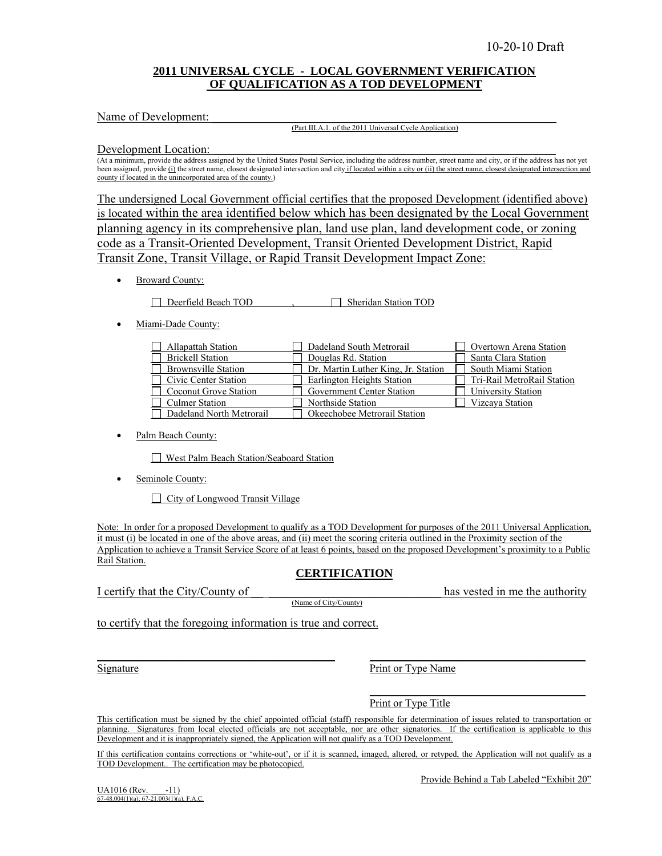### **2011 UNIVERSAL CYCLE - LOCAL GOVERNMENT VERIFICATION OF QUALIFICATION AS A TOD DEVELOPMENT**

Name of Development:

#### (Part III.A.1. of the 2011 Universal Cycle Application)

Development Location:

(At a minimum, provide the address assigned by the United States Postal Service, including the address number, street name and city, or if the address has not yet been assigned, provide (i) the street name, closest designated intersection and city if located within a city or (ii) the street name, closest designated intersection and county if located in the unincorporated area of the county.)

The undersigned Local Government official certifies that the proposed Development (identified above) is located within the area identified below which has been designated by the Local Government planning agency in its comprehensive plan, land use plan, land development code, or zoning code as a Transit-Oriented Development, Transit Oriented Development District, Rapid Transit Zone, Transit Village, or Rapid Transit Development Impact Zone:

• Broward County:

Deerfield Beach TOD , Sheridan Station TOD

• Miami-Dade County:

| Allapattah Station         | Dadeland South Metrorail            | Overtown Arena Station     |
|----------------------------|-------------------------------------|----------------------------|
| $\Box$ Brickell Station    | Douglas Rd. Station                 | Santa Clara Station        |
| $\Box$ Brownsville Station | Dr. Martin Luther King, Jr. Station | South Miami Station        |
| □ Civic Center Station     | Earlington Heights Station          | Tri-Rail MetroRail Station |
| □ Coconut Grove Station    | <b>Government Center Station</b>    | University Station         |
| $\Box$ Culmer Station      | Northside Station                   | Vizcava Station            |
| Dadeland North Metrorail   | Okeechobee Metrorail Station        |                            |

Palm Beach County:

West Palm Beach Station/Seaboard Station

• Seminole County:

City of Longwood Transit Village

Note: In order for a proposed Development to qualify as a TOD Development for purposes of the 2011 Universal Application, it must (i) be located in one of the above areas, and (ii) meet the scoring criteria outlined in the Proximity section of the Application to achieve a Transit Service Score of at least 6 points, based on the proposed Development's proximity to a Public Rail Station.

### **CERTIFICATION**

I certify that the City/County of  $\frac{1}{Name\ of\ City\ County}$  has vested in me the authority

to certify that the foregoing information is true and correct.

Signature Print or Type Name

Print or Type Title

This certification must be signed by the chief appointed official (staff) responsible for determination of issues related to transportation or planning. Signatures from local elected officials are not acceptable, nor are other signatories. If the certification is applicable to this Development and it is inappropriately signed, the Application will not qualify as a TOD Development.

\_\_\_\_\_\_\_\_\_\_\_\_\_\_\_\_\_\_\_\_\_\_\_\_\_\_\_\_\_\_\_\_\_\_\_\_\_\_\_\_\_\_\_\_ \_\_\_\_\_\_\_\_\_\_\_\_\_\_\_\_\_\_\_\_\_\_\_\_\_\_\_\_\_\_\_\_\_\_\_\_\_\_\_\_

\_\_\_\_\_\_\_\_\_\_\_\_\_\_\_\_\_\_\_\_\_\_\_\_\_\_\_\_\_\_\_\_\_\_\_\_\_\_\_\_

If this certification contains corrections or 'white-out', or if it is scanned, imaged, altered, or retyped, the Application will not qualify as a TOD Development.. The certification may be photocopied.

Provide Behind a Tab Labeled "Exhibit 20"

 $\underline{UA1016}$  (Rev.  $-11$ )<br>
67-48.004(1)(a); 67-21.003(1)(a), F.A.C.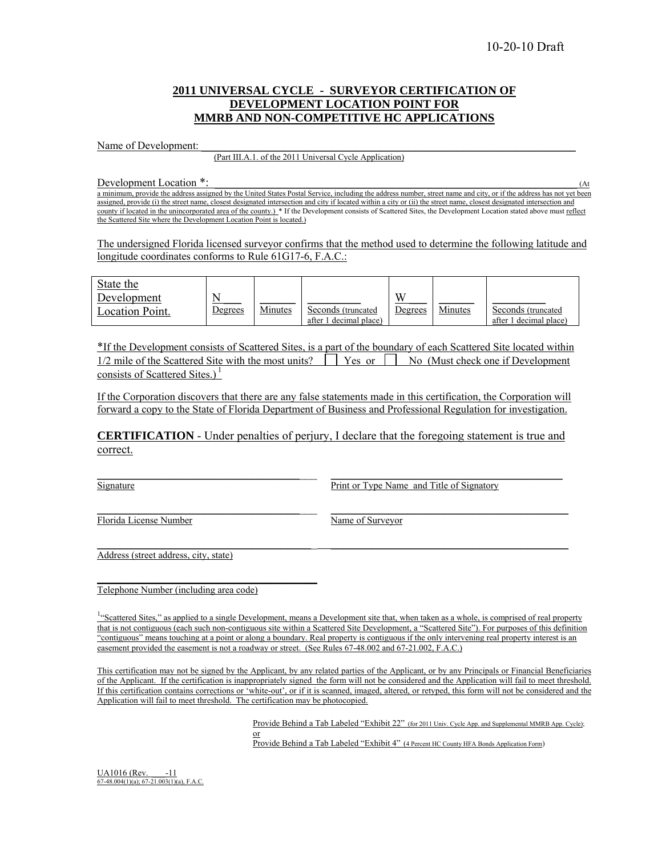### **2011 UNIVERSAL CYCLE - SURVEYOR CERTIFICATION OF DEVELOPMENT LOCATION POINT FOR MMRB AND NON-COMPETITIVE HC APPLICATIONS**

# Name of Development: <br>(Part III.A.1. of the 2011 Universal Cycle Application)

Development Location  $*$ :  $\qquad(4)$ 

a minimum, provide the address assigned by the United States Postal Service, including the address number, street name and city, or if the address has not yet been assigned, provide (i) the street name, closest designated intersection and city if located within a city or (ii) the street name, closest designated intersection and county if located in the unincorporated area of the county.) \* If the Development consists of Scattered Sites, the Development Location stated above must reflect the Scattered Site where the Development Location Point is located.)

The undersigned Florida licensed surveyor confirms that the method used to determine the following latitude and longitude coordinates conforms to Rule 61G17-6, F.A.C.:

| State the<br>Development<br>Location Point. | N<br>Degrees | Minutes | Seconds (truncated<br>after 1 decimal place) | W<br>Degrees | Minutes | Seconds (truncated<br>decimal place)<br>after 1 |
|---------------------------------------------|--------------|---------|----------------------------------------------|--------------|---------|-------------------------------------------------|
|---------------------------------------------|--------------|---------|----------------------------------------------|--------------|---------|-------------------------------------------------|

\*If the Development consists of Scattered Sites, is a part of the boundary of each Scattered Site located within  $1/2$  mile of the Scattered Site with the most units?  $\Box$  Yes or  $\Box$  No (Must check one if Development consists of Scattered Sites.) $<sup>1</sup>$ </sup>

If the Corporation discovers that there are any false statements made in this certification, the Corporation will forward a copy to the State of Florida Department of Business and Professional Regulation for investigation.

**CERTIFICATION** - Under penalties of perjury, I declare that the foregoing statement is true and correct.

\_\_\_\_\_\_\_\_\_\_\_\_\_\_\_\_\_\_\_\_\_\_\_\_\_\_\_\_\_\_\_\_\_\_\_\_\_ \_\_\_\_\_\_\_\_\_\_\_\_\_\_\_\_\_\_\_\_\_\_\_\_\_\_\_\_\_\_\_\_\_\_\_\_\_\_\_\_

Signature **Example 2.1 Signature** Print or Type Name and Title of Signatory

Florida License Number<br>Name of Surveyor

Address (street address, city, state)

Telephone Number (including area code)

 $\mathcal{L}_\text{max}$  and  $\mathcal{L}_\text{max}$  and  $\mathcal{L}_\text{max}$  and  $\mathcal{L}_\text{max}$ 

<sup>1,4</sup>Scattered Sites," as applied to a single Development, means a Development site that, when taken as a whole, is comprised of real property that is not contiguous (each such non-contiguous site within a Scattered Site Development, a "Scattered Site"). For purposes of this definition "contiguous" means touching at a point or along a boundary. Real property is contiguous if the only intervening real property interest is an easement provided the easement is not a roadway or street. (See Rules 67-48.002 and 67-21.002, F.A.C.)

This certification may not be signed by the Applicant, by any related parties of the Applicant, or by any Principals or Financial Beneficiaries of the Applicant. If the certification is inappropriately signed the form will not be considered and the Application will fail to meet threshold. If this certification contains corrections or 'white-out', or if it is scanned, imaged, altered, or retyped, this form will not be considered and the Application will fail to meet threshold. The certification may be photocopied.

Provide Behind a Tab Labeled "Exhibit 22" (for 2011 Univ. Cycle App. and Supplemental MMRB App. Cycle);  $\frac{24}{\alpha}$ Provide Behind a Tab Labeled "Exhibit 4" (4 Percent HC County HFA Bonds Application Form)

 $\underline{UA1016}$  (Rev.  $-11$ <br>67-48.004(1)(a); 67-21.003(1)(a), F.A.C.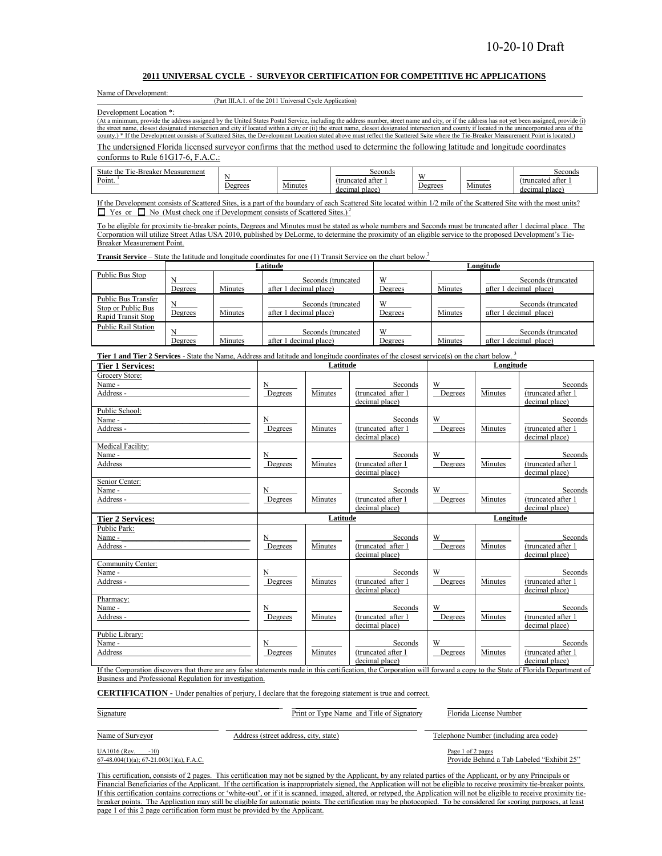#### **2011 UNIVERSAL CYCLE - SURVEYOR CERTIFICATION FOR COMPETITIVE HC APPLICATIONS**

| Name of Development: |  |
|----------------------|--|
|                      |  |

(Part III.A.1. of the 2011 Universal Cycle Application)

Development Location \*:

(At a minimum, provide the address assigned by the United States Postal Service, including the address number, street name and city, or if the address has not yet been assigned, provide (i)

the street name, closest designated intersection and city if located within a city or (ii) the street name, closest designated intersection and county if located in the unincorporated area of the county.) \* If the Development consists of Scattered Sites, the Development Location stated above must reflect the Scattered Ssite where the Tie-Breaker Measurement Point is located.)

The undersigned Florida licensed surveyor confirms that the method used to determine the following latitude and longitude coordinates conforms to Rule 61G17-6, F.A.C.:

| $\sim$<br>$\sim$<br>state<br>Measurement<br>` the<br>Breakei<br><sub>1e</sub><br>×<br>Point. | DUEIUUS | .<br>4mutes | seconds<br>(truncated after<br>, place<br>decimal | $- -$<br>Jegrees | $-$<br>Minute | Seconds<br>(truncated after<br>decimal<br>place |
|----------------------------------------------------------------------------------------------|---------|-------------|---------------------------------------------------|------------------|---------------|-------------------------------------------------|
|----------------------------------------------------------------------------------------------|---------|-------------|---------------------------------------------------|------------------|---------------|-------------------------------------------------|

If the Development consists of Scattered Sites, is a part of the boundary of each Scattered Site located within 1/2 mile of the Scattered Site with the most units?  $\Box$  Yes or  $\Box$  No (Must check one if Development consists of Scattered Sites.)<sup>2</sup>

To be eligible for proximity tie-breaker points, Degrees and Minutes must be stated as whole numbers and Seconds must be truncated after 1 decimal place. The Corporation will utilize Street Atlas USA 2010, published by DeLorme, to determine the proximity of an eligible service to the proposed Development's Tie-Breaker Measurement Point.

**Transit Service** – State the latitude and longitude coordinates for one (1) Transit Service on the chart below.<sup>3</sup>

|                                                                 |         |         | Latitude                                     | Longitude    |         |                                               |  |
|-----------------------------------------------------------------|---------|---------|----------------------------------------------|--------------|---------|-----------------------------------------------|--|
| Public Bus Stop                                                 | Degrees | Minutes | Seconds (truncated<br>after 1 decimal place) | W<br>Degrees | Minutes | Seconds (truncated<br>after 1 decimal place)  |  |
| Public Bus Transfer<br>Stop or Public Bus<br>Rapid Transit Stop | Degrees | Minutes | Seconds (truncated<br>after 1 decimal place) | W<br>Degrees | Minutes | Seconds (truncated<br>after 1 decimal place)  |  |
| <b>Public Rail Station</b>                                      | Degrees | Minutes | Seconds (truncated<br>after 1 decimal place) | W<br>Degrees | Minutes | Seconds (truncated)<br>after 1 decimal place) |  |

**Tier 1 and Tier 2 Services** - State the Name, Address and latitude and longitude coordinates of the closest service(s) on the chart below.<sup>3</sup>

| <b>Tier 1 Services:</b>                             |              | Latitude |                                                 | Longitude    |           |                                                 |  |
|-----------------------------------------------------|--------------|----------|-------------------------------------------------|--------------|-----------|-------------------------------------------------|--|
| Grocery Store:<br>Name -<br>Address -               | N<br>Degrees | Minutes  | Seconds<br>(truncated after 1<br>decimal place) | W<br>Degrees | Minutes   | Seconds<br>(truncated after 1<br>decimal place) |  |
| Public School:<br>Name -<br>Address -               | N<br>Degrees | Minutes  | Seconds<br>(truncated after 1<br>decimal place) | W<br>Degrees | Minutes   | Seconds<br>(truncated after 1<br>decimal place) |  |
| Medical Facility:<br>Name -<br>Address              | N<br>Degrees | Minutes  | Seconds<br>(truncated after 1<br>decimal place) | W<br>Degrees | Minutes   | Seconds<br>(truncated after 1<br>decimal place) |  |
| Senior Center:<br>Name -<br>Address -               | N<br>Degrees | Minutes  | Seconds<br>(truncated after 1<br>decimal place) | W<br>Degrees | Minutes   | Seconds<br>(truncated after 1<br>decimal place) |  |
|                                                     | Latitude     |          |                                                 |              |           |                                                 |  |
| <b>Tier 2 Services:</b>                             |              |          |                                                 |              | Longitude |                                                 |  |
| Public Park:<br>Name -<br>Address -                 | N<br>Degrees | Minutes  | Seconds<br>(truncated after 1<br>decimal place) | W<br>Degrees | Minutes   | Seconds<br>(truncated after 1<br>decimal place) |  |
| Community Center:<br>Name -<br>Address -            | N<br>Degrees | Minutes  | Seconds<br>(truncated after 1<br>decimal place) | W<br>Degrees | Minutes   | Seconds<br>(truncated after 1<br>decimal place) |  |
| Pharmacy:<br>Name -<br>Address -<br>Public Library: | N<br>Degrees | Minutes  | Seconds<br>(truncated after 1<br>decimal place) | W<br>Degrees | Minutes   | Seconds<br>(truncated after 1<br>decimal place) |  |

If the Corporation discovers that there are any false statements made in this certification, the Corporation will forward a copy to the State of Florida Department of Business and Professional Regulation for investigation.

 $\_$  ,  $\_$  ,  $\_$  ,  $\_$  ,  $\_$  ,  $\_$  ,  $\_$  ,  $\_$  ,  $\_$  ,  $\_$  ,  $\_$  ,  $\_$  ,  $\_$  ,  $\_$  ,  $\_$  ,  $\_$  ,  $\_$  ,  $\_$  ,  $\_$  ,  $\_$  ,  $\_$  ,  $\_$  ,  $\_$  ,  $\_$  ,  $\_$  ,  $\_$  ,  $\_$  ,  $\_$  ,  $\_$  ,  $\_$  ,  $\_$  ,  $\_$  ,  $\_$  ,  $\_$  ,  $\_$  ,  $\_$  ,  $\_$  ,

**CERTIFICATION** - Under penalties of perjury, I declare that the foregoing statement is true and correct.

Signature **Print or Type Name and Title of Signatory Print and Title of Signatory Print and Title of Signatory** 

 $\_$  , and the state of the state of the state of the state of the state of the state of the state of the state of the state of the state of the state of the state of the state of the state of the state of the state of the

Name of Surveyor Address (street address, city, state) Telephone Number (including area code)

Provide Behind a Tab Labeled "Exhibit 25"

UA1016 (Rev. -10)<br>
67-48.004(1)(a); 67-21.003(1)(a), F.A.C.<br>
Provide Behind

This certification, consists of 2 pages. This certification may not be signed by the Applicant, by any related parties of the Applicant, or by any Principals or Financial Beneficiaries of the Applicant. If the certification is inappropriately signed, the Application will not be eligible to receive proximity tie-breaker points. If this certification contains corrections or 'white-out', or if it is scanned, imaged, altered, or retyped, the Application will not be eligible to receive proximity tiebreaker points. The Application may still be eligible for automatic points. The certification may be photocopied. To be considered for scoring purposes, at least page 1 of this 2 page certification form must be provided by the Applicant.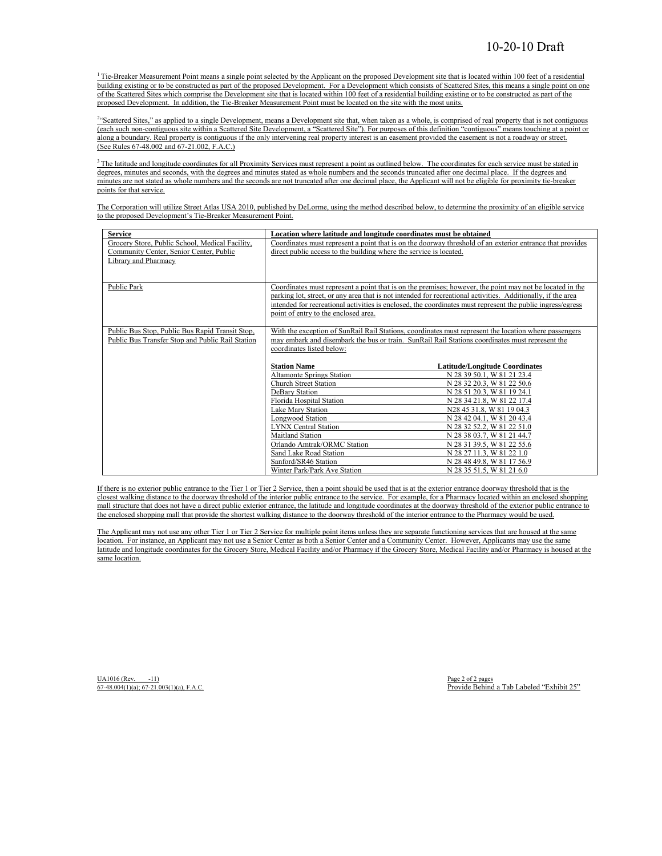$1$ <sup>T</sup>ie-Breaker Measurement Point means a single point selected by the Applicant on the proposed Development site that is located within 100 feet of a residential building existing or to be constructed as part of the proposed Development. For a Development which consists of Scattered Sites, this means a single point on one of the Scattered Sites which comprise the Development site that is located within 100 feet of a residential building existing or to be constructed as part of the proposed Development. In addition, the Tie-Breaker Measurement Point must be located on the site with the most units.

<sup>24c</sup>Scattered Sites," as applied to a single Development, means a Development site that, when taken as a whole, is comprised of real property that is not contiguous (each such non-contiguous site within a Scattered Site Development, a "Scattered Site"). For purposes of this definition "contiguous" means touching at a point or along a boundary. Real property is contiguous if the only intervening real property interest is an easement provided the easement is not a roadway or street. (See Rules 67-48.002 and 67-21.002, F.A.C.)

<sup>3</sup>The latitude and longitude coordinates for all Proximity Services must represent a point as outlined below. The coordinates for each service must be stated in degrees, minutes and seconds, with the degrees and minutes stated as whole numbers and the seconds truncated after one decimal place. If the degrees and minutes are not stated as whole numbers and the seconds are not truncated after one decimal place, the Applicant will not be eligible for proximity tie-breaker points for that service.

 The Corporation will utilize Street Atlas USA 2010, published by DeLorme, using the method described below, to determine the proximity of an eligible service to the proposed Development's Tie-Breaker Measurement Point.

| <b>Service</b>                                   | Location where latitude and longitude coordinates must be obtained                                           |                                       |  |  |  |  |  |
|--------------------------------------------------|--------------------------------------------------------------------------------------------------------------|---------------------------------------|--|--|--|--|--|
| Grocery Store, Public School, Medical Facility,  | Coordinates must represent a point that is on the doorway threshold of an exterior entrance that provides    |                                       |  |  |  |  |  |
| Community Center, Senior Center, Public          | direct public access to the building where the service is located.                                           |                                       |  |  |  |  |  |
| Library and Pharmacy                             |                                                                                                              |                                       |  |  |  |  |  |
|                                                  |                                                                                                              |                                       |  |  |  |  |  |
| Public Park                                      | Coordinates must represent a point that is on the premises; however, the point may not be located in the     |                                       |  |  |  |  |  |
|                                                  | parking lot, street, or any area that is not intended for recreational activities. Additionally, if the area |                                       |  |  |  |  |  |
|                                                  | intended for recreational activities is enclosed, the coordinates must represent the public ingress/egress   |                                       |  |  |  |  |  |
|                                                  | point of entry to the enclosed area.                                                                         |                                       |  |  |  |  |  |
|                                                  |                                                                                                              |                                       |  |  |  |  |  |
| Public Bus Stop, Public Bus Rapid Transit Stop,  | With the exception of SunRail Rail Stations, coordinates must represent the location where passengers        |                                       |  |  |  |  |  |
| Public Bus Transfer Stop and Public Rail Station | may embark and disembark the bus or train. SunRail Rail Stations coordinates must represent the              |                                       |  |  |  |  |  |
|                                                  | coordinates listed below:                                                                                    |                                       |  |  |  |  |  |
|                                                  |                                                                                                              |                                       |  |  |  |  |  |
|                                                  | <b>Station Name</b>                                                                                          | <b>Latitude/Longitude Coordinates</b> |  |  |  |  |  |
|                                                  | <b>Altamonte Springs Station</b>                                                                             | N 28 39 50.1, W 81 21 23.4            |  |  |  |  |  |
|                                                  | <b>Church Street Station</b>                                                                                 | N 28 32 20.3, W 81 22 50.6            |  |  |  |  |  |
|                                                  | DeBary Station                                                                                               | N 28 51 20.3, W 81 19 24.1            |  |  |  |  |  |
|                                                  | Florida Hospital Station                                                                                     | N 28 34 21.8, W 81 22 17.4            |  |  |  |  |  |
|                                                  | Lake Mary Station                                                                                            | N28 45 31.8, W 81 19 04.3             |  |  |  |  |  |
|                                                  | <b>Longwood Station</b>                                                                                      | N 28 42 04.1, W 81 20 43.4            |  |  |  |  |  |
|                                                  | <b>LYNX Central Station</b>                                                                                  | N 28 32 52.2. W 81 22 51.0            |  |  |  |  |  |
|                                                  | <b>Maitland Station</b>                                                                                      | N 28 38 03.7, W 81 21 44.7            |  |  |  |  |  |
|                                                  | Orlando Amtrak/ORMC Station                                                                                  | N 28 31 39.5, W 81 22 55.6            |  |  |  |  |  |
|                                                  | Sand Lake Road Station                                                                                       | N 28 27 11.3, W 81 22 1.0             |  |  |  |  |  |
|                                                  | Sanford/SR46 Station                                                                                         | N 28 48 49.8, W 81 17 56.9            |  |  |  |  |  |
|                                                  | Winter Park/Park Ave Station                                                                                 | N 28 35 51.5, W 81 21 6.0             |  |  |  |  |  |

If there is no exterior public entrance to the Tier 1 or Tier 2 Service, then a point should be used that is at the exterior entrance doorway threshold that is the closest walking distance to the doorway threshold of the interior public entrance to the service. For example, for a Pharmacy located within an enclosed shopping mall structure that does not have a direct public exterior entrance, the latitude and longitude coordinates at the doorway threshold of the exterior public entrance to the enclosed shopping mall that provide the shortest walking distance to the doorway threshold of the interior entrance to the Pharmacy would be used.

The Applicant may not use any other Tier 1 or Tier 2 Service for multiple point items unless they are separate functioning services that are housed at the same location. For instance, an Applicant may not use a Senior Center as both a Senior Center and a Community Center. However, Applicants may use the same latitude and longitude coordinates for the Grocery Store, Medical Facility and/or Pharmacy if the Grocery Store, Medical Facility and/or Pharmacy is housed at the same location.

 $U$ A1016 (Rev.  $-11$ ) Page 2 of 2 pages

 $67-48.004(1)(a)$ ;  $67-21.003(1)(a)$ ,  $F.A.C.$ <br>Provide Behind a Tab Labeled "Exhibit 25"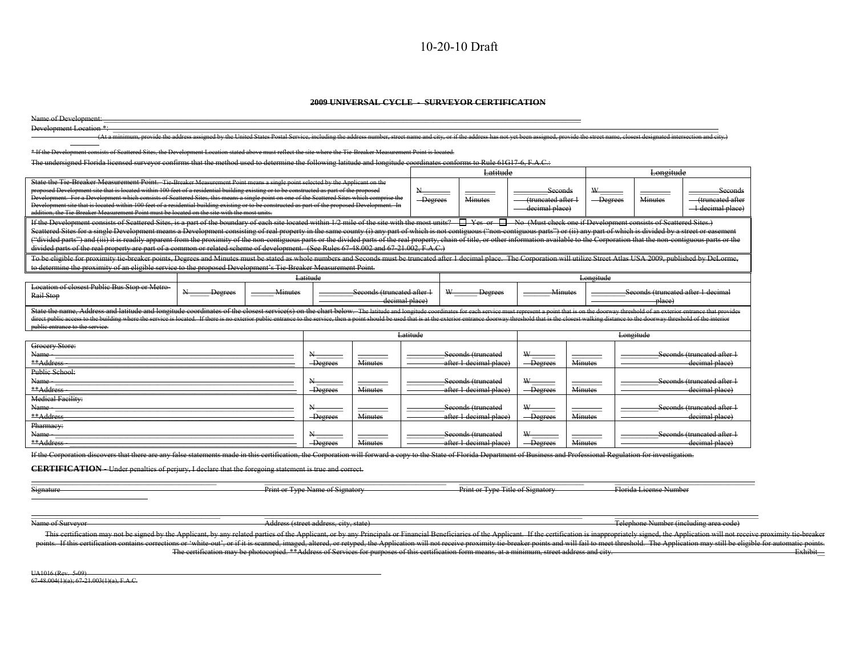#### 10-20-10 Draft

#### **2009 UNIVERSAL CYCLE - SURVEYOR CERTIFICATION**

|                                                                                                                                                                                                                                                                                                       |         |         |                                       | <del>2009 UNIVERSAL CYCLE</del> |                              | <del>SURVEYOR CERTIFICATION</del>                                                                                                                 |                    |                |                        |                                        |
|-------------------------------------------------------------------------------------------------------------------------------------------------------------------------------------------------------------------------------------------------------------------------------------------------------|---------|---------|---------------------------------------|---------------------------------|------------------------------|---------------------------------------------------------------------------------------------------------------------------------------------------|--------------------|----------------|------------------------|----------------------------------------|
| Name of Development:                                                                                                                                                                                                                                                                                  |         |         |                                       |                                 |                              |                                                                                                                                                   |                    |                |                        |                                        |
| Development Location *:                                                                                                                                                                                                                                                                               |         |         |                                       |                                 |                              |                                                                                                                                                   |                    |                |                        |                                        |
| (At a minimum, provide the address assigned by the United States Postal Service, including the address number, street name and city, or if the address has not yet been assigned, provide the street name, closest designated                                                                         |         |         |                                       |                                 |                              |                                                                                                                                                   |                    |                |                        |                                        |
| * If the Development consists of Scattered Sites, the Development Location stated above must reflect the site where the Tie-Breaker Measurement Point is located.                                                                                                                                     |         |         |                                       |                                 |                              |                                                                                                                                                   |                    |                |                        |                                        |
| The undersigned Florida licensed surveyor confirms that the method used to determine the following latitude and longitude coordinates conforms to Rule 61G17-6, F.A.C.:                                                                                                                               |         |         |                                       |                                 |                              |                                                                                                                                                   |                    |                |                        |                                        |
|                                                                                                                                                                                                                                                                                                       |         |         |                                       |                                 |                              | Latitude                                                                                                                                          |                    |                | Longitude              |                                        |
|                                                                                                                                                                                                                                                                                                       |         |         |                                       |                                 |                              |                                                                                                                                                   |                    |                |                        |                                        |
| State the Tie-Breaker Measurement Point. -Tie Breaker Measurement Point means a single point selected by the Applicant on the<br>proposed Development site that is located within 100 feet of a residential building existing or to be constructed as part of the proposed<br>W<br>Seconds<br>Seconds |         |         |                                       |                                 |                              |                                                                                                                                                   |                    |                |                        |                                        |
| Development. For a Development which consists of Scattered Sites, this means a single point on one of the Scattered Sites which comprise the                                                                                                                                                          |         |         |                                       |                                 | $-\overline{\text{Degrees}}$ | <b>Minutes</b>                                                                                                                                    | (truncated after 1 | -Degrees       | <b>Minutes</b>         | truncated after                        |
| Development site that is located within 100 feet of a residential building existing or to be constructed as part of the proposed Development. In<br>addition, the Tie-Breaker Measurement Point must be located on the site with the most units.                                                      |         |         |                                       |                                 |                              |                                                                                                                                                   | decimal place)     |                |                        | 1 decimal place)                       |
| If the Development consists of Scattered Sites, is a part of the boundary of each site located within 1/2 mile of the site with the most units? I Yes or I No (Must check one if Development consists of Scattered Sites.)                                                                            |         |         |                                       |                                 |                              |                                                                                                                                                   |                    |                |                        |                                        |
| Scattered Sites for a single Development means a Development consisting of real property in the same county (i) any part of which is not contiguous ("non-contiguous parts") or (ii) any part of which is divided by a street                                                                         |         |         |                                       |                                 |                              |                                                                                                                                                   |                    |                |                        |                                        |
| ("divided parts") and (iii) it is readily apparent from the proximity of the non-contiguous parts or the divided parts of the real property, chain of title, or other information available to the Corporation that the non-co                                                                        |         |         |                                       |                                 |                              |                                                                                                                                                   |                    |                |                        |                                        |
| divided parts of the real property are part of a common or related scheme of development. (See Rules 67-48.002 and 67-21.002, F.A.C.)                                                                                                                                                                 |         |         |                                       |                                 |                              |                                                                                                                                                   |                    |                |                        |                                        |
| To be eligible for proximity tie breaker points, Degrees and Minutes must be stated as whole numbers and Seconds must be truncated after 1 decimal place. The Corporation will utilize Street Atlas USA 2009, published by DeL                                                                        |         |         |                                       |                                 |                              |                                                                                                                                                   |                    |                |                        |                                        |
| to determine the proximity of an eligible service to the proposed Development's Tie-Breaker Measurement Point.                                                                                                                                                                                        |         |         |                                       |                                 |                              |                                                                                                                                                   |                    |                |                        |                                        |
|                                                                                                                                                                                                                                                                                                       |         |         | Latitude                              |                                 |                              |                                                                                                                                                   |                    | Longitude      |                        |                                        |
| Location of closest Public Bus Stop or Metro-                                                                                                                                                                                                                                                         | Degrees | Minutes |                                       | Seconds (truncated after 1      |                              | Degrees                                                                                                                                           |                    | Minutes        |                        | Seconds (truncated after 1 decimal     |
| Rail Stop                                                                                                                                                                                                                                                                                             |         |         |                                       | decimal place)                  |                              |                                                                                                                                                   |                    |                | place)                 |                                        |
| State the name. Address and latitude and longitude coordinates of the closest service(s) on the chart below. The latitude and longitude coordinates for each service must represent a point that is on the doorway threshold o                                                                        |         |         |                                       |                                 |                              |                                                                                                                                                   |                    |                |                        |                                        |
| direct public access to the building where the service is located. If there is no exterior public entrance to the service, then a point should be used that is at the exterior entrance doorway threshold that is the elosest                                                                         |         |         |                                       |                                 |                              |                                                                                                                                                   |                    |                |                        |                                        |
| public entrance to the service.                                                                                                                                                                                                                                                                       |         |         |                                       |                                 | Latitude                     |                                                                                                                                                   |                    |                | Longitude              |                                        |
| Grocery Store:                                                                                                                                                                                                                                                                                        |         |         |                                       |                                 |                              |                                                                                                                                                   |                    |                |                        |                                        |
| Name                                                                                                                                                                                                                                                                                                  |         |         |                                       |                                 |                              | Seconds (truncated                                                                                                                                | W                  |                |                        | Seconds (truncated after 1             |
| **Address                                                                                                                                                                                                                                                                                             |         |         | <b>Degrees</b>                        | <b>Minutes</b>                  |                              | after 1 decimal place)                                                                                                                            | <b>Degrees</b>     | <b>Minutes</b> |                        | decimal place)                         |
| Public School:                                                                                                                                                                                                                                                                                        |         |         |                                       |                                 |                              |                                                                                                                                                   |                    |                |                        |                                        |
| <b>Name</b>                                                                                                                                                                                                                                                                                           |         |         |                                       |                                 |                              | Seconds (truncated                                                                                                                                | W                  |                |                        | Seconds (truncated after 1             |
| **Address                                                                                                                                                                                                                                                                                             |         |         | Degrees                               | <b>Minutes</b>                  |                              | after 1 decimal place)                                                                                                                            | <b>Degrees</b>     | <b>Minutes</b> |                        | decimal place)                         |
| <b>Medical Facility:</b>                                                                                                                                                                                                                                                                              |         |         |                                       |                                 |                              |                                                                                                                                                   |                    |                |                        |                                        |
| Name                                                                                                                                                                                                                                                                                                  |         |         |                                       |                                 |                              | Seconds (truncated                                                                                                                                | ₩                  |                |                        | Seconds (truncated after 1             |
| **Address<br>Pharmacy:                                                                                                                                                                                                                                                                                |         |         | -Degrees                              | Minutes                         |                              | after 1 decimal place)                                                                                                                            | <b>Degrees</b>     | <b>Minutes</b> |                        | decimal place)                         |
| Name                                                                                                                                                                                                                                                                                                  |         |         | N.                                    |                                 |                              | Seconds (truncated                                                                                                                                | W                  |                |                        | Seconds (truncated after 1             |
| **Address                                                                                                                                                                                                                                                                                             |         |         | Degrees                               | Minutes                         |                              | after 1 decimal place)                                                                                                                            | Degrees            | Minutes        |                        | decimal place)                         |
| If the Corporation discovers that there are any false statements made in this certification, the Corporation will forward a copy to the State of Florida Department of Business and Professional Regulation for investigation.                                                                        |         |         |                                       |                                 |                              |                                                                                                                                                   |                    |                |                        |                                        |
|                                                                                                                                                                                                                                                                                                       |         |         |                                       |                                 |                              |                                                                                                                                                   |                    |                |                        |                                        |
| <b>CERTIFICATION</b> Under penalties of perjury, I declare that the foregoing statement is true and correct.                                                                                                                                                                                          |         |         |                                       |                                 |                              |                                                                                                                                                   |                    |                |                        |                                        |
|                                                                                                                                                                                                                                                                                                       |         |         |                                       |                                 |                              |                                                                                                                                                   |                    |                |                        |                                        |
| <b>Signature</b>                                                                                                                                                                                                                                                                                      |         |         | Print or Type Name of Signatory       |                                 |                              | Print or Type Title of Signatory                                                                                                                  |                    |                | Florida License Number |                                        |
|                                                                                                                                                                                                                                                                                                       |         |         |                                       |                                 |                              |                                                                                                                                                   |                    |                |                        |                                        |
|                                                                                                                                                                                                                                                                                                       |         |         |                                       |                                 |                              |                                                                                                                                                   |                    |                |                        |                                        |
| Name of Surveyor                                                                                                                                                                                                                                                                                      |         |         | Address (street address, city, state) |                                 |                              |                                                                                                                                                   |                    |                |                        | Telephone Number (including area code) |
| This certification may not be signed by the Applicant, by any related parties of the Applicant, or by any Principals or Financial Beneficiaries of the Applicant. If the certification is inappropriately signed, the Applicat                                                                        |         |         |                                       |                                 |                              |                                                                                                                                                   |                    |                |                        |                                        |
| points. If this certification contains corrections or 'white out', or if it is scanned, imaged, altered, or retyped, the Application will not receive proximity tie breaker points and will fail to meet threshold. The Applic                                                                        |         |         |                                       |                                 |                              |                                                                                                                                                   |                    |                |                        |                                        |
|                                                                                                                                                                                                                                                                                                       |         |         |                                       |                                 |                              | The certification may be photocopied. **Address of Services for purposes of this certification form means, at a minimum, street address and city. |                    |                |                        |                                        |
|                                                                                                                                                                                                                                                                                                       |         |         |                                       |                                 |                              |                                                                                                                                                   |                    |                |                        |                                        |
| UA1016 (Rev. 5-09)                                                                                                                                                                                                                                                                                    |         |         |                                       |                                 |                              |                                                                                                                                                   |                    |                |                        |                                        |
| $67-48.004(1)(a)$ ; $67-21.003(1)(a)$ , F.A.C.                                                                                                                                                                                                                                                        |         |         |                                       |                                 |                              |                                                                                                                                                   |                    |                |                        |                                        |
|                                                                                                                                                                                                                                                                                                       |         |         |                                       |                                 |                              |                                                                                                                                                   |                    |                |                        |                                        |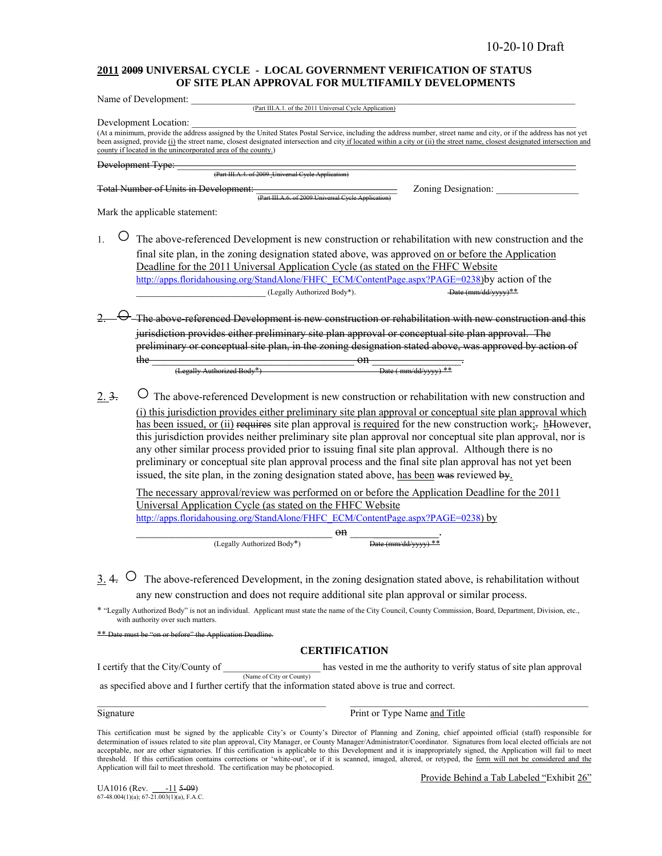#### **2011 2009 UNIVERSAL CYCLE - LOCAL GOVERNMENT VERIFICATION OF STATUS OF SITE PLAN APPROVAL FOR MULTIFAMILY DEVELOPMENTS**

| Name of Development:<br>(Part III.A.1. of the 2011 Universal Cycle Application)                                                                                                                                                                                                                                                                                                                                                                                                                                                                                                                                                                      |
|------------------------------------------------------------------------------------------------------------------------------------------------------------------------------------------------------------------------------------------------------------------------------------------------------------------------------------------------------------------------------------------------------------------------------------------------------------------------------------------------------------------------------------------------------------------------------------------------------------------------------------------------------|
| Development Location:<br>(At a minimum, provide the address assigned by the United States Postal Service, including the address number, street name and city, or if the address has not yet<br>been assigned, provide (i) the street name, closest designated intersection and city if located within a city or (ii) the street name, closest designated intersection and<br>county if located in the unincorporated area of the county.)                                                                                                                                                                                                            |
| Development Type:                                                                                                                                                                                                                                                                                                                                                                                                                                                                                                                                                                                                                                    |
| (Part III.A.4. of 2009 Universal Cycle Application)                                                                                                                                                                                                                                                                                                                                                                                                                                                                                                                                                                                                  |
| Total Number of Units in Development:<br>Zoning Designation:<br>(Part III.A.6. of 2009 Universal Cycle Application                                                                                                                                                                                                                                                                                                                                                                                                                                                                                                                                   |
| Mark the applicable statement:                                                                                                                                                                                                                                                                                                                                                                                                                                                                                                                                                                                                                       |
| The above-referenced Development is new construction or rehabilitation with new construction and the<br>$\mathbf{1}$                                                                                                                                                                                                                                                                                                                                                                                                                                                                                                                                 |
| final site plan, in the zoning designation stated above, was approved on or before the Application<br>Deadline for the 2011 Universal Application Cycle (as stated on the FHFC Website                                                                                                                                                                                                                                                                                                                                                                                                                                                               |
| http://apps.floridahousing.org/StandAlone/FHFC_ECM/ContentPage.aspx?PAGE=0238)by action of the                                                                                                                                                                                                                                                                                                                                                                                                                                                                                                                                                       |
| Date (mm/dd/yyyy)**<br>(Legally Authorized Body*).                                                                                                                                                                                                                                                                                                                                                                                                                                                                                                                                                                                                   |
| $\Theta$ –The above-referenced Development is new construction or rehabilitation with new construction and this                                                                                                                                                                                                                                                                                                                                                                                                                                                                                                                                      |
| jurisdiction provides either preliminary site plan approval or conceptual site plan approval. The                                                                                                                                                                                                                                                                                                                                                                                                                                                                                                                                                    |
| preliminary or conceptual site plan, in the zoning designation stated above, was approved by action of                                                                                                                                                                                                                                                                                                                                                                                                                                                                                                                                               |
| $\frac{1}{\sqrt{1-\frac{1}{1-\frac{1}{1-\frac{1}{1-\frac{1}{1-\frac{1}{1-\frac{1}{1-\frac{1}{1-\frac{1}{1-\frac{1}{1-\frac{1}{1-\frac{1}{1-\frac{1}{1-\frac{1}{1-\frac{1}{1-\frac{1}{1-\frac{1}{1-\frac{1}{1-\frac{1}{1-\frac{1}{1-\frac{1}{1-\frac{1}{1-\frac{1}{1-\frac{1}{1-\frac{1}{1-\frac{1}{1-\frac{1}{1-\frac{1}{1-\frac{1}{1-\frac{1}{1-\frac{1}{1-\frac{1}{1-\frac{1}{1-\frac{1}{1-\frac{1}{1-\frac{1}{1-\$<br>the —                                                                                                                                                                                                                       |
|                                                                                                                                                                                                                                                                                                                                                                                                                                                                                                                                                                                                                                                      |
| O The above-referenced Development is new construction or rehabilitation with new construction and<br>2.3.                                                                                                                                                                                                                                                                                                                                                                                                                                                                                                                                           |
| (i) this jurisdiction provides either preliminary site plan approval or conceptual site plan approval which<br>has been issued, or (ii) requires site plan approval is required for the new construction work;- hHowever,<br>this jurisdiction provides neither preliminary site plan approval nor conceptual site plan approval, nor is<br>any other similar process provided prior to issuing final site plan approval. Although there is no<br>preliminary or conceptual site plan approval process and the final site plan approval has not yet been<br>issued, the site plan, in the zoning designation stated above, has been was reviewed by. |
| The necessary approval/review was performed on or before the Application Deadline for the 2011<br>Universal Application Cycle (as stated on the FHFC Website<br>http://apps.floridahousing.org/StandAlone/FHFC ECM/ContentPage.aspx?PAGE=0238) by                                                                                                                                                                                                                                                                                                                                                                                                    |
| $0$                                                                                                                                                                                                                                                                                                                                                                                                                                                                                                                                                                                                                                                  |
| $\frac{1}{\text{Date (mm/dd/vyyy)} \cdot \text{**}}$<br>(Legally Authorized Body*)                                                                                                                                                                                                                                                                                                                                                                                                                                                                                                                                                                   |
|                                                                                                                                                                                                                                                                                                                                                                                                                                                                                                                                                                                                                                                      |
| 3. 4. $\circ$ The above-referenced Development, in the zoning designation stated above, is rehabilitation without                                                                                                                                                                                                                                                                                                                                                                                                                                                                                                                                    |
| any new construction and does not require additional site plan approval or similar process.                                                                                                                                                                                                                                                                                                                                                                                                                                                                                                                                                          |
| * "Legally Authorized Body" is not an individual. Applicant must state the name of the City Council, County Commission, Board, Department, Division, etc.,<br>with authority over such matters.                                                                                                                                                                                                                                                                                                                                                                                                                                                      |
| ** Date must be "on or before" the Application Deadline.                                                                                                                                                                                                                                                                                                                                                                                                                                                                                                                                                                                             |

### **CERTIFICATION**

I certify that the City/County of  $\frac{N_{\text{ame of City or County}}}{N_{\text{name of City or County}}}$  has vested in me the authority to verify status of site plan approval as specified above and I further certify that the information stated above is true and correct.

#### Signature

Print or Type Name and Title

This certification must be signed by the applicable City's or County's Director of Planning and Zoning, chief appointed official (staff) responsible for determination of issues related to site plan approval, City Manager, or County Manager/Administrator/Coordinator. Signatures from local elected officials are not acceptable, nor are other signatories. If this certification is applicable to this Development and it is inappropriately signed, the Application will fail to meet threshold. If this certification contains corrections or 'white-out', or if it is scanned, imaged, altered, or retyped, the form will not be considered and the Application will fail to meet threshold. The certification may be photocopied.

Provide Behind a Tab Labeled "Exhibit 26"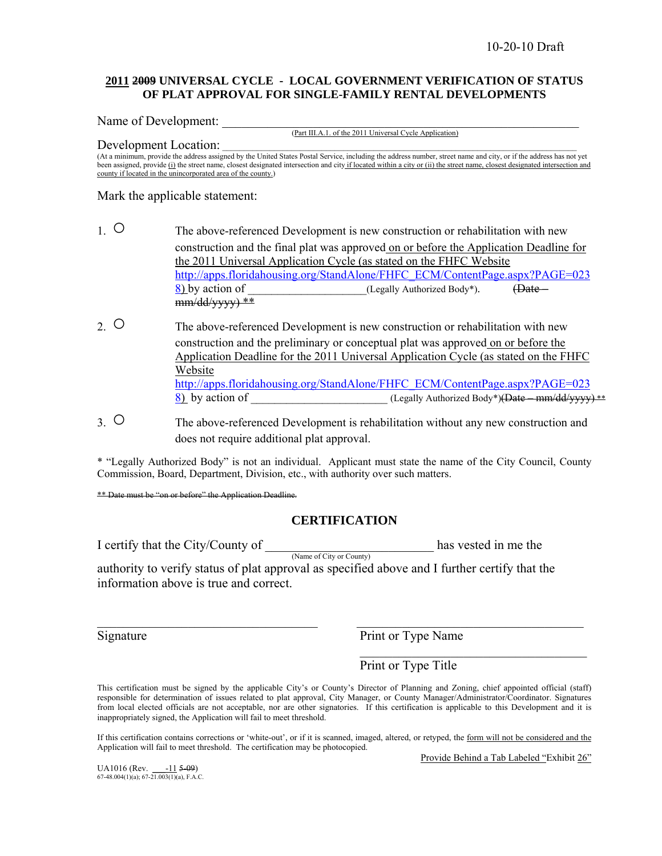#### **2011 2009 UNIVERSAL CYCLE - LOCAL GOVERNMENT VERIFICATION OF STATUS OF PLAT APPROVAL FOR SINGLE-FAMILY RENTAL DEVELOPMENTS**

Name of Development:

(Part III.A.1. of the 2011 Universal Cycle Application)

#### Development Location:

(At a minimum, provide the address assigned by the United States Postal Service, including the address number, street name and city, or if the address has not yet been assigned, provide (i) the street name, closest designated intersection and city if located within a city or (ii) the street name, closest designated intersection and county if located in the unincorporated area of the county.)

Mark the applicable statement:

- 1. ○The above-referenced Development is new construction or rehabilitation with new construction and the final plat was approved on or before the Application Deadline for the 2011 Universal Application Cycle (as stated on the FHFC Website http://apps.floridahousing.org/StandAlone/FHFC\_ECM/ContentPage.aspx?PAGE=023 8) by action of  $($ Legally Authorized Body<sup>\*</sup>).  $($ Date – mm/dd/yyyy) \*\*
- 2. ○The above-referenced Development is new construction or rehabilitation with new construction and the preliminary or conceptual plat was approved on or before the Application Deadline for the 2011 Universal Application Cycle (as stated on the FHFC Website http://apps.floridahousing.org/StandAlone/FHFC\_ECM/ContentPage.aspx?PAGE=023 8) by action of  $($ Legally Authorized Body\*)(Date – mm/dd/yyyy)  $**$
- 3. ○The above-referenced Development is rehabilitation without any new construction and does not require additional plat approval.

\* "Legally Authorized Body" is not an individual. Applicant must state the name of the City Council, County Commission, Board, Department, Division, etc., with authority over such matters.

\*\* Date must be "on or before" the Application Deadline.

### **CERTIFICATION**

I certify that the City/County of  $\frac{1}{N_{\text{name of City or County}}}$  has vested in me the authority to verify status of plat approval as specified above and I further certify that the information above is true and correct.

Signature Print or Type Name

Print or Type Title

This certification must be signed by the applicable City's or County's Director of Planning and Zoning, chief appointed official (staff) responsible for determination of issues related to plat approval, City Manager, or County Manager/Administrator/Coordinator. Signatures from local elected officials are not acceptable, nor are other signatories. If this certification is applicable to this Development and it is inappropriately signed, the Application will fail to meet threshold.

 $\_$  , and the contribution of the contribution of  $\mathcal{L}_\mathcal{A}$  , and the contribution of  $\mathcal{L}_\mathcal{A}$ 

 $\mathcal{L}_\text{max}$  and  $\mathcal{L}_\text{max}$  and  $\mathcal{L}_\text{max}$  and  $\mathcal{L}_\text{max}$  and  $\mathcal{L}_\text{max}$ 

If this certification contains corrections or 'white-out', or if it is scanned, imaged, altered, or retyped, the form will not be considered and the Application will fail to meet threshold. The certification may be photocopied.

Provide Behind a Tab Labeled "Exhibit 26"

UA1016 (Rev.  $\frac{-11}{67-48.004(1)(a)}$ ; 67-21.003(1)(a), F.A.C.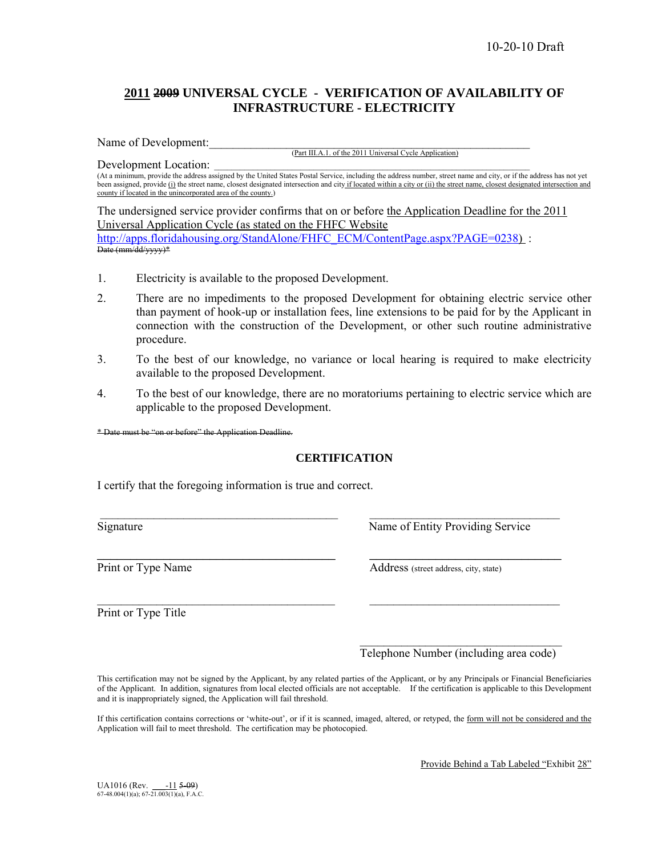### **2011 2009 UNIVERSAL CYCLE - VERIFICATION OF AVAILABILITY OF INFRASTRUCTURE - ELECTRICITY**

Name of Development:

(Part III.A.1. of the 2011 Universal Cycle Application)

Development Location:

(At a minimum, provide the address assigned by the United States Postal Service, including the address number, street name and city, or if the address has not yet been assigned, provide (i) the street name, closest designated intersection and city if located within a city or (ii) the street name, closest designated intersection and county if located in the unincorporated area of the county.)

The undersigned service provider confirms that on or before the Application Deadline for the 2011 Universal Application Cycle (as stated on the FHFC Website http://apps.floridahousing.org/StandAlone/FHFC\_ECM/ContentPage.aspx?PAGE=0238) : Date (mm/dd/yyyy)\*

- 1. Electricity is available to the proposed Development.
- 2. There are no impediments to the proposed Development for obtaining electric service other than payment of hook-up or installation fees, line extensions to be paid for by the Applicant in connection with the construction of the Development, or other such routine administrative procedure.
- 3. To the best of our knowledge, no variance or local hearing is required to make electricity available to the proposed Development.
- 4. To the best of our knowledge, there are no moratoriums pertaining to electric service which are applicable to the proposed Development.

\* Date must be "on or before" the Application Deadline.

### **CERTIFICATION**

 $\mathcal{L}_\text{max} = \frac{1}{2} \sum_{i=1}^n \mathcal{L}_\text{max}(\mathbf{z}_i - \mathbf{z}_i)$ 

\_\_\_\_\_\_\_\_\_\_\_\_\_\_\_\_\_\_\_\_\_\_\_\_\_\_\_\_\_\_\_\_\_\_\_\_ \_\_\_\_\_\_\_\_\_\_\_\_\_\_\_\_\_\_\_\_\_\_\_\_\_\_\_\_\_

 $\mathcal{L}_\text{max}$  and  $\mathcal{L}_\text{max}$  and  $\mathcal{L}_\text{max}$  and  $\mathcal{L}_\text{max}$  and  $\mathcal{L}_\text{max}$  and  $\mathcal{L}_\text{max}$ 

I certify that the foregoing information is true and correct.

Signature Name of Entity Providing Service

Print or Type Name Address (street address, city, state)

Print or Type Title

Telephone Number (including area code)

This certification may not be signed by the Applicant, by any related parties of the Applicant, or by any Principals or Financial Beneficiaries of the Applicant. In addition, signatures from local elected officials are not acceptable. If the certification is applicable to this Development and it is inappropriately signed, the Application will fail threshold.

If this certification contains corrections or 'white-out', or if it is scanned, imaged, altered, or retyped, the form will not be considered and the Application will fail to meet threshold. The certification may be photocopied.

Provide Behind a Tab Labeled "Exhibit 28"

UA1016 (Rev.  $\frac{-11}{67-48.004(1)(a)}$ ; 67-21.003(1)(a), F.A.C.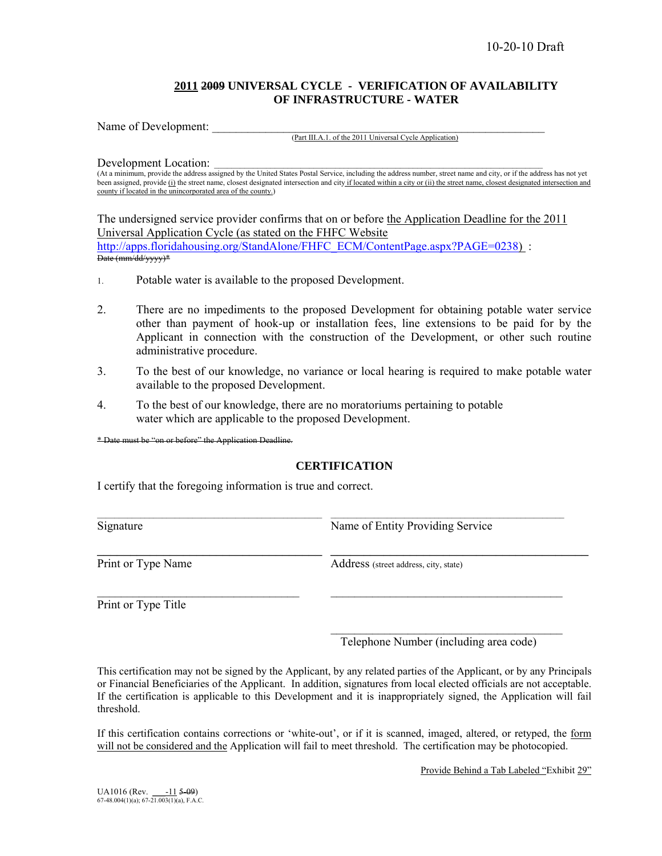### **2011 2009 UNIVERSAL CYCLE - VERIFICATION OF AVAILABILITY OF INFRASTRUCTURE - WATER**

Name of Development:

(Part III.A.1. of the 2011 Universal Cycle Application)

Development Location:

(At a minimum, provide the address assigned by the United States Postal Service, including the address number, street name and city, or if the address has not yet been assigned, provide (i) the street name, closest designated intersection and city if located within a city or (ii) the street name, closest designated intersection and county if located in the unincorporated area of the county.)

The undersigned service provider confirms that on or before the Application Deadline for the 2011 Universal Application Cycle (as stated on the FHFC Website http://apps.floridahousing.org/StandAlone/FHFC\_ECM/ContentPage.aspx?PAGE=0238) : Date (mm/dd/yyyy)\*

- 1. Potable water is available to the proposed Development.
- 2. There are no impediments to the proposed Development for obtaining potable water service other than payment of hook-up or installation fees, line extensions to be paid for by the Applicant in connection with the construction of the Development, or other such routine administrative procedure.
- 3. To the best of our knowledge, no variance or local hearing is required to make potable water available to the proposed Development.
- 4. To the best of our knowledge, there are no moratoriums pertaining to potable water which are applicable to the proposed Development.

\* Date must be "on or before" the Application Deadline.

### **CERTIFICATION**

 $\_$  , and the state of the state of the state of the state of the state of the state of the state of the state of the state of the state of the state of the state of the state of the state of the state of the state of the

 $\mathcal{L}_\text{max} = \frac{1}{2} \sum_{i=1}^n \mathcal{L}_\text{max}(\mathbf{z}_i - \mathbf{z}_i)$ 

 $\mathcal{L}_\text{max}$  and  $\mathcal{L}_\text{max}$  and  $\mathcal{L}_\text{max}$  and  $\mathcal{L}_\text{max}$  and  $\mathcal{L}_\text{max}$ 

\_\_\_\_\_\_\_\_\_\_\_\_\_\_\_\_\_\_\_\_\_\_\_\_\_\_\_\_\_\_\_\_\_\_ \_\_\_\_\_\_\_\_\_\_\_\_\_\_\_\_\_\_\_\_\_\_\_\_\_\_\_\_\_\_\_\_\_\_\_\_\_\_\_

I certify that the foregoing information is true and correct.

Signature Name of Entity Providing Service

Print or Type Name<br>Address (street address, city, state)

Print or Type Title

Telephone Number (including area code)

This certification may not be signed by the Applicant, by any related parties of the Applicant, or by any Principals or Financial Beneficiaries of the Applicant. In addition, signatures from local elected officials are not acceptable. If the certification is applicable to this Development and it is inappropriately signed, the Application will fail threshold.

If this certification contains corrections or 'white-out', or if it is scanned, imaged, altered, or retyped, the form will not be considered and the Application will fail to meet threshold. The certification may be photocopied.

Provide Behind a Tab Labeled "Exhibit 29"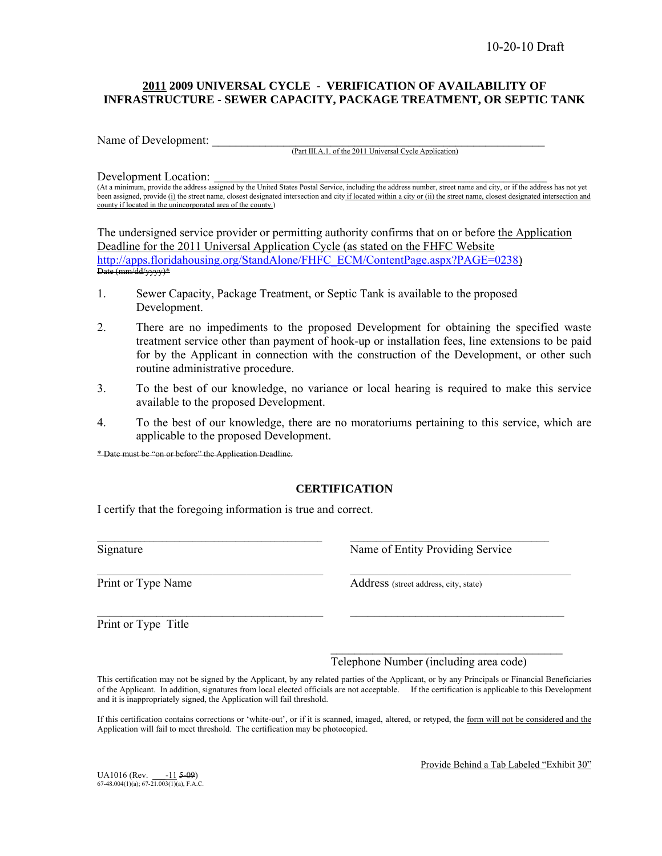### **2011 2009 UNIVERSAL CYCLE - VERIFICATION OF AVAILABILITY OF INFRASTRUCTURE - SEWER CAPACITY, PACKAGE TREATMENT, OR SEPTIC TANK**

Name of Development:

(Part III.A.1. of the 2011 Universal Cycle Application)

Development Location:

(At a minimum, provide the address assigned by the United States Postal Service, including the address number, street name and city, or if the address has not yet been assigned, provide (i) the street name, closest designated intersection and city if located within a city or (ii) the street name, closest designated intersection and county if located in the unincorporated area of the county.)

The undersigned service provider or permitting authority confirms that on or before the Application Deadline for the 2011 Universal Application Cycle (as stated on the FHFC Website http://apps.floridahousing.org/StandAlone/FHFC\_ECM/ContentPage.aspx?PAGE=0238)<br>Date (mm/dd/yyyy)\*

- 1. Sewer Capacity, Package Treatment, or Septic Tank is available to the proposed Development.
- 2. There are no impediments to the proposed Development for obtaining the specified waste treatment service other than payment of hook-up or installation fees, line extensions to be paid for by the Applicant in connection with the construction of the Development, or other such routine administrative procedure.
- 3. To the best of our knowledge, no variance or local hearing is required to make this service available to the proposed Development.
- 4. To the best of our knowledge, there are no moratoriums pertaining to this service, which are applicable to the proposed Development.

\* Date must be "on or before" the Application Deadline.

### **CERTIFICATION**

 $\mathcal{L}_\text{max}$ 

I certify that the foregoing information is true and correct.

 $\_$  ,  $\_$  ,  $\_$  ,  $\_$  ,  $\_$  ,  $\_$  ,  $\_$  ,  $\_$  ,  $\_$  ,  $\_$  ,  $\_$  ,  $\_$  ,  $\_$  ,  $\_$  ,  $\_$  ,  $\_$  ,  $\_$  ,  $\_$  ,  $\_$  ,  $\_$ Print or Type Name<br>
Address (street address, city, state)

Signature Name of Entity Providing Service

 $\mathcal{L}_\text{max} = \frac{1}{2} \sum_{i=1}^n \mathcal{L}_\text{max} = \frac{1}{2} \sum_{i=1}^n \mathcal{L}_\text{max} = \frac{1}{2} \sum_{i=1}^n \mathcal{L}_\text{max} = \frac{1}{2} \sum_{i=1}^n \mathcal{L}_\text{max} = \frac{1}{2} \sum_{i=1}^n \mathcal{L}_\text{max} = \frac{1}{2} \sum_{i=1}^n \mathcal{L}_\text{max} = \frac{1}{2} \sum_{i=1}^n \mathcal{L}_\text{max} = \frac{1}{2} \sum_{i=$ 

Print or Type Title

 $\mathcal{L}_\text{max}$  and  $\mathcal{L}_\text{max}$  and  $\mathcal{L}_\text{max}$  and  $\mathcal{L}_\text{max}$  and  $\mathcal{L}_\text{max}$ Telephone Number (including area code)

This certification may not be signed by the Applicant, by any related parties of the Applicant, or by any Principals or Financial Beneficiaries of the Applicant. In addition, signatures from local elected officials are not acceptable. If the certification is applicable to this Development and it is inappropriately signed, the Application will fail threshold.

If this certification contains corrections or 'white-out', or if it is scanned, imaged, altered, or retyped, the form will not be considered and the Application will fail to meet threshold. The certification may be photocopied.

UA1016 (Rev.  $-11$  5-09) 67-48.004(1)(a); 67-21.003(1)(a), F.A.C.

Provide Behind a Tab Labeled "Exhibit 30"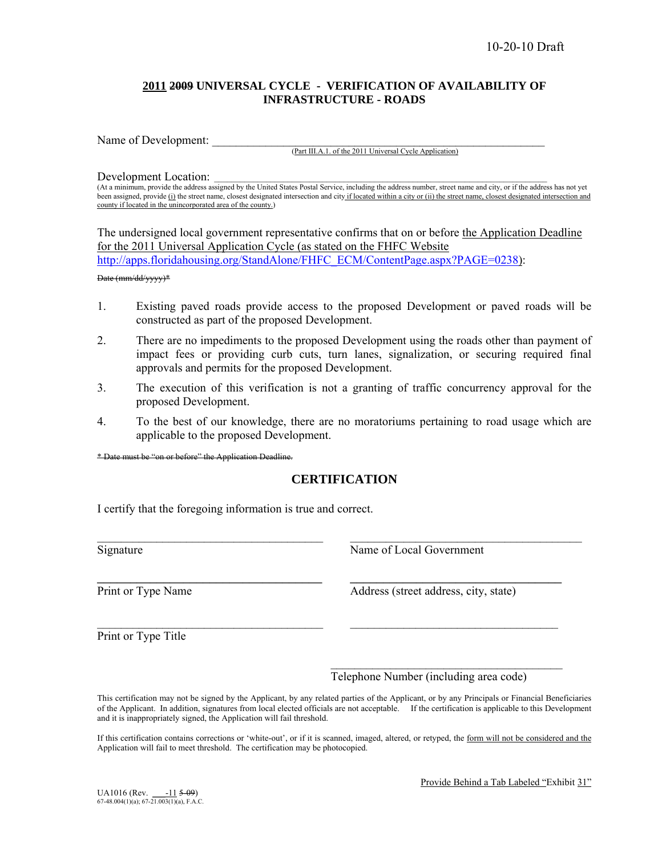### **2011 2009 UNIVERSAL CYCLE - VERIFICATION OF AVAILABILITY OF INFRASTRUCTURE - ROADS**

Name of Development:

(Part III.A.1. of the 2011 Universal Cycle Application)

Development Location:

(At a minimum, provide the address assigned by the United States Postal Service, including the address number, street name and city, or if the address has not yet been assigned, provide (i) the street name, closest designated intersection and city if located within a city or (ii) the street name, closest designated intersection and county if located in the unincorporated area of the county.)

The undersigned local government representative confirms that on or before the Application Deadline for the 2011 Universal Application Cycle (as stated on the FHFC Website http://apps.floridahousing.org/StandAlone/FHFC\_ECM/ContentPage.aspx?PAGE=0238): Date (mm/dd/yyyy)\*

- 1. Existing paved roads provide access to the proposed Development or paved roads will be constructed as part of the proposed Development.
- 2. There are no impediments to the proposed Development using the roads other than payment of impact fees or providing curb cuts, turn lanes, signalization, or securing required final approvals and permits for the proposed Development.
- 3. The execution of this verification is not a granting of traffic concurrency approval for the proposed Development.
- 4. To the best of our knowledge, there are no moratoriums pertaining to road usage which are applicable to the proposed Development.

\* Date must be "on or before" the Application Deadline.

### **CERTIFICATION**

 $\mathcal{L}_\mathcal{L} = \{ \mathcal{L}_\mathcal{L} = \{ \mathcal{L}_\mathcal{L} = \{ \mathcal{L}_\mathcal{L} = \{ \mathcal{L}_\mathcal{L} = \{ \mathcal{L}_\mathcal{L} = \{ \mathcal{L}_\mathcal{L} = \{ \mathcal{L}_\mathcal{L} = \{ \mathcal{L}_\mathcal{L} = \{ \mathcal{L}_\mathcal{L} = \{ \mathcal{L}_\mathcal{L} = \{ \mathcal{L}_\mathcal{L} = \{ \mathcal{L}_\mathcal{L} = \{ \mathcal{L}_\mathcal{L} = \{ \mathcal{L}_\mathcal{$ 

\_\_\_\_\_\_\_\_\_\_\_\_\_\_\_\_\_\_\_\_\_\_\_\_\_\_\_\_\_\_\_\_\_\_ \_\_\_\_\_\_\_\_\_\_\_\_\_\_\_\_\_\_\_\_\_\_\_\_\_\_\_\_\_\_\_\_

 $\mathcal{L}_\text{max} = \frac{1}{2} \sum_{i=1}^n \mathcal{L}_\text{max}(\mathbf{z}_i - \mathbf{z}_i)$ 

 $\mathcal{L}_\text{max}$  and  $\mathcal{L}_\text{max}$  and  $\mathcal{L}_\text{max}$  and  $\mathcal{L}_\text{max}$  and  $\mathcal{L}_\text{max}$ 

I certify that the foregoing information is true and correct.

Signature Name of Local Government

Print or Type Name Address (street address, city, state)

Print or Type Title

Telephone Number (including area code)

This certification may not be signed by the Applicant, by any related parties of the Applicant, or by any Principals or Financial Beneficiaries of the Applicant. In addition, signatures from local elected officials are not acceptable. If the certification is applicable to this Development and it is inappropriately signed, the Application will fail threshold.

If this certification contains corrections or 'white-out', or if it is scanned, imaged, altered, or retyped, the form will not be considered and the Application will fail to meet threshold. The certification may be photocopied.

Provide Behind a Tab Labeled "Exhibit 31"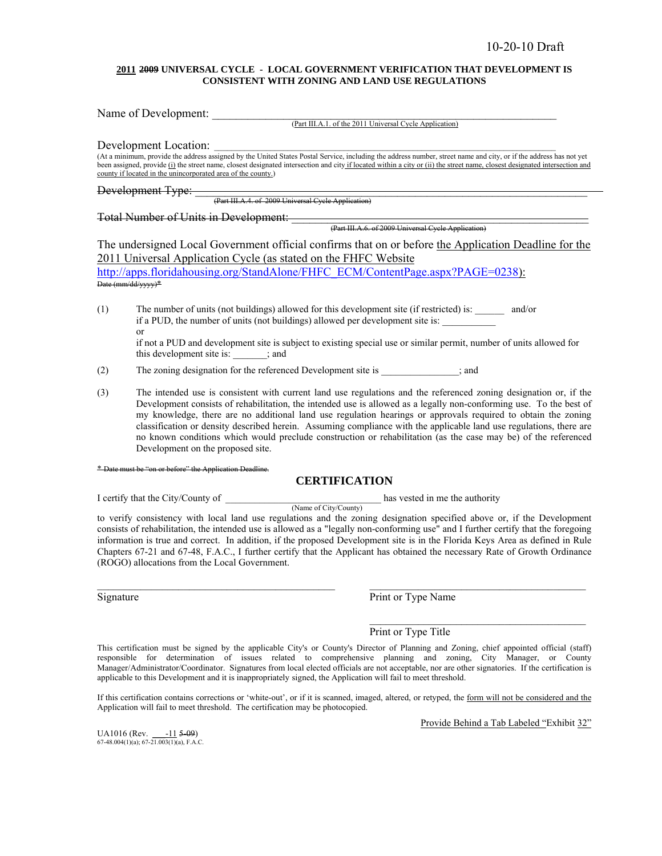#### **2011 2009 UNIVERSAL CYCLE - LOCAL GOVERNMENT VERIFICATION THAT DEVELOPMENT IS CONSISTENT WITH ZONING AND LAND USE REGULATIONS**

| Name of Development:<br>(Part III.A.1. of the 2011 Universal Cycle Application)                                                                                                                                                                                                                                                                                                                                                          |
|------------------------------------------------------------------------------------------------------------------------------------------------------------------------------------------------------------------------------------------------------------------------------------------------------------------------------------------------------------------------------------------------------------------------------------------|
| Development Location:<br>At a minimum, provide the address assigned by the United States Postal Service, including the address number, street name and city, or if the address has not yet<br>been assigned, provide (i) the street name, closest designated intersection and city if located within a city or (ii) the street name, closest designated intersection and<br>county if located in the unincorporated area of the county.) |
|                                                                                                                                                                                                                                                                                                                                                                                                                                          |
| Total Number of Units in Development:<br>(Part III.A.6. of 2009 Universal Cycle Application)                                                                                                                                                                                                                                                                                                                                             |
| The undersigned Local Government official confirms that on or before the Application Deadline for the<br>2011 Universal Application Cycle (as stated on the FHFC Website<br>http://apps.floridahousing.org/StandAlone/FHFC_ECM/ContentPage.aspx?PAGE=0238):<br>Date (mm/dd/vvvv) <sup>*</sup>                                                                                                                                            |
| (1)<br>The number of units (not buildings) allowed for this development site (if restricted) is: _______<br>and/or<br>if a PUD, the number of units (not buildings) allowed per development site is:<br>$\alpha$<br>if not a PUD and development site is subject to existing special use or similar permit, number of units allowed for<br>this development site is: ; and                                                               |
| (2)<br>The zoning designation for the referenced Development site is<br>: and                                                                                                                                                                                                                                                                                                                                                            |

(3) The intended use is consistent with current land use regulations and the referenced zoning designation or, if the Development consists of rehabilitation, the intended use is allowed as a legally non-conforming use. To the best of my knowledge, there are no additional land use regulation hearings or approvals required to obtain the zoning classification or density described herein. Assuming compliance with the applicable land use regulations, there are no known conditions which would preclude construction or rehabilitation (as the case may be) of the referenced Development on the proposed site.

#### on or before" the Application Deadline.

#### **CERTIFICATION**

I certify that the City/County of  $\qquad$  has vested in me the authority

(Name of City/County) to verify consistency with local land use regulations and the zoning designation specified above or, if the Development consists of rehabilitation, the intended use is allowed as a "legally non-conforming use" and I further certify that the foregoing information is true and correct. In addition, if the proposed Development site is in the Florida Keys Area as defined in Rule Chapters 67-21 and 67-48, F.A.C., I further certify that the Applicant has obtained the necessary Rate of Growth Ordinance (ROGO) allocations from the Local Government.

Signature Print or Type Name

Print or Type Title

This certification must be signed by the applicable City's or County's Director of Planning and Zoning, chief appointed official (staff) responsible for determination of issues related to comprehensive planning and zoning, City Manager, or County Manager/Administrator/Coordinator. Signatures from local elected officials are not acceptable, nor are other signatories. If the certification is applicable to this Development and it is inappropriately signed, the Application will fail to meet threshold.

If this certification contains corrections or 'white-out', or if it is scanned, imaged, altered, or retyped, the form will not be considered and the Application will fail to meet threshold. The certification may be photocopied.

Provide Behind a Tab Labeled "Exhibit 32"

UA1016 (Rev.  $\frac{-11}{67}$  = 09) 67-48.004(1)(a); 67-21.003(1)(a), F.A.C.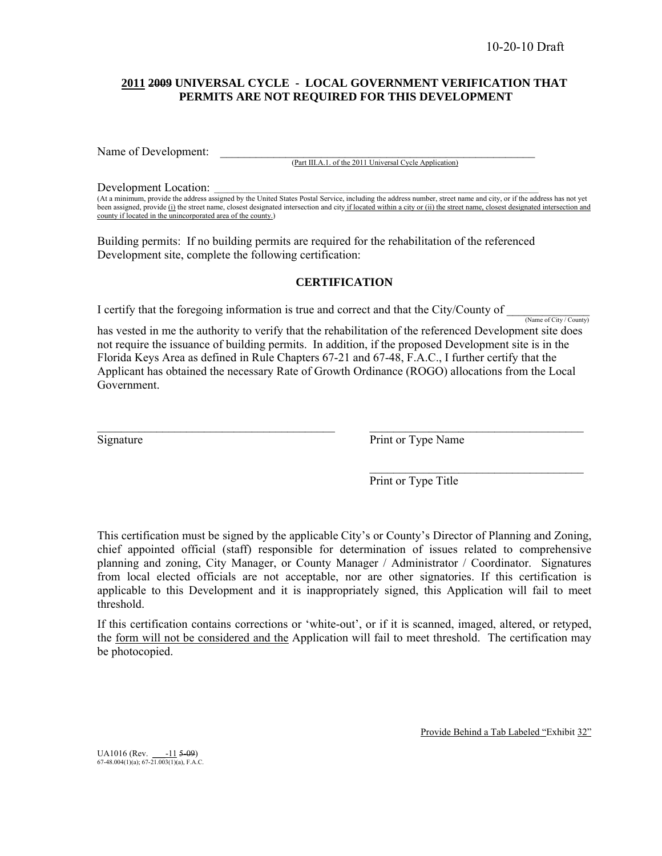### **2011 2009 UNIVERSAL CYCLE - LOCAL GOVERNMENT VERIFICATION THAT PERMITS ARE NOT REQUIRED FOR THIS DEVELOPMENT**

Name of Development:

(Part III.A.1. of the 2011 Universal Cycle Application)

Development Location:

(At a minimum, provide the address assigned by the United States Postal Service, including the address number, street name and city, or if the address has not yet been assigned, provide (i) the street name, closest designated intersection and city if located within a city or (ii) the street name, closest designated intersection and county if located in the unincorporated area of the county.)

Building permits: If no building permits are required for the rehabilitation of the referenced Development site, complete the following certification:

### **CERTIFICATION**

I certify that the foregoing information is true and correct and that the City/County of  $\frac{N_{\text{ame of City}/\text{Country}}}{N_{\text{ame of City}/\text{Country}}}$ 

has vested in me the authority to verify that the rehabilitation of the referenced Development site does not require the issuance of building permits. In addition, if the proposed Development site is in the Florida Keys Area as defined in Rule Chapters 67-21 and 67-48, F.A.C., I further certify that the Applicant has obtained the necessary Rate of Growth Ordinance (ROGO) allocations from the Local Government.

 $\_$ 

 $\mathcal{L}_\text{max}$  and  $\mathcal{L}_\text{max}$  and  $\mathcal{L}_\text{max}$  and  $\mathcal{L}_\text{max}$  and  $\mathcal{L}_\text{max}$ 

Signature Print or Type Name

Print or Type Title

This certification must be signed by the applicable City's or County's Director of Planning and Zoning, chief appointed official (staff) responsible for determination of issues related to comprehensive planning and zoning, City Manager, or County Manager / Administrator / Coordinator. Signatures from local elected officials are not acceptable, nor are other signatories. If this certification is applicable to this Development and it is inappropriately signed, this Application will fail to meet threshold.

If this certification contains corrections or 'white-out', or if it is scanned, imaged, altered, or retyped, the form will not be considered and the Application will fail to meet threshold. The certification may be photocopied.

Provide Behind a Tab Labeled "Exhibit 32"

UA1016 (Rev.  $\frac{-11}{67-48.004(1)(a)}$ ; 67-21.003(1)(a), F.A.C.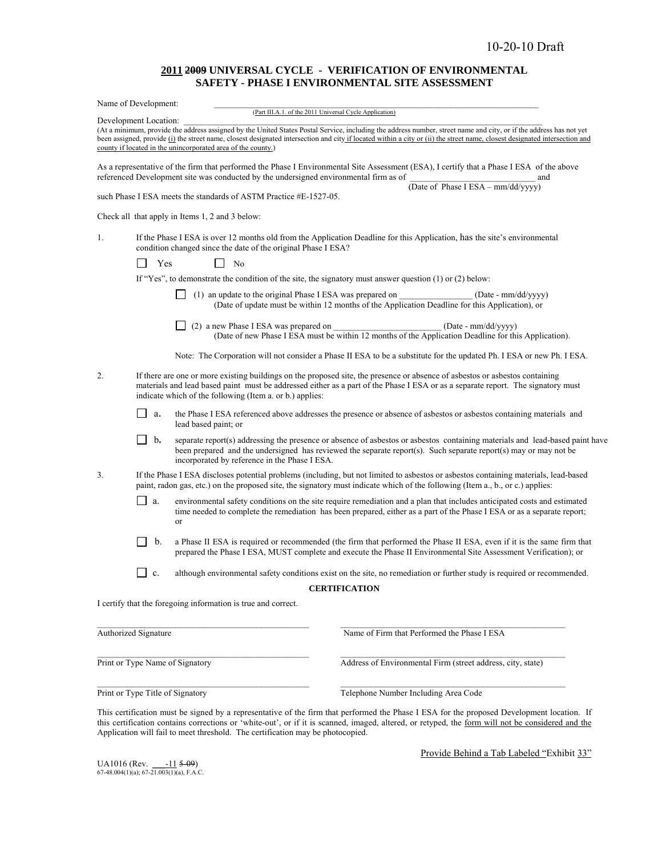#### **2011 2009 UNIVERSAL CYCLE - VERIFICATION OF ENVIRONMENTAL SAFETY - PHASE I ENVIRONMENTAL SITE ASSESSMENT**

|    | Name of Development:                                                                                         | (Part III.A.1. of the 2011 Universal Cycle Application)                                                                                                                                                                                                                                                                                          |
|----|--------------------------------------------------------------------------------------------------------------|--------------------------------------------------------------------------------------------------------------------------------------------------------------------------------------------------------------------------------------------------------------------------------------------------------------------------------------------------|
|    | Development Location:                                                                                        |                                                                                                                                                                                                                                                                                                                                                  |
|    | county if located in the unincorporated area of the county.)                                                 | (At a minimum, provide the address assigned by the United States Postal Service, including the address number, street name and city, or if the address has not yet<br>been assigned, provide (i) the street name, closest designated intersection and city if located within a city or (ii) the street name, closest designated intersection and |
|    | referenced Development site was conducted by the undersigned environmental firm as of                        | As a representative of the firm that performed the Phase I Environmental Site Assessment (ESA), I certify that a Phase I ESA of the above<br>and<br>That is the Same of Phase I ESA – mm/dd/yyyyy)<br>and                                                                                                                                        |
|    | such Phase I ESA meets the standards of ASTM Practice #E-1527-05.                                            |                                                                                                                                                                                                                                                                                                                                                  |
|    | Check all that apply in Items 1, 2 and 3 below:                                                              |                                                                                                                                                                                                                                                                                                                                                  |
| 1. | condition changed since the date of the original Phase I ESA?                                                | If the Phase I ESA is over 12 months old from the Application Deadline for this Application, has the site's environmental                                                                                                                                                                                                                        |
|    | Yes<br>No                                                                                                    |                                                                                                                                                                                                                                                                                                                                                  |
|    | If "Yes", to demonstrate the condition of the site, the signatory must answer question $(1)$ or $(2)$ below: |                                                                                                                                                                                                                                                                                                                                                  |
|    | $\Box$ (1) an update to the original Phase I ESA was prepared on                                             | (Date - mm/dd/yyyy)<br>(Date of update must be within 12 months of the Application Deadline for this Application), or                                                                                                                                                                                                                            |
|    | (2) a new Phase I ESA was prepared on                                                                        | (Date - mm/dd/yyyy)<br>(Date of new Phase I ESA must be within 12 months of the Application Deadline for this Application).                                                                                                                                                                                                                      |
|    |                                                                                                              | Note: The Corporation will not consider a Phase II ESA to be a substitute for the updated Ph. I ESA or new Ph. I ESA.                                                                                                                                                                                                                            |
| 2. | indicate which of the following (Item a. or b.) applies:                                                     | If there are one or more existing buildings on the proposed site, the presence or absence of asbestos or asbestos containing<br>materials and lead based paint must be addressed either as a part of the Phase I ESA or as a separate report. The signatory must                                                                                 |
|    | a.<br>lead based paint; or                                                                                   | the Phase I ESA referenced above addresses the presence or absence of asbestos or asbestos containing materials and                                                                                                                                                                                                                              |
|    | $\Box$ b.<br>incorporated by reference in the Phase I ESA.                                                   | separate report(s) addressing the presence or absence of asbestos or asbestos containing materials and lead-based paint have<br>been prepared and the undersigned has reviewed the separate report(s). Such separate report(s) may or may not be                                                                                                 |
| 3. |                                                                                                              | If the Phase I ESA discloses potential problems (including, but not limited to asbestos or asbestos containing materials, lead-based<br>paint, radon gas, etc.) on the proposed site, the signatory must indicate which of the following (Item a., b., or c.) applies:                                                                           |
|    | $\Box$ a.<br>or                                                                                              | environmental safety conditions on the site require remediation and a plan that includes anticipated costs and estimated<br>time needed to complete the remediation has been prepared, either as a part of the Phase I ESA or as a separate report;                                                                                              |
|    | b.                                                                                                           | a Phase II ESA is required or recommended (the firm that performed the Phase II ESA, even if it is the same firm that<br>prepared the Phase I ESA, MUST complete and execute the Phase II Environmental Site Assessment Verification); or                                                                                                        |
|    | c.                                                                                                           | although environmental safety conditions exist on the site, no remediation or further study is required or recommended.                                                                                                                                                                                                                          |
|    |                                                                                                              | <b>CERTIFICATION</b>                                                                                                                                                                                                                                                                                                                             |
|    | I certify that the foregoing information is true and correct.                                                |                                                                                                                                                                                                                                                                                                                                                  |
|    | Authorized Signature                                                                                         | Name of Firm that Performed the Phase I ESA                                                                                                                                                                                                                                                                                                      |
|    | Print or Type Name of Signatory                                                                              | Address of Environmental Firm (street address, city, state)                                                                                                                                                                                                                                                                                      |
|    |                                                                                                              |                                                                                                                                                                                                                                                                                                                                                  |
|    | Print or Type Title of Signatory                                                                             | Telephone Number Including Area Code                                                                                                                                                                                                                                                                                                             |

This certification must be signed by a representative of the firm that performed the Phase I ESA for the proposed Development location.If this certification contains corrections or 'white-out', or if it is scanned, imaged, altered, or retyped, the form will not be considered and the Application will fail to meet threshold. The certification may be photocopied.

UA1016 (Rev. \_\_\_-11 5-09) 67-48.004(1)(a); 67-21.003(1)(a), F.A.C.

Provide Behind a Tab Labeled "Exhibit 33"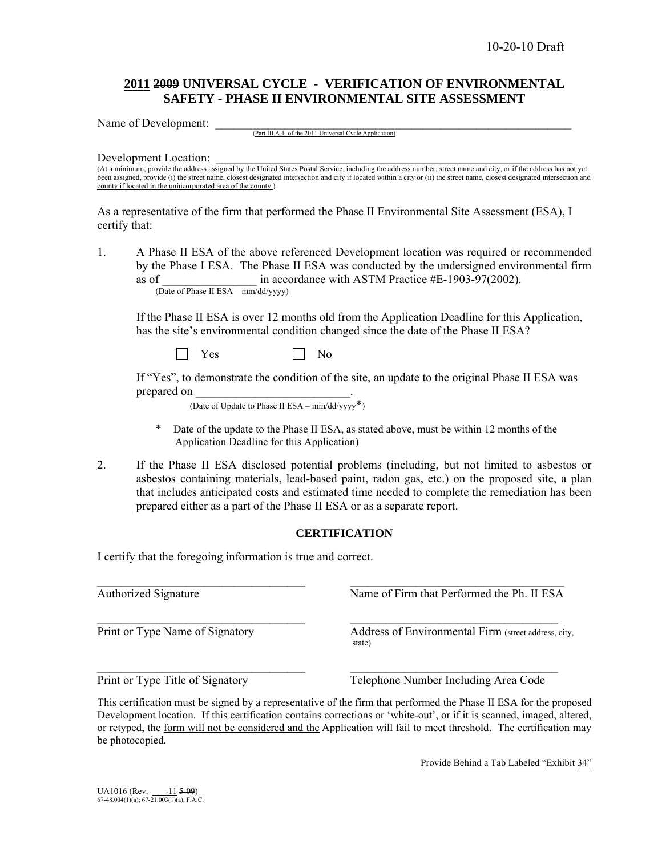### **2011 2009 UNIVERSAL CYCLE - VERIFICATION OF ENVIRONMENTAL SAFETY - PHASE II ENVIRONMENTAL SITE ASSESSMENT**

Name of Development:

(Part III.A.1. of the 2011 Universal Cycle Application)

Development Location:

(At a minimum, provide the address assigned by the United States Postal Service, including the address number, street name and city, or if the address has not yet been assigned, provide (i) the street name, closest designated intersection and city if located within a city or (ii) the street name, closest designated intersection and county if located in the unincorporated area of the county.)

As a representative of the firm that performed the Phase II Environmental Site Assessment (ESA), I certify that:

1. A Phase II ESA of the above referenced Development location was required or recommended by the Phase I ESA. The Phase II ESA was conducted by the undersigned environmental firm as of  $\frac{1}{2}$  in accordance with ASTM Practice #E-1903-97(2002). (Date of Phase II ESA – mm/dd/yyyy)

If the Phase II ESA is over 12 months old from the Application Deadline for this Application, has the site's environmental condition changed since the date of the Phase II ESA?

 $\begin{array}{|c|c|c|c|c|c|c|c|c|} \hline \end{array}$  No  $\begin{array}{|c|c|c|c|c|c|c|c|c|} \hline \end{array}$  No  $\begin{array}{|c|c|c|c|c|c|c|c|c|} \hline \end{array}$ 

 If "Yes", to demonstrate the condition of the site, an update to the original Phase II ESA was prepared on

(Date of Update to Phase II ESA –  $mm/dd/yyyy^*$ )

- \* Date of the update to the Phase II ESA, as stated above, must be within 12 months of the Application Deadline for this Application)
- 2.If the Phase II ESA disclosed potential problems (including, but not limited to asbestos or asbestos containing materials, lead-based paint, radon gas, etc.) on the proposed site, a plan that includes anticipated costs and estimated time needed to complete the remediation has been prepared either as a part of the Phase II ESA or as a separate report.

### **CERTIFICATION**

 $\mathcal{L}_\text{max} = \frac{1}{2} \sum_{i=1}^n \mathcal{L}_\text{max}(\mathbf{z}_i - \mathbf{z}_i)$ 

 $\mathcal{L}_\text{max} = \mathcal{L}_\text{max} = \mathcal{L}_\text{max} = \mathcal{L}_\text{max} = \mathcal{L}_\text{max} = \mathcal{L}_\text{max} = \mathcal{L}_\text{max} = \mathcal{L}_\text{max} = \mathcal{L}_\text{max} = \mathcal{L}_\text{max} = \mathcal{L}_\text{max} = \mathcal{L}_\text{max} = \mathcal{L}_\text{max} = \mathcal{L}_\text{max} = \mathcal{L}_\text{max} = \mathcal{L}_\text{max} = \mathcal{L}_\text{max} = \mathcal{L}_\text{max} = \mathcal{$ 

I certify that the foregoing information is true and correct.

Authorized Signature Name of Firm that Performed the Ph. II ESA

Print or Type Name of Signatory Address of Environmental Firm (street address, city, state)

Print or Type Title of Signatory Telephone Number Including Area Code

This certification must be signed by a representative of the firm that performed the Phase II ESA for the proposed Development location. If this certification contains corrections or 'white-out', or if it is scanned, imaged, altered, or retyped, the form will not be considered and the Application will fail to meet threshold. The certification may be photocopied.

Provide Behind a Tab Labeled "Exhibit 34"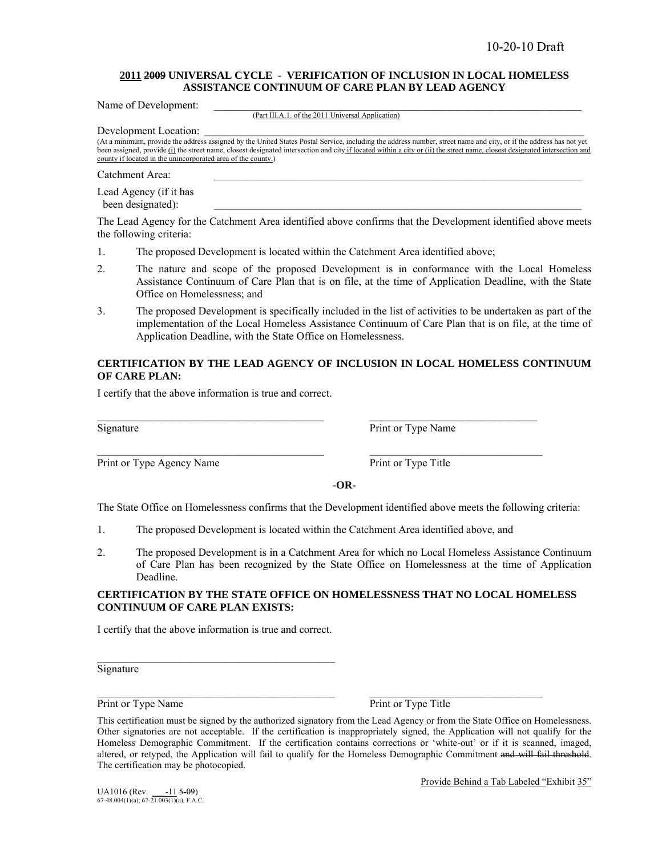#### **2011 2009 UNIVERSAL CYCLE - VERIFICATION OF INCLUSION IN LOCAL HOMELESS ASSISTANCE CONTINUUM OF CARE PLAN BY LEAD AGENCY**

| (Part III.A.1. of the 2011 Universal Application)                                                                                                                                                                                                                                                                                                                                                                                         |
|-------------------------------------------------------------------------------------------------------------------------------------------------------------------------------------------------------------------------------------------------------------------------------------------------------------------------------------------------------------------------------------------------------------------------------------------|
| Development Location:<br>(At a minimum, provide the address assigned by the United States Postal Service, including the address number, street name and city, or if the address has not yet<br>been assigned, provide (i) the street name, closest designated intersection and city if located within a city or (ii) the street name, closest designated intersection and<br>county if located in the unincorporated area of the county.) |
| Catchment Area:                                                                                                                                                                                                                                                                                                                                                                                                                           |
| Lead Agency (if it has<br>been designated):                                                                                                                                                                                                                                                                                                                                                                                               |
| The Lord Agency Capitro Cotolement Ages identified charge confirmed that the Development identified charge mosts                                                                                                                                                                                                                                                                                                                          |

The Lead Agency for the Catchment Area identified above confirms that the Development identified above meets the following criteria:

- 1. The proposed Development is located within the Catchment Area identified above;
- 2. The nature and scope of the proposed Development is in conformance with the Local Homeless Assistance Continuum of Care Plan that is on file, at the time of Application Deadline, with the State Office on Homelessness; and
- 3. The proposed Development is specifically included in the list of activities to be undertaken as part of the implementation of the Local Homeless Assistance Continuum of Care Plan that is on file, at the time of Application Deadline, with the State Office on Homelessness.

#### **CERTIFICATION BY THE LEAD AGENCY OF INCLUSION IN LOCAL HOMELESS CONTINUUM OF CARE PLAN:**

I certify that the above information is true and correct.

Signature Print or Type Name

Print or Type Agency Name Print or Type Title

Name of Development:

**-OR-**

The State Office on Homelessness confirms that the Development identified above meets the following criteria:

1. The proposed Development is located within the Catchment Area identified above, and

 $\mathcal{L}_\text{max}$  , and the set of the set of the set of the set of the set of the set of the set of the set of the set of

 $\mathcal{L}_\text{max}$  , and the set of the set of the set of the set of the set of the set of the set of the set of the set of

2. The proposed Development is in a Catchment Area for which no Local Homeless Assistance Continuum of Care Plan has been recognized by the State Office on Homelessness at the time of Application Deadline.

### **CERTIFICATION BY THE STATE OFFICE ON HOMELESSNESS THAT NO LOCAL HOMELESS CONTINUUM OF CARE PLAN EXISTS:**

I certify that the above information is true and correct.

Signature

Print or Type Name Print or Type Name Print or Type Title

Provide Behind a Tab Labeled "Exhibit 35"

This certification must be signed by the authorized signatory from the Lead Agency or from the State Office on Homelessness. Other signatories are not acceptable. If the certification is inappropriately signed, the Application will not qualify for the Homeless Demographic Commitment. If the certification contains corrections or 'white-out' or if it is scanned, imaged, altered, or retyped, the Application will fail to qualify for the Homeless Demographic Commitment and will fail threshold. The certification may be photocopied.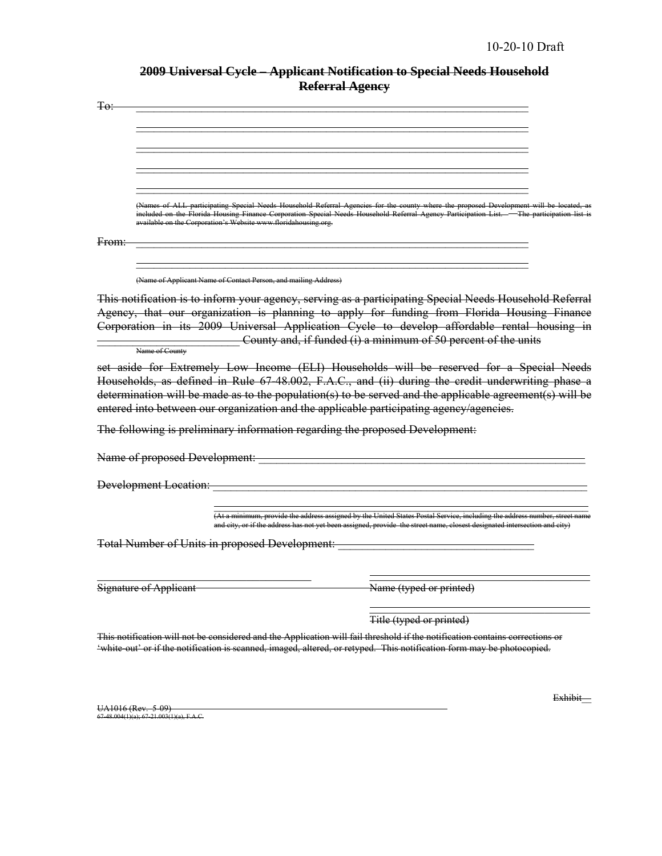| 2009 Universal Cycle Applicant Notification to Special Needs Household |
|------------------------------------------------------------------------|
| <b>Referral Agency</b>                                                 |

| Ŧθ.   |                                                                                                                                                                                                                                                        |                                                                                                                                                                                                                                                                                                                                                          |                          |                                                                |                |
|-------|--------------------------------------------------------------------------------------------------------------------------------------------------------------------------------------------------------------------------------------------------------|----------------------------------------------------------------------------------------------------------------------------------------------------------------------------------------------------------------------------------------------------------------------------------------------------------------------------------------------------------|--------------------------|----------------------------------------------------------------|----------------|
|       |                                                                                                                                                                                                                                                        |                                                                                                                                                                                                                                                                                                                                                          |                          |                                                                |                |
|       |                                                                                                                                                                                                                                                        |                                                                                                                                                                                                                                                                                                                                                          |                          |                                                                |                |
|       |                                                                                                                                                                                                                                                        |                                                                                                                                                                                                                                                                                                                                                          |                          |                                                                |                |
|       |                                                                                                                                                                                                                                                        |                                                                                                                                                                                                                                                                                                                                                          |                          |                                                                |                |
|       |                                                                                                                                                                                                                                                        |                                                                                                                                                                                                                                                                                                                                                          |                          |                                                                |                |
|       |                                                                                                                                                                                                                                                        | (Names of ALL participating Special Needs Household Referral Agencies for the county where the proposed Development will be located, as<br>included on the Florida Housing Finance Corporation Special Needs Household Referral Agency Participation List. - The participation list is<br>available on the Corporation's Website www.floridahousing.org. |                          |                                                                |                |
| From: |                                                                                                                                                                                                                                                        |                                                                                                                                                                                                                                                                                                                                                          |                          |                                                                |                |
|       |                                                                                                                                                                                                                                                        |                                                                                                                                                                                                                                                                                                                                                          |                          |                                                                |                |
|       |                                                                                                                                                                                                                                                        | (Name of Applicant Name of Contact Person, and mailing Address)                                                                                                                                                                                                                                                                                          |                          |                                                                |                |
|       | This notification is to inform your agency, serving as a participating Special Needs Household Referral                                                                                                                                                |                                                                                                                                                                                                                                                                                                                                                          |                          |                                                                |                |
|       | Agency, that our organization is planning to apply for funding from Florida Housing Finance                                                                                                                                                            |                                                                                                                                                                                                                                                                                                                                                          |                          |                                                                |                |
|       | Corporation in its 2009 Universal Application Cycle to develop affordable rental housing in                                                                                                                                                            |                                                                                                                                                                                                                                                                                                                                                          |                          |                                                                |                |
|       | Name of County                                                                                                                                                                                                                                         |                                                                                                                                                                                                                                                                                                                                                          |                          | County and, if funded (i) a minimum of 50 percent of the units |                |
|       | set aside for Extremely Low Income (ELI) Households will be reserved for a Special Needs                                                                                                                                                               |                                                                                                                                                                                                                                                                                                                                                          |                          |                                                                |                |
|       | Households, as defined in Rule 67-48.002, F.A.C., and (ii) during the credit underwriting phase a                                                                                                                                                      |                                                                                                                                                                                                                                                                                                                                                          |                          |                                                                |                |
|       | determination will be made as to the population(s) to be served and the applicable agreement(s) will be                                                                                                                                                |                                                                                                                                                                                                                                                                                                                                                          |                          |                                                                |                |
|       | entered into between our organization and the applicable participating agency/agencies.                                                                                                                                                                |                                                                                                                                                                                                                                                                                                                                                          |                          |                                                                |                |
|       | The following is preliminary information regarding the proposed Development:                                                                                                                                                                           |                                                                                                                                                                                                                                                                                                                                                          |                          |                                                                |                |
|       | Name of proposed Development:                                                                                                                                                                                                                          |                                                                                                                                                                                                                                                                                                                                                          |                          |                                                                |                |
|       | <b>Development Location:</b>                                                                                                                                                                                                                           |                                                                                                                                                                                                                                                                                                                                                          |                          |                                                                |                |
|       |                                                                                                                                                                                                                                                        |                                                                                                                                                                                                                                                                                                                                                          |                          |                                                                |                |
|       |                                                                                                                                                                                                                                                        | (At a minimum, provide the address assigned by the United States Postal Service, including the address number, street name<br>and city, or if the address has not yet been assigned, provide the street name, closest designated intersection and city)                                                                                                  |                          |                                                                |                |
|       | <b>Total Number of Units in proposed Development:</b>                                                                                                                                                                                                  |                                                                                                                                                                                                                                                                                                                                                          |                          |                                                                |                |
|       |                                                                                                                                                                                                                                                        |                                                                                                                                                                                                                                                                                                                                                          |                          |                                                                |                |
|       | <b>Signature of Applicant</b>                                                                                                                                                                                                                          |                                                                                                                                                                                                                                                                                                                                                          | Name (typed or printed)  |                                                                |                |
|       |                                                                                                                                                                                                                                                        |                                                                                                                                                                                                                                                                                                                                                          |                          |                                                                |                |
|       |                                                                                                                                                                                                                                                        |                                                                                                                                                                                                                                                                                                                                                          | Title (typed or printed) |                                                                |                |
|       | This notification will not be considered and the Application will fail threshold if the notification contains corrections or<br>'white out' or if the notification is scanned, imaged, altered, or retyped. This notification form may be photocopied. |                                                                                                                                                                                                                                                                                                                                                          |                          |                                                                |                |
|       |                                                                                                                                                                                                                                                        |                                                                                                                                                                                                                                                                                                                                                          |                          |                                                                | <b>Exhibit</b> |
|       | UA1016 (Rev. 5-09)<br>$67-48.004(1)(a); 67-21.003(1)(a), F.A.C.$                                                                                                                                                                                       |                                                                                                                                                                                                                                                                                                                                                          |                          |                                                                |                |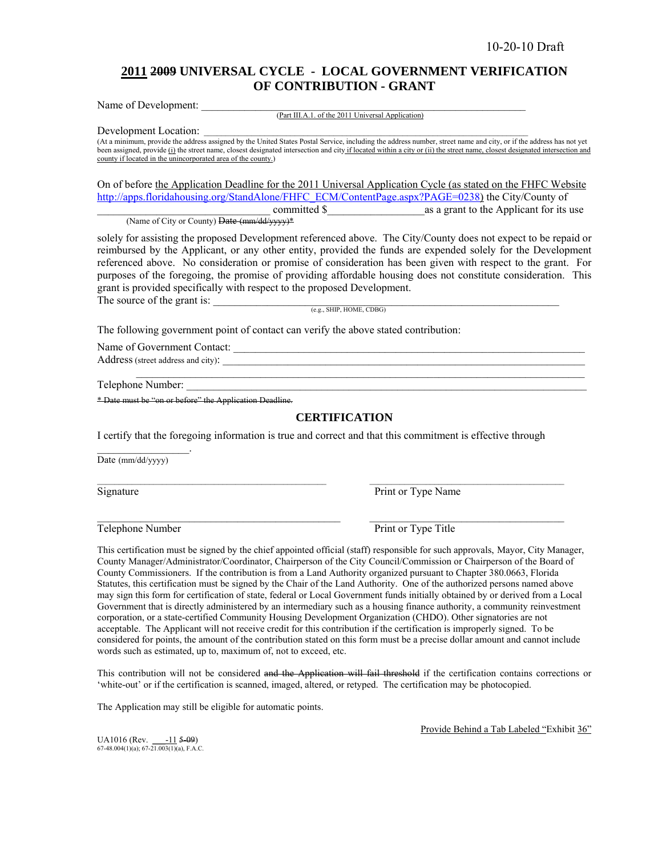### **2011 2009 UNIVERSAL CYCLE - LOCAL GOVERNMENT VERIFICATION OF CONTRIBUTION - GRANT**

Name of Development:

(Part III.A.1. of the 2011 Universal Application)

Development Location:

(At a minimum, provide the address assigned by the United States Postal Service, including the address number, street name and city, or if the address has not yet been assigned, provide (i) the street name, closest designated intersection and city if located within a city or (ii) the street name, closest designated intersection and county if located in the unincorporated area of the county.)

On of before the Application Deadline for the 2011 Universal Application Cycle (as stated on the FHFC Website http://apps.floridahousing.org/StandAlone/FHFC\_ECM/ContentPage.aspx?PAGE=0238) the City/County of \_\_\_\_\_\_\_\_\_\_\_\_\_\_\_\_\_\_\_\_\_\_\_\_\_\_\_\_\_\_\_\_ committed \$\_\_\_\_\_\_\_\_\_\_\_\_\_\_\_\_\_\_as a grant to the Applicant for its use (Name of City or County) Date (mm/dd/yyyy)\*

solely for assisting the proposed Development referenced above. The City/County does not expect to be repaid or reimbursed by the Applicant, or any other entity, provided the funds are expended solely for the Development referenced above. No consideration or promise of consideration has been given with respect to the grant. For purposes of the foregoing, the promise of providing affordable housing does not constitute consideration. This grant is provided specifically with respect to the proposed Development. The source of the grant is:  $\frac{1}{(e.g., SHIP, HOME, CDBG)}$ 

The following government point of contact can verify the above stated contribution:

Name of Government Contact: \_\_\_\_\_\_\_\_\_\_\_\_\_\_\_\_\_\_\_\_\_\_\_\_\_\_\_\_\_\_\_\_\_\_\_\_\_\_\_\_\_\_\_\_\_\_\_\_\_\_\_\_\_\_\_\_\_\_\_\_\_\_\_\_\_ Address (street address and city): \_\_\_\_\_\_\_\_\_\_\_\_\_\_\_\_\_\_\_\_\_\_\_\_\_\_\_\_\_\_\_\_\_\_\_\_\_\_\_\_\_\_\_\_\_\_\_\_\_\_\_\_\_\_\_\_\_\_\_\_\_\_\_\_\_\_\_

 $\mathcal{L}_\text{max}$  , and the set of the set of the set of the set of the set of the set of the set of the set of the set of the set of the set of the set of the set of the set of the set of the set of the set of the set of the Telephone Number:

\* Date must be "on or before" the Application Deadline.

#### **CERTIFICATION**

I certify that the foregoing information is true and correct and that this commitment is effective through

 $\mathcal{L}_\text{max}$ 

 $\mathcal{L}_\text{max}$ 

Date (mm/dd/yyyy)

 $\mathcal{L}_\text{max}$  and  $\mathcal{L}_\text{max}$  and  $\mathcal{L}_\text{max}$ 

Signature Print or Type Name

Telephone Number Print or Type Title

This certification must be signed by the chief appointed official (staff) responsible for such approvals, Mayor, City Manager, County Manager/Administrator/Coordinator, Chairperson of the City Council/Commission or Chairperson of the Board of County Commissioners. If the contribution is from a Land Authority organized pursuant to Chapter 380.0663, Florida Statutes, this certification must be signed by the Chair of the Land Authority. One of the authorized persons named above may sign this form for certification of state, federal or Local Government funds initially obtained by or derived from a Local Government that is directly administered by an intermediary such as a housing finance authority, a community reinvestment corporation, or a state-certified Community Housing Development Organization (CHDO). Other signatories are not acceptable. The Applicant will not receive credit for this contribution if the certification is improperly signed. To be considered for points, the amount of the contribution stated on this form must be a precise dollar amount and cannot include words such as estimated, up to, maximum of, not to exceed, etc.

This contribution will not be considered and the Application will fail threshold if the certification contains corrections or 'white-out' or if the certification is scanned, imaged, altered, or retyped. The certification may be photocopied.

The Application may still be eligible for automatic points.

UA1016 (Rev.  $\frac{-11}{67-48.004(1)(a)}$ ; 67-21.003(1)(a), F.A.C.

Provide Behind a Tab Labeled "Exhibit 36"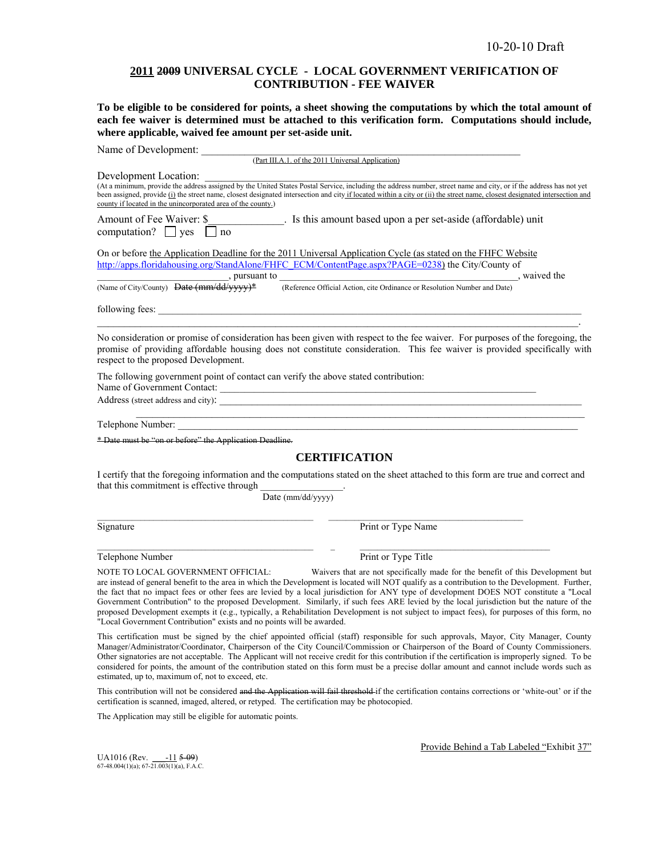### **2011 2009 UNIVERSAL CYCLE - LOCAL GOVERNMENT VERIFICATION OF CONTRIBUTION - FEE WAIVER**

**To be eligible to be considered for points, a sheet showing the computations by which the total amount of each fee waiver is determined must be attached to this verification form. Computations should include, where applicable, waived fee amount per set-aside unit.** 

| Name of Development:                                                                                                                                                                                                                                |                                                                                                                                                                                                                                                                                                                                                                                                                                                                                                                                                                                                                                                                        |  |
|-----------------------------------------------------------------------------------------------------------------------------------------------------------------------------------------------------------------------------------------------------|------------------------------------------------------------------------------------------------------------------------------------------------------------------------------------------------------------------------------------------------------------------------------------------------------------------------------------------------------------------------------------------------------------------------------------------------------------------------------------------------------------------------------------------------------------------------------------------------------------------------------------------------------------------------|--|
| (Part III.A.1. of the 2011 Universal Application)                                                                                                                                                                                                   |                                                                                                                                                                                                                                                                                                                                                                                                                                                                                                                                                                                                                                                                        |  |
| Development Location:                                                                                                                                                                                                                               |                                                                                                                                                                                                                                                                                                                                                                                                                                                                                                                                                                                                                                                                        |  |
| county if located in the unincorporated area of the county.)                                                                                                                                                                                        | Development Location.<br>(At a minimum, provide the address assigned by the United States Postal Service, including the address number, street name and city, or if the address has not yet<br>been assigned, provide (i) the street name, closest designated intersection and city if located within a city or (ii) the street name, closest designated intersection and                                                                                                                                                                                                                                                                                              |  |
| Amount of Fee Waiver: \$<br>computation? $\Box$ yes $\Box$ no                                                                                                                                                                                       | . Is this amount based upon a per set-aside (affordable) unit                                                                                                                                                                                                                                                                                                                                                                                                                                                                                                                                                                                                          |  |
| On or before the Application Deadline for the 2011 Universal Application Cycle (as stated on the FHFC Website<br>http://apps.floridahousing.org/StandAlone/FHFC_ECM/ContentPage.aspx?PAGE=0238) the City/County of                                  |                                                                                                                                                                                                                                                                                                                                                                                                                                                                                                                                                                                                                                                                        |  |
| $\frac{1}{(Name of City/Country) \text{ Date } (mm/dd/yyyy)^*}$ , pursuant to (Reference Official Action, cite Ordinance or Resolution Number and Date)                                                                                             |                                                                                                                                                                                                                                                                                                                                                                                                                                                                                                                                                                                                                                                                        |  |
|                                                                                                                                                                                                                                                     |                                                                                                                                                                                                                                                                                                                                                                                                                                                                                                                                                                                                                                                                        |  |
| respect to the proposed Development.                                                                                                                                                                                                                | No consideration or promise of consideration has been given with respect to the fee waiver. For purposes of the foregoing, the<br>promise of providing affordable housing does not constitute consideration. This fee waiver is provided specifically with                                                                                                                                                                                                                                                                                                                                                                                                             |  |
| The following government point of contact can verify the above stated contribution:<br>Name of Government Contact:                                                                                                                                  |                                                                                                                                                                                                                                                                                                                                                                                                                                                                                                                                                                                                                                                                        |  |
|                                                                                                                                                                                                                                                     |                                                                                                                                                                                                                                                                                                                                                                                                                                                                                                                                                                                                                                                                        |  |
| Telephone Number:                                                                                                                                                                                                                                   | <u> 1999 - Johann John Stone, Amerikaansk politiker (d. 1989)</u>                                                                                                                                                                                                                                                                                                                                                                                                                                                                                                                                                                                                      |  |
| * Date must be "on or before" the Application Deadline.                                                                                                                                                                                             |                                                                                                                                                                                                                                                                                                                                                                                                                                                                                                                                                                                                                                                                        |  |
|                                                                                                                                                                                                                                                     | <b>CERTIFICATION</b>                                                                                                                                                                                                                                                                                                                                                                                                                                                                                                                                                                                                                                                   |  |
|                                                                                                                                                                                                                                                     | I certify that the foregoing information and the computations stated on the sheet attached to this form are true and correct and                                                                                                                                                                                                                                                                                                                                                                                                                                                                                                                                       |  |
| that this commitment is effective through<br>Date (mm/dd/yyyy)                                                                                                                                                                                      |                                                                                                                                                                                                                                                                                                                                                                                                                                                                                                                                                                                                                                                                        |  |
|                                                                                                                                                                                                                                                     |                                                                                                                                                                                                                                                                                                                                                                                                                                                                                                                                                                                                                                                                        |  |
| Signature                                                                                                                                                                                                                                           | Print or Type Name                                                                                                                                                                                                                                                                                                                                                                                                                                                                                                                                                                                                                                                     |  |
| Telephone Number                                                                                                                                                                                                                                    | Print or Type Title                                                                                                                                                                                                                                                                                                                                                                                                                                                                                                                                                                                                                                                    |  |
| NOTE TO LOCAL GOVERNMENT OFFICIAL:<br>"Local Government Contribution" exists and no points will be awarded.                                                                                                                                         | Waivers that are not specifically made for the benefit of this Development but<br>are instead of general benefit to the area in which the Development is located will NOT qualify as a contribution to the Development. Further,<br>the fact that no impact fees or other fees are levied by a local jurisdiction for ANY type of development DOES NOT constitute a "Local<br>Government Contribution" to the proposed Development. Similarly, if such fees ARE levied by the local jurisdiction but the nature of the<br>proposed Development exempts it (e.g., typically, a Rehabilitation Development is not subject to impact fees), for purposes of this form, no |  |
| estimated, up to, maximum of, not to exceed, etc.                                                                                                                                                                                                   | This certification must be signed by the chief appointed official (staff) responsible for such approvals, Mayor, City Manager, County<br>Manager/Administrator/Coordinator, Chairperson of the City Council/Commission or Chairperson of the Board of County Commissioners.<br>Other signatories are not acceptable. The Applicant will not receive credit for this contribution if the certification is improperly signed. To be<br>considered for points, the amount of the contribution stated on this form must be a precise dollar amount and cannot include words such as                                                                                        |  |
| This contribution will not be considered and the Application will fail threshold if the certification contains corrections or 'white-out' or if the<br>certification is scanned, imaged, altered, or retyped. The certification may be photocopied. |                                                                                                                                                                                                                                                                                                                                                                                                                                                                                                                                                                                                                                                                        |  |

The Application may still be eligible for automatic points.

UA1016 (Rev. \_\_\_-11 5-09) 67-48.004(1)(a); 67-21.003(1)(a), F.A.C.

Provide Behind a Tab Labeled "Exhibit 37"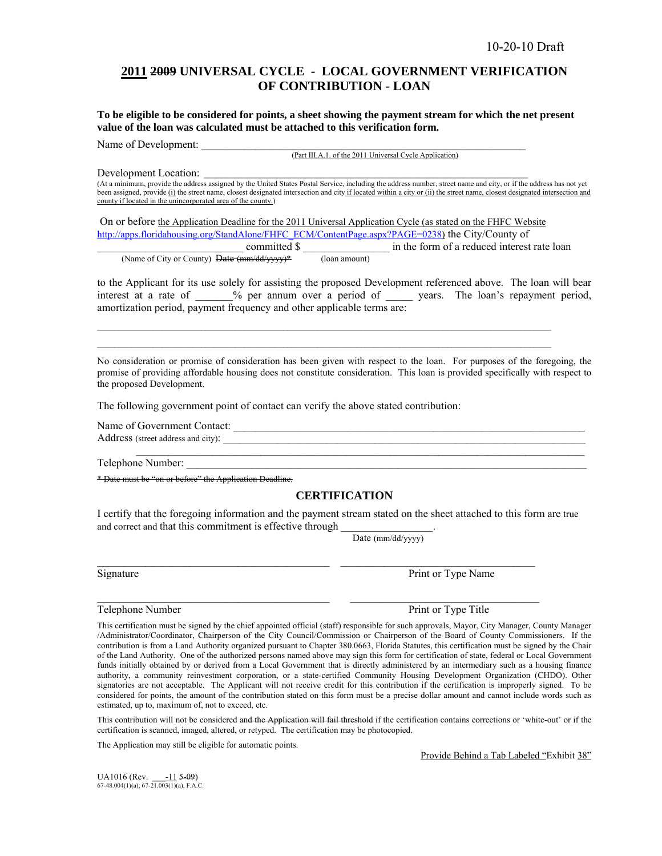### **2011 2009 UNIVERSAL CYCLE - LOCAL GOVERNMENT VERIFICATION OF CONTRIBUTION - LOAN**

**To be eligible to be considered for points, a sheet showing the payment stream for which the net present value of the loan was calculated must be attached to this verification form.** 

Name of Development:

(Part III.A.1. of the 2011 Universal Cycle Application)

Development Location:

(At a minimum, provide the address assigned by the United States Postal Service, including the address number, street name and city, or if the address has not yet been assigned, provide (i) the street name, closest designated intersection and city if located within a city or (ii) the street name, closest designated intersection and county if located in the unincorporated area of the county.)

 On or before the Application Deadline for the 2011 Universal Application Cycle (as stated on the FHFC Website http://apps.floridahousing.org/StandAlone/FHFC\_ECM/ContentPage.aspx?PAGE=0238) the City/County of committed \$  $\Box$  in the form of a reduced interest rate loan (Name of City or County) Date (mm/dd/yyyy)\* (loan amount)

 $\mathcal{L}_\mathcal{L} = \{ \mathcal{L}_\mathcal{L} = \{ \mathcal{L}_\mathcal{L} = \{ \mathcal{L}_\mathcal{L} = \{ \mathcal{L}_\mathcal{L} = \{ \mathcal{L}_\mathcal{L} = \{ \mathcal{L}_\mathcal{L} = \{ \mathcal{L}_\mathcal{L} = \{ \mathcal{L}_\mathcal{L} = \{ \mathcal{L}_\mathcal{L} = \{ \mathcal{L}_\mathcal{L} = \{ \mathcal{L}_\mathcal{L} = \{ \mathcal{L}_\mathcal{L} = \{ \mathcal{L}_\mathcal{L} = \{ \mathcal{L}_\mathcal{$  $\mathcal{L}_\mathcal{L} = \{ \mathcal{L}_\mathcal{L} = \{ \mathcal{L}_\mathcal{L} = \{ \mathcal{L}_\mathcal{L} = \{ \mathcal{L}_\mathcal{L} = \{ \mathcal{L}_\mathcal{L} = \{ \mathcal{L}_\mathcal{L} = \{ \mathcal{L}_\mathcal{L} = \{ \mathcal{L}_\mathcal{L} = \{ \mathcal{L}_\mathcal{L} = \{ \mathcal{L}_\mathcal{L} = \{ \mathcal{L}_\mathcal{L} = \{ \mathcal{L}_\mathcal{L} = \{ \mathcal{L}_\mathcal{L} = \{ \mathcal{L}_\mathcal{$ 

to the Applicant for its use solely for assisting the proposed Development referenced above. The loan will bear interest at a rate of  $\%$  per annum over a period of years. The loan's repayment period, amortization period, payment frequency and other applicable terms are:

No consideration or promise of consideration has been given with respect to the loan. For purposes of the foregoing, the promise of providing affordable housing does not constitute consideration. This loan is provided specifically with respect to the proposed Development.

The following government point of contact can verify the above stated contribution:

Name of Government Contact:

Address (street address and city):

Telephone Number:

\* Date must be "on or before" the Application Deadline.

### **CERTIFICATION**

 $\mathcal{L}_\text{max}$  , and the set of the set of the set of the set of the set of the set of the set of the set of the set of the set of the set of the set of the set of the set of the set of the set of the set of the set of the

I certify that the foregoing information and the payment stream stated on the sheet attached to this form are true and correct and that this commitment is effective through

 $\_$  , and the state of the state of the state of the state of the state of the state of the state of the state of the state of the state of the state of the state of the state of the state of the state of the state of the

Date (mm/dd/yyyy)

Signature Print or Type Name

This certification must be signed by the chief appointed official (staff) responsible for such approvals, Mayor, City Manager, County Manager /Administrator/Coordinator, Chairperson of the City Council/Commission or Chairperson of the Board of County Commissioners. If the contribution is from a Land Authority organized pursuant to Chapter 380.0663, Florida Statutes, this certification must be signed by the Chair of the Land Authority. One of the authorized persons named above may sign this form for certification of state, federal or Local Government funds initially obtained by or derived from a Local Government that is directly administered by an intermediary such as a housing finance authority, a community reinvestment corporation, or a state-certified Community Housing Development Organization (CHDO). Other signatories are not acceptable. The Applicant will not receive credit for this contribution if the certification is improperly signed. To be considered for points, the amount of the contribution stated on this form must be a precise dollar amount and cannot include words such as estimated, up to, maximum of, not to exceed, etc.

This contribution will not be considered and the Application will fail threshold if the certification contains corrections or 'white-out' or if the certification is scanned, imaged, altered, or retyped. The certification may be photocopied.

The Application may still be eligible for automatic points.

Provide Behind a Tab Labeled "Exhibit 38"

UA1016 (Rev.  $-11$  5-09) 67-48.004(1)(a); 67-21.003(1)(a), F.A.C.

 $\mathcal{L}_\text{max}$  , and the contribution of the contribution of the contribution of the contribution of the contribution of the contribution of the contribution of the contribution of the contribution of the contribution of t Telephone Number **Print or Type Title**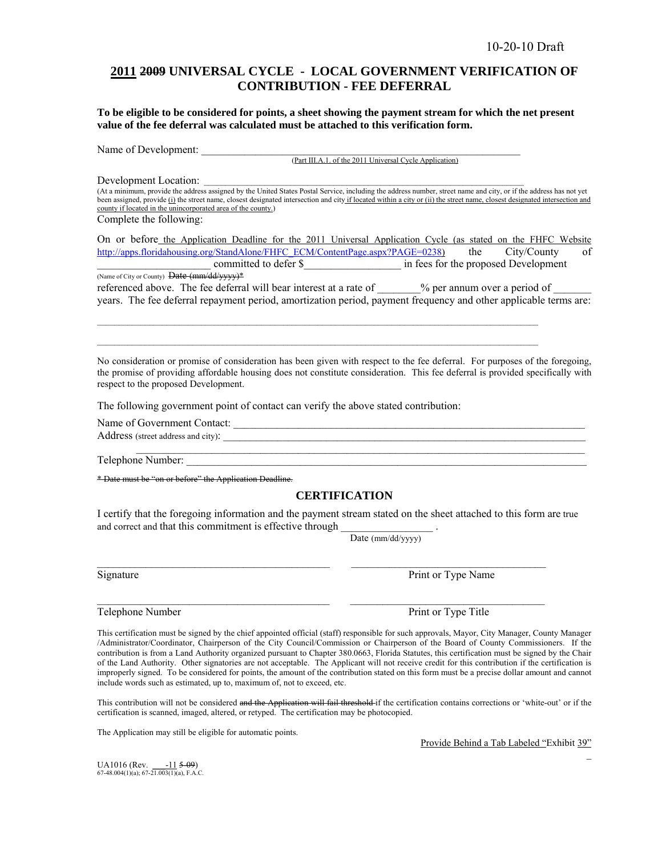### **2011 2009 UNIVERSAL CYCLE - LOCAL GOVERNMENT VERIFICATION OF CONTRIBUTION - FEE DEFERRAL**

**To be eligible to be considered for points, a sheet showing the payment stream for which the net present value of the fee deferral was calculated must be attached to this verification form.** 

Name of Development:

(Part III.A.1. of the 2011 Universal Cycle Application)

Development Location:

(At a minimum, provide the address assigned by the United States Postal Service, including the address number, street name and city, or if the address has not yet been assigned, provide (i) the street name, closest designated intersection and city if located within a city or (ii) the street name, closest designated intersection and county if located in the unincorporated area of the county.) Complete the following:

On or before the Application Deadline for the 2011 Universal Application Cycle (as stated on the FHFC Website http://apps.floridahousing.org/StandAlone/FHFC\_ECM/ContentPage.aspx?PAGE=0238) the City/County of committed to defer \$<br>in fees for the proposed Development (Name of City or County) Date (mm/dd/yyyy)\*

referenced above. The fee deferral will bear interest at a rate of \_\_\_\_\_\_\_% per annum over a period of \_\_ years. The fee deferral repayment period, amortization period, payment frequency and other applicable terms are:

 $\mathcal{L}_\mathcal{L} = \{ \mathcal{L}_\mathcal{L} = \{ \mathcal{L}_\mathcal{L} = \{ \mathcal{L}_\mathcal{L} = \{ \mathcal{L}_\mathcal{L} = \{ \mathcal{L}_\mathcal{L} = \{ \mathcal{L}_\mathcal{L} = \{ \mathcal{L}_\mathcal{L} = \{ \mathcal{L}_\mathcal{L} = \{ \mathcal{L}_\mathcal{L} = \{ \mathcal{L}_\mathcal{L} = \{ \mathcal{L}_\mathcal{L} = \{ \mathcal{L}_\mathcal{L} = \{ \mathcal{L}_\mathcal{L} = \{ \mathcal{L}_\mathcal{$  $\mathcal{L}_\mathcal{L} = \{ \mathcal{L}_\mathcal{L} = \{ \mathcal{L}_\mathcal{L} = \{ \mathcal{L}_\mathcal{L} = \{ \mathcal{L}_\mathcal{L} = \{ \mathcal{L}_\mathcal{L} = \{ \mathcal{L}_\mathcal{L} = \{ \mathcal{L}_\mathcal{L} = \{ \mathcal{L}_\mathcal{L} = \{ \mathcal{L}_\mathcal{L} = \{ \mathcal{L}_\mathcal{L} = \{ \mathcal{L}_\mathcal{L} = \{ \mathcal{L}_\mathcal{L} = \{ \mathcal{L}_\mathcal{L} = \{ \mathcal{L}_\mathcal{$ 

No consideration or promise of consideration has been given with respect to the fee deferral. For purposes of the foregoing, the promise of providing affordable housing does not constitute consideration. This fee deferral is provided specifically with respect to the proposed Development.

The following government point of contact can verify the above stated contribution:

Name of Government Contact: \_\_\_\_\_\_\_\_\_\_\_\_\_\_\_\_\_\_\_\_\_\_\_\_\_\_\_\_\_\_\_\_\_\_\_\_\_\_\_\_\_\_\_\_\_\_\_\_\_\_\_\_\_\_\_\_\_\_\_\_\_\_\_\_\_

 $\triangle$  Address (street address and city):

Telephone Number:

\* Date must be "on or before" the Application Deadline.

### **CERTIFICATION**

 $\mathcal{L}_\text{max}$  , and the set of the set of the set of the set of the set of the set of the set of the set of the set of the set of the set of the set of the set of the set of the set of the set of the set of the set of the

I certify that the foregoing information and the payment stream stated on the sheet attached to this form are true and correct and that this commitment is effective through

 $\mathcal{L}_\text{max}$  , and the state of the state of the state of the state of the state of the state of the state of

Date (mm/dd/yyyy)

Signature Print or Type Name

This certification must be signed by the chief appointed official (staff) responsible for such approvals, Mayor, City Manager, County Manager /Administrator/Coordinator, Chairperson of the City Council/Commission or Chairperson of the Board of County Commissioners. If the contribution is from a Land Authority organized pursuant to Chapter 380.0663, Florida Statutes, this certification must be signed by the Chair of the Land Authority. Other signatories are not acceptable. The Applicant will not receive credit for this contribution if the certification is improperly signed. To be considered for points, the amount of the contribution stated on this form must be a precise dollar amount and cannot include words such as estimated, up to, maximum of, not to exceed, etc.

This contribution will not be considered and the Application will fail threshold if the certification contains corrections or 'white-out' or if the certification is scanned, imaged, altered, or retyped. The certification may be photocopied.

The Application may still be eligible for automatic points.

Provide Behind a Tab Labeled "Exhibit 39"

 $\mathcal{L}(\mathcal{L})$ 

UA1016 (Rev.  $\underline{\hspace{1cm}11}$  5-09)<br>67-48.004(1)(a); 67-21.003(1)(a), F.A.C.

 $\mathcal{L}_\text{max}$  , and the set of the set of the set of the set of the set of the set of the set of the set of the set of Telephone Number Print or Type Title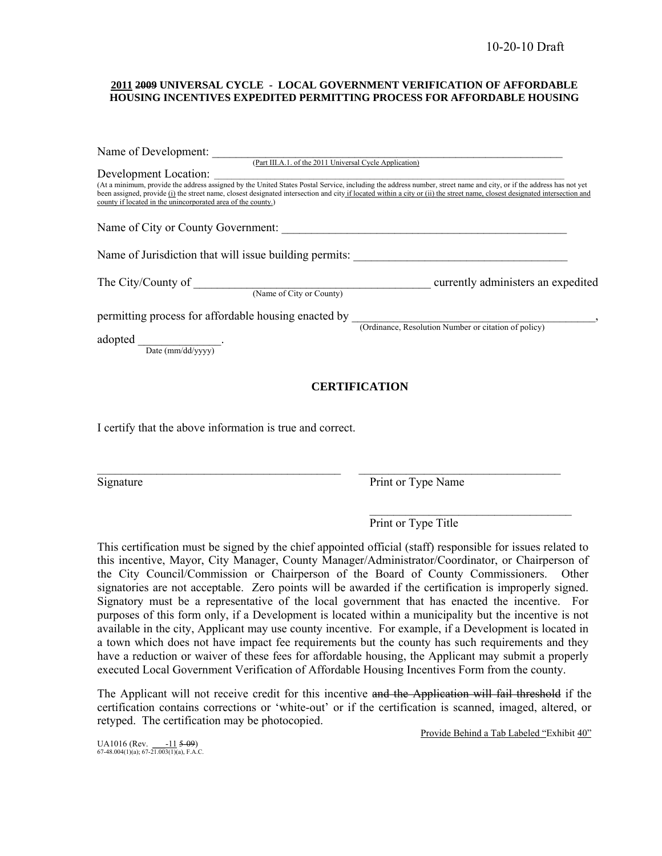#### **2011 2009 UNIVERSAL CYCLE - LOCAL GOVERNMENT VERIFICATION OF AFFORDABLE HOUSING INCENTIVES EXPEDITED PERMITTING PROCESS FOR AFFORDABLE HOUSING**

| Name of Development:                                                                                                                                                                                                                                                                                                                                                                                                                   |                                                      |  |  |
|----------------------------------------------------------------------------------------------------------------------------------------------------------------------------------------------------------------------------------------------------------------------------------------------------------------------------------------------------------------------------------------------------------------------------------------|------------------------------------------------------|--|--|
| (Part III.A.1. of the 2011 Universal Cycle Application)                                                                                                                                                                                                                                                                                                                                                                                |                                                      |  |  |
| Development Location:                                                                                                                                                                                                                                                                                                                                                                                                                  |                                                      |  |  |
| DUVULIUM DUCATION.<br>(At a minimum, provide the address assigned by the United States Postal Service, including the address number, street name and city, or if the address has not yet<br>been assigned, provide (i) the street name, closest designated intersection and city if located within a city or (ii) the street name, closest designated intersection and<br>county if located in the unincorporated area of the county.) |                                                      |  |  |
|                                                                                                                                                                                                                                                                                                                                                                                                                                        |                                                      |  |  |
|                                                                                                                                                                                                                                                                                                                                                                                                                                        |                                                      |  |  |
| The City/County of<br>(Name of City or County)                                                                                                                                                                                                                                                                                                                                                                                         | currently administers an expedited                   |  |  |
| permitting process for affordable housing enacted by                                                                                                                                                                                                                                                                                                                                                                                   | (Ordinance, Resolution Number or citation of policy) |  |  |
|                                                                                                                                                                                                                                                                                                                                                                                                                                        |                                                      |  |  |
| adopted<br>Date $\frac{m}{d}$                                                                                                                                                                                                                                                                                                                                                                                                          |                                                      |  |  |
| <b>CERTIFICATION</b>                                                                                                                                                                                                                                                                                                                                                                                                                   |                                                      |  |  |

I certify that the above information is true and correct.

Signature Print or Type Name

 $\mathcal{L}_\text{max}$  and  $\mathcal{L}_\text{max}$  and  $\mathcal{L}_\text{max}$  and  $\mathcal{L}_\text{max}$  and  $\mathcal{L}_\text{max}$ Print or Type Title

This certification must be signed by the chief appointed official (staff) responsible for issues related to this incentive, Mayor, City Manager, County Manager/Administrator/Coordinator, or Chairperson of the City Council/Commission or Chairperson of the Board of County Commissioners. Other signatories are not acceptable. Zero points will be awarded if the certification is improperly signed. Signatory must be a representative of the local government that has enacted the incentive. For purposes of this form only, if a Development is located within a municipality but the incentive is not available in the city, Applicant may use county incentive. For example, if a Development is located in a town which does not have impact fee requirements but the county has such requirements and they have a reduction or waiver of these fees for affordable housing, the Applicant may submit a properly executed Local Government Verification of Affordable Housing Incentives Form from the county.

 $\mathcal{L}_\text{max} = \frac{1}{2} \sum_{i=1}^n \mathcal{L}_\text{max} = \frac{1}{2} \sum_{i=1}^n \mathcal{L}_\text{max} = \frac{1}{2} \sum_{i=1}^n \mathcal{L}_\text{max} = \frac{1}{2} \sum_{i=1}^n \mathcal{L}_\text{max} = \frac{1}{2} \sum_{i=1}^n \mathcal{L}_\text{max} = \frac{1}{2} \sum_{i=1}^n \mathcal{L}_\text{max} = \frac{1}{2} \sum_{i=1}^n \mathcal{L}_\text{max} = \frac{1}{2} \sum_{i=$ 

The Applicant will not receive credit for this incentive and the Application will fail threshold if the certification contains corrections or 'white-out' or if the certification is scanned, imaged, altered, or retyped. The certification may be photocopied.

Provide Behind a Tab Labeled "Exhibit 40"

UA1016 (Rev. \_\_\_-11 5-09) 67-48.004(1)(a); 67-21.003(1)(a), F.A.C.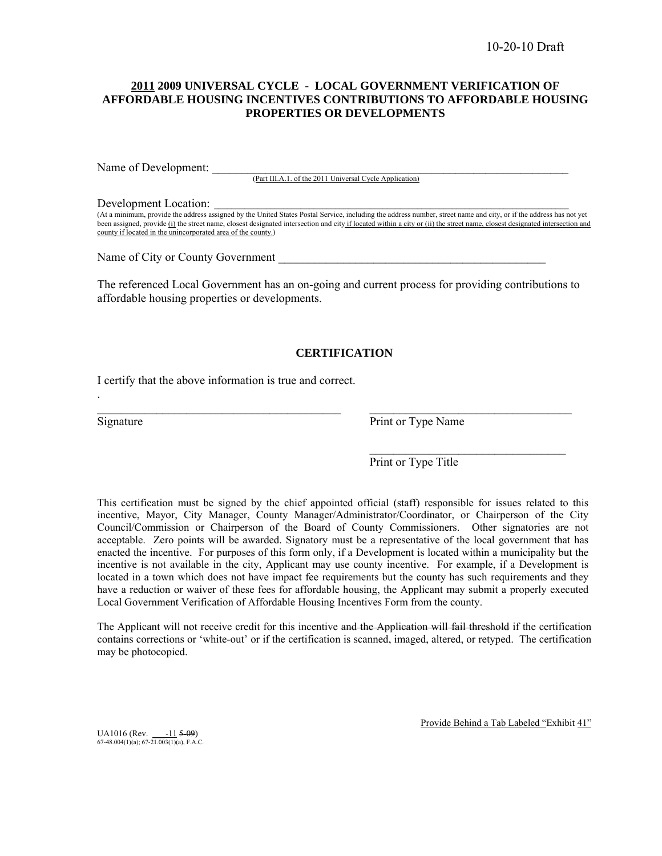### **2011 2009 UNIVERSAL CYCLE - LOCAL GOVERNMENT VERIFICATION OF AFFORDABLE HOUSING INCENTIVES CONTRIBUTIONS TO AFFORDABLE HOUSING PROPERTIES OR DEVELOPMENTS**

Name of Development:

(Part III.A.1. of the 2011 Universal Cycle Application)

#### Development Location:

(At a minimum, provide the address assigned by the United States Postal Service, including the address number, street name and city, or if the address has not yet been assigned, provide (i) the street name, closest designated intersection and city if located within a city or (ii) the street name, closest designated intersection and county if located in the unincorporated area of the county.)

Name of City or County Government

The referenced Local Government has an on-going and current process for providing contributions to affordable housing properties or developments.

#### **CERTIFICATION**

\_\_\_\_\_\_\_\_\_\_\_\_\_\_\_\_\_\_\_\_\_\_\_\_\_\_\_\_\_\_\_\_\_\_\_\_\_\_\_\_\_ \_\_\_\_\_\_\_\_\_\_\_\_\_\_\_\_\_\_\_\_\_\_\_\_\_\_\_\_\_\_\_\_\_\_

 $\frac{1}{\sqrt{2}}$  ,  $\frac{1}{\sqrt{2}}$  ,  $\frac{1}{\sqrt{2}}$  ,  $\frac{1}{\sqrt{2}}$  ,  $\frac{1}{\sqrt{2}}$  ,  $\frac{1}{\sqrt{2}}$  ,  $\frac{1}{\sqrt{2}}$  ,  $\frac{1}{\sqrt{2}}$  ,  $\frac{1}{\sqrt{2}}$  ,  $\frac{1}{\sqrt{2}}$  ,  $\frac{1}{\sqrt{2}}$  ,  $\frac{1}{\sqrt{2}}$  ,  $\frac{1}{\sqrt{2}}$  ,  $\frac{1}{\sqrt{2}}$  ,  $\frac{1}{\sqrt{2}}$ 

I certify that the above information is true and correct.

.

Signature Print or Type Name

Print or Type Title

This certification must be signed by the chief appointed official (staff) responsible for issues related to this incentive, Mayor, City Manager, County Manager/Administrator/Coordinator, or Chairperson of the City Council/Commission or Chairperson of the Board of County Commissioners. Other signatories are not acceptable. Zero points will be awarded. Signatory must be a representative of the local government that has enacted the incentive. For purposes of this form only, if a Development is located within a municipality but the incentive is not available in the city, Applicant may use county incentive. For example, if a Development is located in a town which does not have impact fee requirements but the county has such requirements and they have a reduction or waiver of these fees for affordable housing, the Applicant may submit a properly executed Local Government Verification of Affordable Housing Incentives Form from the county.

The Applicant will not receive credit for this incentive and the Application will fail threshold if the certification contains corrections or 'white-out' or if the certification is scanned, imaged, altered, or retyped. The certification may be photocopied.

UA1016 (Rev.  $\frac{-11}{509}$ )<br>67-48.004(1)(a); 67-21.003(1)(a), F.A.C.

Provide Behind a Tab Labeled "Exhibit 41"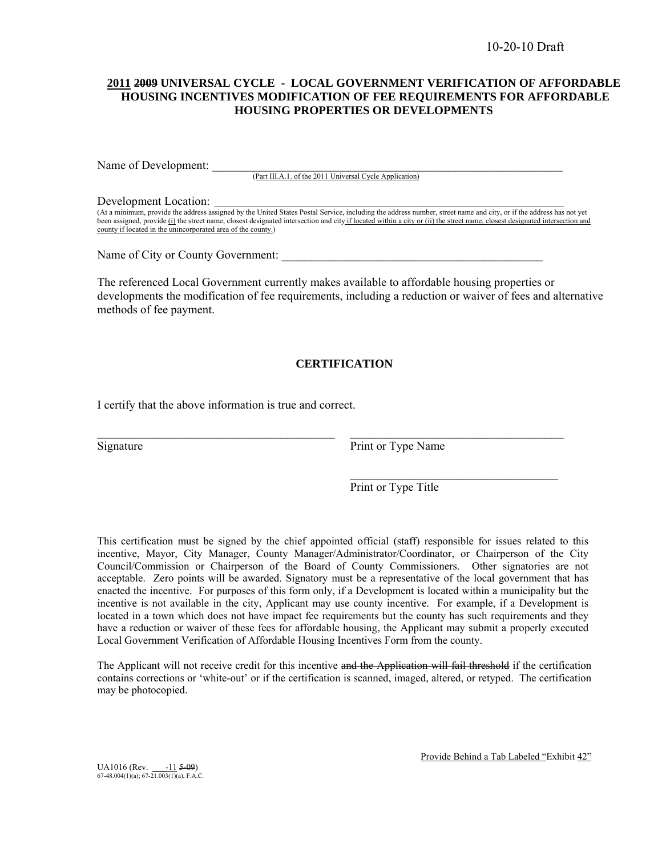### **2011 2009 UNIVERSAL CYCLE - LOCAL GOVERNMENT VERIFICATION OF AFFORDABLE HOUSING INCENTIVES MODIFICATION OF FEE REQUIREMENTS FOR AFFORDABLE HOUSING PROPERTIES OR DEVELOPMENTS**

Name of Development:

(Part III.A.1. of the 2011 Universal Cycle Application)

#### Development Location:

(At a minimum, provide the address assigned by the United States Postal Service, including the address number, street name and city, or if the address has not yet been assigned, provide (i) the street name, closest designated intersection and city if located within a city or (ii) the street name, closest designated intersection and county if located in the unincorporated area of the county.)

Name of City or County Government:

The referenced Local Government currently makes available to affordable housing properties or developments the modification of fee requirements, including a reduction or waiver of fees and alternative methods of fee payment.

### **CERTIFICATION**

 $\mathcal{L}_\mathcal{L} = \{ \mathcal{L}_\mathcal{L} = \{ \mathcal{L}_\mathcal{L} = \{ \mathcal{L}_\mathcal{L} = \{ \mathcal{L}_\mathcal{L} = \{ \mathcal{L}_\mathcal{L} = \{ \mathcal{L}_\mathcal{L} = \{ \mathcal{L}_\mathcal{L} = \{ \mathcal{L}_\mathcal{L} = \{ \mathcal{L}_\mathcal{L} = \{ \mathcal{L}_\mathcal{L} = \{ \mathcal{L}_\mathcal{L} = \{ \mathcal{L}_\mathcal{L} = \{ \mathcal{L}_\mathcal{L} = \{ \mathcal{L}_\mathcal{$ 

 $\mathcal{L}_\text{max}$  and  $\mathcal{L}_\text{max}$  and  $\mathcal{L}_\text{max}$  and  $\mathcal{L}_\text{max}$  and  $\mathcal{L}_\text{max}$ 

I certify that the above information is true and correct.

Signature Print or Type Name

Print or Type Title

This certification must be signed by the chief appointed official (staff) responsible for issues related to this incentive, Mayor, City Manager, County Manager/Administrator/Coordinator, or Chairperson of the City Council/Commission or Chairperson of the Board of County Commissioners. Other signatories are not acceptable. Zero points will be awarded. Signatory must be a representative of the local government that has enacted the incentive. For purposes of this form only, if a Development is located within a municipality but the incentive is not available in the city, Applicant may use county incentive. For example, if a Development is located in a town which does not have impact fee requirements but the county has such requirements and they have a reduction or waiver of these fees for affordable housing, the Applicant may submit a properly executed Local Government Verification of Affordable Housing Incentives Form from the county.

The Applicant will not receive credit for this incentive and the Application will fail threshold if the certification contains corrections or 'white-out' or if the certification is scanned, imaged, altered, or retyped. The certification may be photocopied.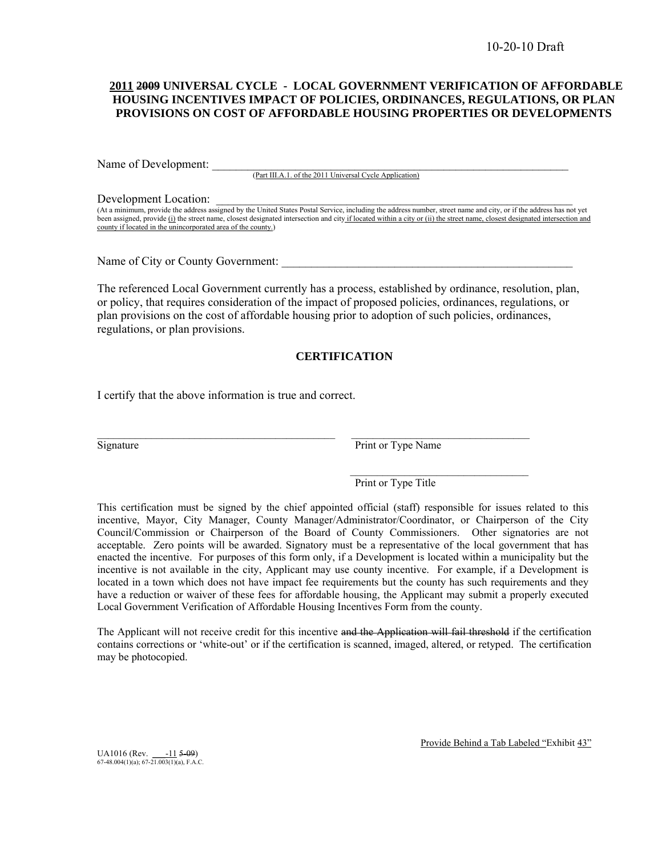#### **2011 2009 UNIVERSAL CYCLE - LOCAL GOVERNMENT VERIFICATION OF AFFORDABLE HOUSING INCENTIVES IMPACT OF POLICIES, ORDINANCES, REGULATIONS, OR PLAN PROVISIONS ON COST OF AFFORDABLE HOUSING PROPERTIES OR DEVELOPMENTS**

Name of Development:

(Part III.A.1. of the 2011 Universal Cycle Application)

#### Development Location:

(At a minimum, provide the address assigned by the United States Postal Service, including the address number, street name and city, or if the address has not yet been assigned, provide (i) the street name, closest designated intersection and city if located within a city or (ii) the street name, closest designated intersection and county if located in the unincorporated area of the county.)

Name of City or County Government:

The referenced Local Government currently has a process, established by ordinance, resolution, plan, or policy, that requires consideration of the impact of proposed policies, ordinances, regulations, or plan provisions on the cost of affordable housing prior to adoption of such policies, ordinances, regulations, or plan provisions.

### **CERTIFICATION**

I certify that the above information is true and correct.

Signature Print or Type Name

Print or Type Title

This certification must be signed by the chief appointed official (staff) responsible for issues related to this incentive, Mayor, City Manager, County Manager/Administrator/Coordinator, or Chairperson of the City Council/Commission or Chairperson of the Board of County Commissioners. Other signatories are not acceptable. Zero points will be awarded. Signatory must be a representative of the local government that has enacted the incentive. For purposes of this form only, if a Development is located within a municipality but the incentive is not available in the city, Applicant may use county incentive. For example, if a Development is located in a town which does not have impact fee requirements but the county has such requirements and they have a reduction or waiver of these fees for affordable housing, the Applicant may submit a properly executed Local Government Verification of Affordable Housing Incentives Form from the county.

The Applicant will not receive credit for this incentive and the Application will fail threshold if the certification contains corrections or 'white-out' or if the certification is scanned, imaged, altered, or retyped. The certification may be photocopied.

UA1016 (Rev.  $\frac{-11}{67-48.004(1)(a)}$ ; 67-21.003(1)(a), F.A.C.

Provide Behind a Tab Labeled "Exhibit 43"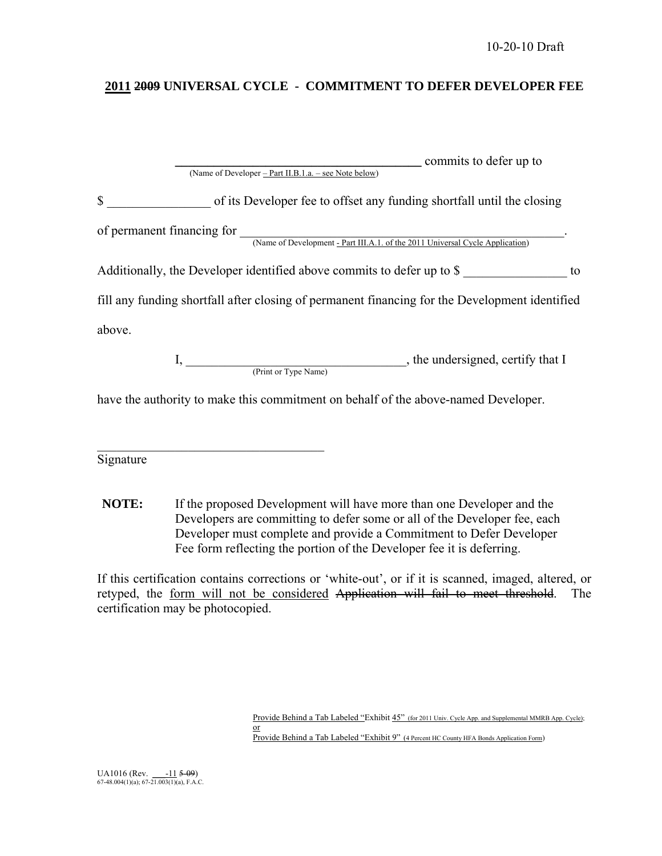### **2011 2009 UNIVERSAL CYCLE - COMMITMENT TO DEFER DEVELOPER FEE**

| commits to defer up to                                                                                      |  |  |
|-------------------------------------------------------------------------------------------------------------|--|--|
| (Name of Developer – Part II.B.1.a. – see Note below)                                                       |  |  |
| $\mathbb{S}$<br>of its Developer fee to offset any funding shortfall until the closing                      |  |  |
| of permanent financing for<br>(Name of Development - Part III.A.1. of the 2011 Universal Cycle Application) |  |  |
| Additionally, the Developer identified above commits to defer up to \$<br>to                                |  |  |
| fill any funding shortfall after closing of permanent financing for the Development identified              |  |  |
| above.                                                                                                      |  |  |
| , the undersigned, certify that I<br>(Print or Type Name)                                                   |  |  |

have the authority to make this commitment on behalf of the above-named Developer.

Signature

 $\mathcal{L}_\text{max}$ 

**NOTE:** If the proposed Development will have more than one Developer and the Developers are committing to defer some or all of the Developer fee, each Developer must complete and provide a Commitment to Defer Developer Fee form reflecting the portion of the Developer fee it is deferring.

If this certification contains corrections or 'white-out', or if it is scanned, imaged, altered, or retyped, the form will not be considered Application will fail to meet threshold. The certification may be photocopied.

Provide Behind a Tab Labeled "Exhibit 45" (for 2011 Univ. Cycle App. and Supplemental MMRB App. Cycle);  $\frac{1}{\alpha}$ Provide Behind a Tab Labeled "Exhibit 9" (4 Percent HC County HFA Bonds Application Form)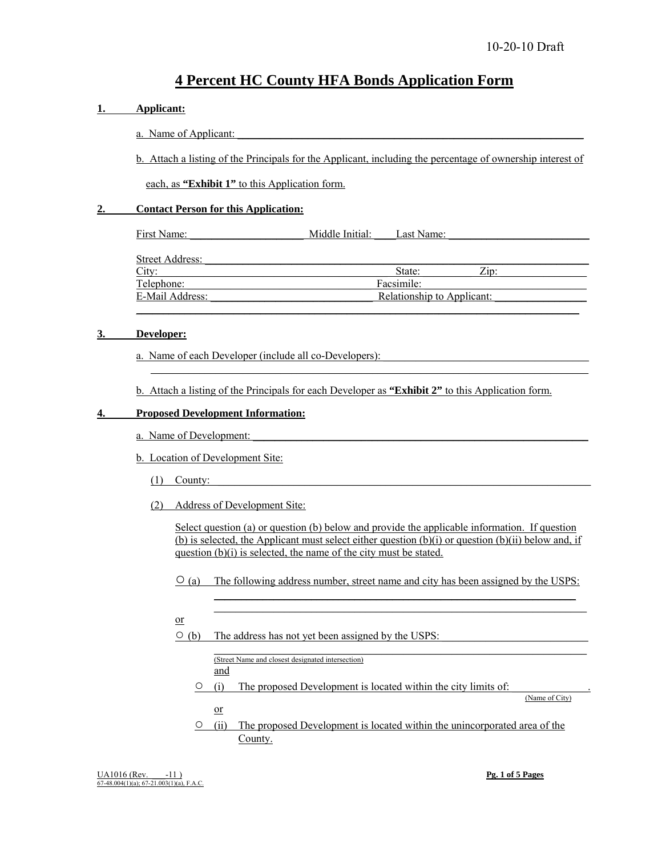## **4 Percent HC County HFA Bonds Application Form**

# **1. Applicant:** a. Name of Applicant: b. Attach a listing of the Principals for the Applicant, including the percentage of ownership interest of each, as **"Exhibit 1"** to this Application form. **2. Contact Person for this Application:** First Name: The Middle Initial: Last Name: Street Address:  $City:$   $City:$   $State:$   $Zip:$ Telephone: Facsimile: E-Mail Address: E-Mail Address: E-Mail Address:  $\overline{E}$ Relationship to Applicant:  $\mathcal{L}_\mathcal{L} = \mathcal{L}_\mathcal{L} = \mathcal{L}_\mathcal{L} = \mathcal{L}_\mathcal{L} = \mathcal{L}_\mathcal{L} = \mathcal{L}_\mathcal{L} = \mathcal{L}_\mathcal{L} = \mathcal{L}_\mathcal{L} = \mathcal{L}_\mathcal{L} = \mathcal{L}_\mathcal{L} = \mathcal{L}_\mathcal{L} = \mathcal{L}_\mathcal{L} = \mathcal{L}_\mathcal{L} = \mathcal{L}_\mathcal{L} = \mathcal{L}_\mathcal{L} = \mathcal{L}_\mathcal{L} = \mathcal{L}_\mathcal{L}$ **3. Developer:** a. Name of each Developer (include all co-Developers):  $\mathcal{L}_\text{max} = \frac{1}{2} \sum_{i=1}^{n} \frac{1}{2} \sum_{i=1}^{n} \frac{1}{2} \sum_{i=1}^{n} \frac{1}{2} \sum_{i=1}^{n} \frac{1}{2} \sum_{i=1}^{n} \frac{1}{2} \sum_{i=1}^{n} \frac{1}{2} \sum_{i=1}^{n} \frac{1}{2} \sum_{i=1}^{n} \frac{1}{2} \sum_{i=1}^{n} \frac{1}{2} \sum_{i=1}^{n} \frac{1}{2} \sum_{i=1}^{n} \frac{1}{2} \sum_{i=1}^{n} \frac{1$  b. Attach a listing of the Principals for each Developer as **"Exhibit 2"** to this Application form. **4. Proposed Development Information:** a. Name of Development: b. Location of Development Site:  $(1)$  County: (2) Address of Development Site:

 Select question (a) or question (b) below and provide the applicable information. If question (b) is selected, the Applicant must select either question (b)(i) or question (b)(ii) below and, if question (b)(i) is selected, the name of the city must be stated.

 $\circ$  (a) The following address number, street name and city has been assigned by the USPS:

 $\mathcal{L}_\text{max} = \mathcal{L}_\text{max} = \mathcal{L}_\text{max} = \mathcal{L}_\text{max} = \mathcal{L}_\text{max} = \mathcal{L}_\text{max} = \mathcal{L}_\text{max} = \mathcal{L}_\text{max} = \mathcal{L}_\text{max} = \mathcal{L}_\text{max} = \mathcal{L}_\text{max} = \mathcal{L}_\text{max} = \mathcal{L}_\text{max} = \mathcal{L}_\text{max} = \mathcal{L}_\text{max} = \mathcal{L}_\text{max} = \mathcal{L}_\text{max} = \mathcal{L}_\text{max} = \mathcal{$ 

- or
- $\circ$  (b) The address has not yet been assigned by the USPS:

 $\mathcal{L}_\text{max} = \mathcal{L}_\text{max} = \mathcal{L}_\text{max} = \mathcal{L}_\text{max} = \mathcal{L}_\text{max} = \mathcal{L}_\text{max} = \mathcal{L}_\text{max} = \mathcal{L}_\text{max} = \mathcal{L}_\text{max} = \mathcal{L}_\text{max} = \mathcal{L}_\text{max} = \mathcal{L}_\text{max} = \mathcal{L}_\text{max} = \mathcal{L}_\text{max} = \mathcal{L}_\text{max} = \mathcal{L}_\text{max} = \mathcal{L}_\text{max} = \mathcal{L}_\text{max} = \mathcal{$ (Street Name and closest designated intersection)

and

 $\circ$  (i) The proposed Development is located within the city limits of:

 $\mathcal{L}_\text{max} = \mathcal{L}_\text{max} = \mathcal{L}_\text{max} = \mathcal{L}_\text{max} = \mathcal{L}_\text{max} = \mathcal{L}_\text{max} = \mathcal{L}_\text{max} = \mathcal{L}_\text{max} = \mathcal{L}_\text{max} = \mathcal{L}_\text{max} = \mathcal{L}_\text{max} = \mathcal{L}_\text{max} = \mathcal{L}_\text{max} = \mathcal{L}_\text{max} = \mathcal{L}_\text{max} = \mathcal{L}_\text{max} = \mathcal{L}_\text{max} = \mathcal{L}_\text{max} = \mathcal{$ 

or

○ (ii) The proposed Development is located within the unincorporated area of the County.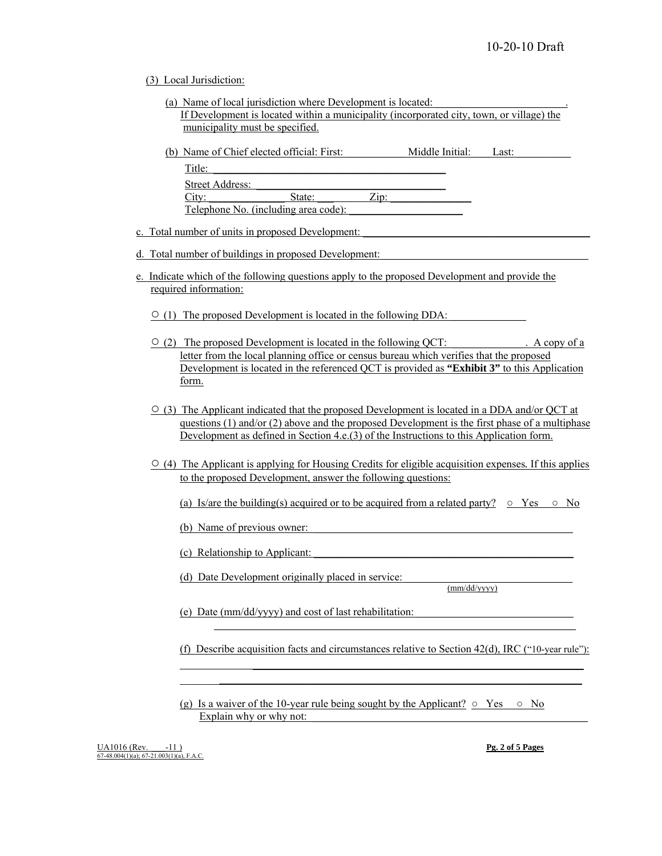#### (3) Local Jurisdiction:

- (a) Name of local jurisdiction where Development is located: If Development is located within a municipality (incorporated city, town, or village) the municipality must be specified.
- (b) Name of Chief elected official: First: Middle Initial: Last:  $\text{Title:}$ Street Address: City: State: 2ip:

Telephone No. (including area code):

### c. Total number of units in proposed Development:

- d. Total number of buildings in proposed Development:
- e. Indicate which of the following questions apply to the proposed Development and provide the required information:

 $\circ$  (1) The proposed Development is located in the following DDA:

- $\circ$  (2) The proposed Development is located in the following QCT:  $\circ$  . A copy of a letter from the local planning office or census bureau which verifies that the proposed Development is located in the referenced QCT is provided as **"Exhibit 3"** to this Application form.
- $\circ$  (3) The Applicant indicated that the proposed Development is located in a DDA and/or QCT at questions (1) and/or (2) above and the proposed Development is the first phase of a multiphase Development as defined in Section 4.e.(3) of the Instructions to this Application form.
- (4) The Applicant is applying for Housing Credits for eligible acquisition expenses*.* If this applies to the proposed Development, answer the following questions:

(a) Is/are the building(s) acquired or to be acquired from a related party?  $\circ$  Yes  $\circ$  No

(b) Name of previous owner:

(c) Relationship to Applicant: \_\_\_\_\_\_\_\_\_\_\_\_\_\_\_\_\_\_\_\_\_\_\_\_\_\_\_\_\_\_\_\_\_\_\_\_\_\_\_\_\_\_\_\_\_\_\_\_

(d) Date Development originally placed in service: \_\_\_\_\_\_\_\_\_\_\_\_\_\_\_\_\_\_\_\_\_\_\_\_\_\_\_\_\_\_\_ (mm/dd/yyyy)

(e) Date ( $mm/dd/yyyy$ ) and cost of last rehabilitation:

 $\mathcal{L}_\mathcal{L} = \mathcal{L}_\mathcal{L} = \mathcal{L}_\mathcal{L} = \mathcal{L}_\mathcal{L} = \mathcal{L}_\mathcal{L} = \mathcal{L}_\mathcal{L} = \mathcal{L}_\mathcal{L} = \mathcal{L}_\mathcal{L} = \mathcal{L}_\mathcal{L} = \mathcal{L}_\mathcal{L} = \mathcal{L}_\mathcal{L} = \mathcal{L}_\mathcal{L} = \mathcal{L}_\mathcal{L} = \mathcal{L}_\mathcal{L} = \mathcal{L}_\mathcal{L} = \mathcal{L}_\mathcal{L} = \mathcal{L}_\mathcal{L}$ 

 $\mathcal{L}_\text{max} = \frac{1}{2} \sum_{i=1}^n \frac{1}{2} \sum_{i=1}^n \frac{1}{2} \sum_{i=1}^n \frac{1}{2} \sum_{i=1}^n \frac{1}{2} \sum_{i=1}^n \frac{1}{2} \sum_{i=1}^n \frac{1}{2} \sum_{i=1}^n \frac{1}{2} \sum_{i=1}^n \frac{1}{2} \sum_{i=1}^n \frac{1}{2} \sum_{i=1}^n \frac{1}{2} \sum_{i=1}^n \frac{1}{2} \sum_{i=1}^n \frac{1}{2} \sum_{i=1}^n$  $\mathcal{L}_\text{max} = \mathcal{L}_\text{max} = \mathcal{L}_\text{max} = \mathcal{L}_\text{max} = \mathcal{L}_\text{max} = \mathcal{L}_\text{max} = \mathcal{L}_\text{max} = \mathcal{L}_\text{max} = \mathcal{L}_\text{max} = \mathcal{L}_\text{max} = \mathcal{L}_\text{max} = \mathcal{L}_\text{max} = \mathcal{L}_\text{max} = \mathcal{L}_\text{max} = \mathcal{L}_\text{max} = \mathcal{L}_\text{max} = \mathcal{L}_\text{max} = \mathcal{L}_\text{max} = \mathcal{$ 

(f) Describe acquisition facts and circumstances relative to Section 42(d), IRC ("10-year rule"):

(g) Is a waiver of the 10-year rule being sought by the Applicant?  $\circ$  Yes  $\circ$  No Explain why or why not: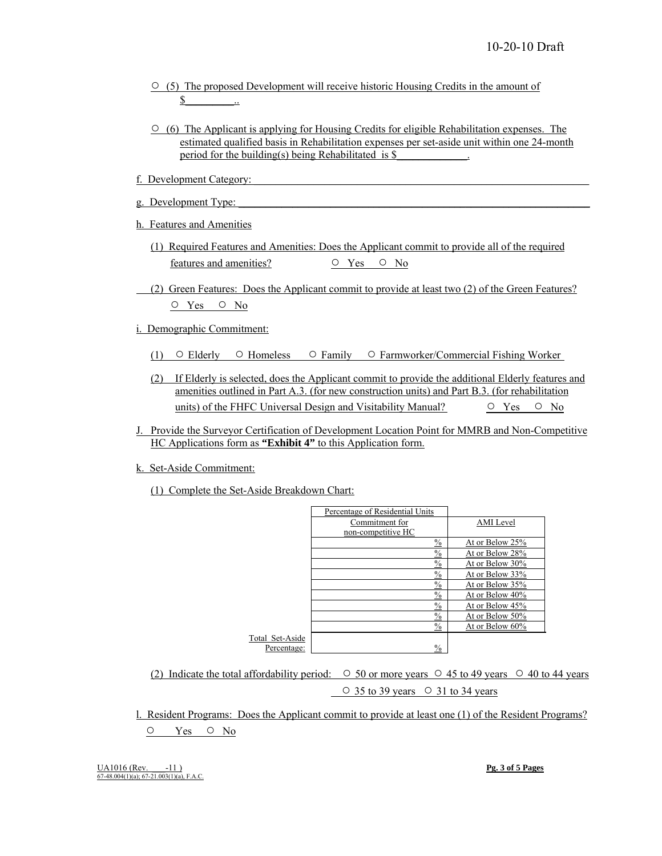- $\circ$  (5) The proposed Development will receive historic Housing Credits in the amount of  $\$\quad$
- $\circ$  (6) The Applicant is applying for Housing Credits for eligible Rehabilitation expenses. The estimated qualified basis in Rehabilitation expenses per set-aside unit within one 24-month period for the building(s) being Rehabilitated is \$
- f. Development Category:
- g. Development Type:
- h. Features and Amenities
	- (1) Required Features and Amenities: Does the Applicant commit to provide all of the required features and amenities?  $\circ$  Yes  $\circ$  No
- (2) Green Features: Does the Applicant commit to provide at least two (2) of the Green Features? ○ Yes ○ No
- i. Demographic Commitment:
	- (1) Elderly Homeless Family Farmworker/Commercial Fishing Worker
	- (2) If Elderly is selected, does the Applicant commit to provide the additional Elderly features and amenities outlined in Part A.3. (for new construction units) and Part B.3. (for rehabilitation units) of the FHFC Universal Design and Visitability Manual?  $\qquad \qquad \circ \quad \text{Yes} \qquad \circ \quad \text{No}$
- J. Provide the Surveyor Certification of Development Location Point for MMRB and Non-Competitive HC Applications form as **"Exhibit 4"** to this Application form.
- k. Set-Aside Commitment:
	- (1) Complete the Set-Aside Breakdown Chart:

|                 | Percentage of Residential Units |                 |
|-----------------|---------------------------------|-----------------|
|                 | Commitment for                  | AMI Level       |
|                 | non-competitive HC              |                 |
|                 | $\frac{0}{0}$                   | At or Below 25% |
|                 | $\frac{0}{0}$                   | At or Below 28% |
|                 | $\frac{0}{0}$                   | At or Below 30% |
|                 | $\frac{0}{0}$                   | At or Below 33% |
|                 | $\%$                            | At or Below 35% |
|                 | $\frac{0}{0}$                   | At or Below 40% |
|                 | $\frac{0}{2}$                   | At or Below 45% |
|                 | $\frac{0}{2}$                   | At or Below 50% |
|                 | $\frac{0}{0}$                   | At or Below 60% |
| Total Set-Aside |                                 |                 |
| Percentage:     | $\%$                            |                 |

 (2) Indicate the total affordability period: ○ 50 or more years ○ 45 to 49 years ○ 40 to 44 years  $\circ$  35 to 39 years  $\circ$  31 to 34 years

 l. Resident Programs: Does the Applicant commit to provide at least one (1) of the Resident Programs? ○ Yes ○ No

UA1016 (Rev. -11)<br>67-48.004(1)(a); 67-21.003(1)(a), F.A.C.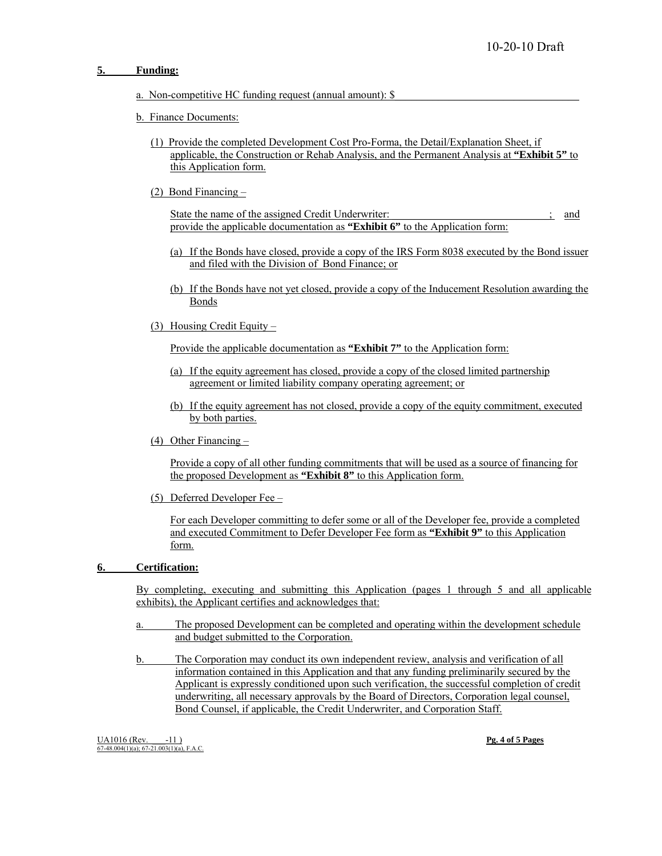#### **5. Funding:**

- a. Non-competitive HC funding request (annual amount):  $\$
- b. Finance Documents:
	- (1) Provide the completed Development Cost Pro-Forma, the Detail/Explanation Sheet, if applicable, the Construction or Rehab Analysis, and the Permanent Analysis at **"Exhibit 5"** to this Application form.
	- (2) Bond Financing –

State the name of the assigned Credit Underwriter: \_\_\_\_\_\_\_\_\_\_\_\_\_\_\_\_\_\_\_; and provide the applicable documentation as **"Exhibit 6"** to the Application form:

- (a) If the Bonds have closed, provide a copy of the IRS Form 8038 executed by the Bond issuer and filed with the Division of Bond Finance; or
- (b) If the Bonds have not yet closed, provide a copy of the Inducement Resolution awarding the Bonds
- (3) Housing Credit Equity –

Provide the applicable documentation as **"Exhibit 7"** to the Application form:

- (a) If the equity agreement has closed, provide a copy of the closed limited partnership agreement or limited liability company operating agreement; or
- (b) If the equity agreement has not closed, provide a copy of the equity commitment, executed by both parties.
- (4) Other Financing –

 Provide a copy of all other funding commitments that will be used as a source of financing for the proposed Development as **"Exhibit 8"** to this Application form.

(5) Deferred Developer Fee –

 For each Developer committing to defer some or all of the Developer fee, provide a completed and executed Commitment to Defer Developer Fee form as **"Exhibit 9"** to this Application form.

#### **6. Certification:**

 By completing, executing and submitting this Application (pages 1 through 5 and all applicable exhibits), the Applicant certifies and acknowledges that:

- The proposed Development can be completed and operating within the development schedule and budget submitted to the Corporation.
- b. The Corporation may conduct its own independent review, analysis and verification of all information contained in this Application and that any funding preliminarily secured by the Applicant is expressly conditioned upon such verification, the successful completion of credit underwriting, all necessary approvals by the Board of Directors, Corporation legal counsel, Bond Counsel, if applicable, the Credit Underwriter, and Corporation Staff.

UA1016 (Rev. -11 ) **Pg. 4 of 5 Pages**<br>
67-48.004(1)(a); 67-21.003(1)(a), F.A.C.